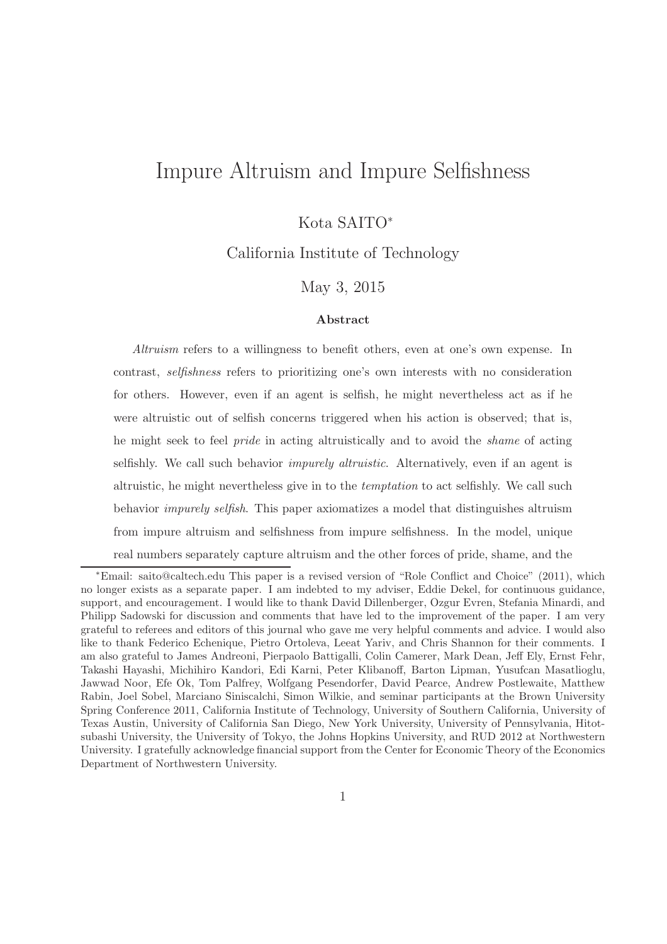# Impure Altruism and Impure Selfishness

#### Kota SAITO<sup>∗</sup>

California Institute of Technology

#### May 3, 2015

#### Abstract

Altruism refers to a willingness to benefit others, even at one's own expense. In contrast, selfishness refers to prioritizing one's own interests with no consideration for others. However, even if an agent is selfish, he might nevertheless act as if he were altruistic out of selfish concerns triggered when his action is observed; that is, he might seek to feel pride in acting altruistically and to avoid the shame of acting selfishly. We call such behavior *impurely altruistic*. Alternatively, even if an agent is altruistic, he might nevertheless give in to the temptation to act selfishly. We call such behavior impurely selfish. This paper axiomatizes a model that distinguishes altruism from impure altruism and selfishness from impure selfishness. In the model, unique real numbers separately capture altruism and the other forces of pride, shame, and the

<sup>∗</sup>Email: saito@caltech.edu This paper is a revised version of "Role Conflict and Choice" (2011), which no longer exists as a separate paper. I am indebted to my adviser, Eddie Dekel, for continuous guidance, support, and encouragement. I would like to thank David Dillenberger, Ozgur Evren, Stefania Minardi, and Philipp Sadowski for discussion and comments that have led to the improvement of the paper. I am very grateful to referees and editors of this journal who gave me very helpful comments and advice. I would also like to thank Federico Echenique, Pietro Ortoleva, Leeat Yariv, and Chris Shannon for their comments. I am also grateful to James Andreoni, Pierpaolo Battigalli, Colin Camerer, Mark Dean, Jeff Ely, Ernst Fehr, Takashi Hayashi, Michihiro Kandori, Edi Karni, Peter Klibanoff, Barton Lipman, Yusufcan Masatlioglu, Jawwad Noor, Efe Ok, Tom Palfrey, Wolfgang Pesendorfer, David Pearce, Andrew Postlewaite, Matthew Rabin, Joel Sobel, Marciano Siniscalchi, Simon Wilkie, and seminar participants at the Brown University Spring Conference 2011, California Institute of Technology, University of Southern California, University of Texas Austin, University of California San Diego, New York University, University of Pennsylvania, Hitotsubashi University, the University of Tokyo, the Johns Hopkins University, and RUD 2012 at Northwestern University. I gratefully acknowledge financial support from the Center for Economic Theory of the Economics Department of Northwestern University.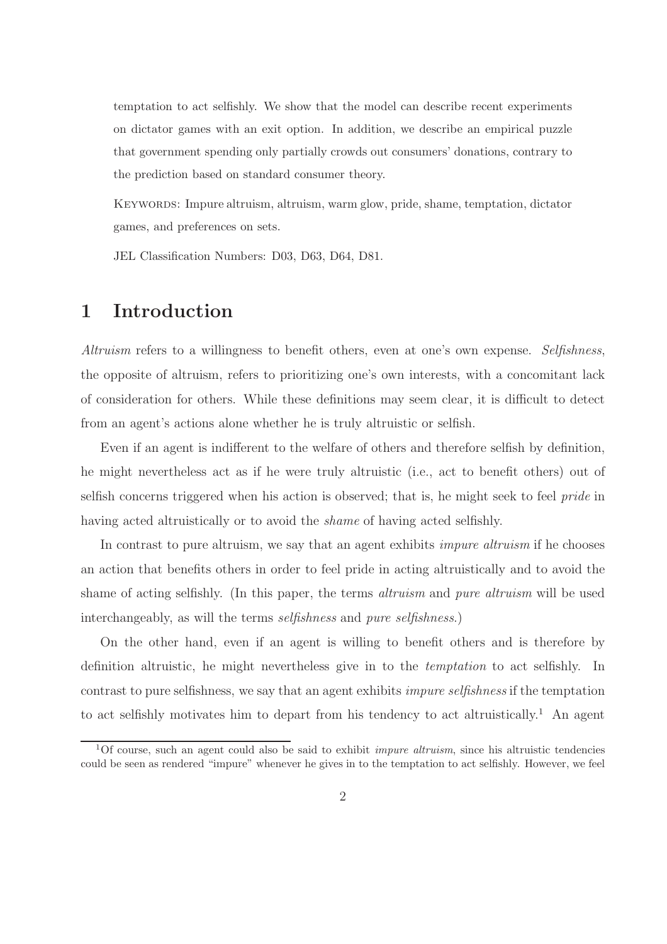temptation to act selfishly. We show that the model can describe recent experiments on dictator games with an exit option. In addition, we describe an empirical puzzle that government spending only partially crowds out consumers' donations, contrary to the prediction based on standard consumer theory.

Keywords: Impure altruism, altruism, warm glow, pride, shame, temptation, dictator games, and preferences on sets.

JEL Classification Numbers: D03, D63, D64, D81.

### 1 Introduction

*Altruism* refers to a willingness to benefit others, even at one's own expense. *Selfishness*, the opposite of altruism, refers to prioritizing one's own interests, with a concomitant lack of consideration for others. While these definitions may seem clear, it is difficult to detect from an agent's actions alone whether he is truly altruistic or selfish.

Even if an agent is indifferent to the welfare of others and therefore selfish by definition, he might nevertheless act as if he were truly altruistic (i.e., act to benefit others) out of selfish concerns triggered when his action is observed; that is, he might seek to feel *pride* in having acted altruistically or to avoid the *shame* of having acted selfishly.

In contrast to pure altruism, we say that an agent exhibits *impure altruism* if he chooses an action that benefits others in order to feel pride in acting altruistically and to avoid the shame of acting selfishly. (In this paper, the terms *altruism* and *pure altruism* will be used interchangeably, as will the terms *selfishness* and *pure selfishness*.)

On the other hand, even if an agent is willing to benefit others and is therefore by definition altruistic, he might nevertheless give in to the *temptation* to act selfishly. In contrast to pure selfishness, we say that an agent exhibits *impure selfishness* if the temptation to act selfishly motivates him to depart from his tendency to act altruistically.<sup>1</sup> An agent

<sup>&</sup>lt;sup>1</sup>Of course, such an agent could also be said to exhibit *impure altruism*, since his altruistic tendencies could be seen as rendered "impure" whenever he gives in to the temptation to act selfishly. However, we feel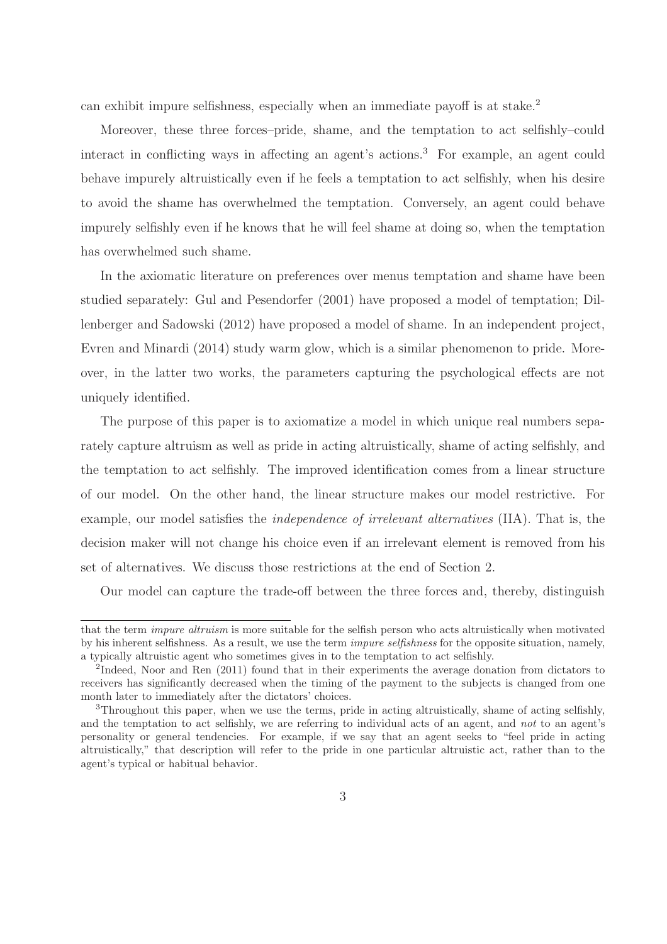can exhibit impure selfishness, especially when an immediate payoff is at stake.<sup>2</sup>

Moreover, these three forces–pride, shame, and the temptation to act selfishly–could interact in conflicting ways in affecting an agent's actions.<sup>3</sup> For example, an agent could behave impurely altruistically even if he feels a temptation to act selfishly, when his desire to avoid the shame has overwhelmed the temptation. Conversely, an agent could behave impurely selfishly even if he knows that he will feel shame at doing so, when the temptation has overwhelmed such shame.

In the axiomatic literature on preferences over menus temptation and shame have been studied separately: Gul and Pesendorfer (2001) have proposed a model of temptation; Dillenberger and Sadowski (2012) have proposed a model of shame. In an independent project, Evren and Minardi (2014) study warm glow, which is a similar phenomenon to pride. Moreover, in the latter two works, the parameters capturing the psychological effects are not uniquely identified.

The purpose of this paper is to axiomatize a model in which unique real numbers separately capture altruism as well as pride in acting altruistically, shame of acting selfishly, and the temptation to act selfishly. The improved identification comes from a linear structure of our model. On the other hand, the linear structure makes our model restrictive. For example, our model satisfies the *independence of irrelevant alternatives* (IIA). That is, the decision maker will not change his choice even if an irrelevant element is removed from his set of alternatives. We discuss those restrictions at the end of Section 2.

Our model can capture the trade-off between the three forces and, thereby, distinguish

that the term impure altruism is more suitable for the selfish person who acts altruistically when motivated by his inherent selfishness. As a result, we use the term impure selfishness for the opposite situation, namely, a typically altruistic agent who sometimes gives in to the temptation to act selfishly.

<sup>&</sup>lt;sup>2</sup>Indeed, Noor and Ren (2011) found that in their experiments the average donation from dictators to receivers has significantly decreased when the timing of the payment to the subjects is changed from one month later to immediately after the dictators' choices.

<sup>3</sup>Throughout this paper, when we use the terms, pride in acting altruistically, shame of acting selfishly, and the temptation to act selfishly, we are referring to individual acts of an agent, and not to an agent's personality or general tendencies. For example, if we say that an agent seeks to "feel pride in acting altruistically," that description will refer to the pride in one particular altruistic act, rather than to the agent's typical or habitual behavior.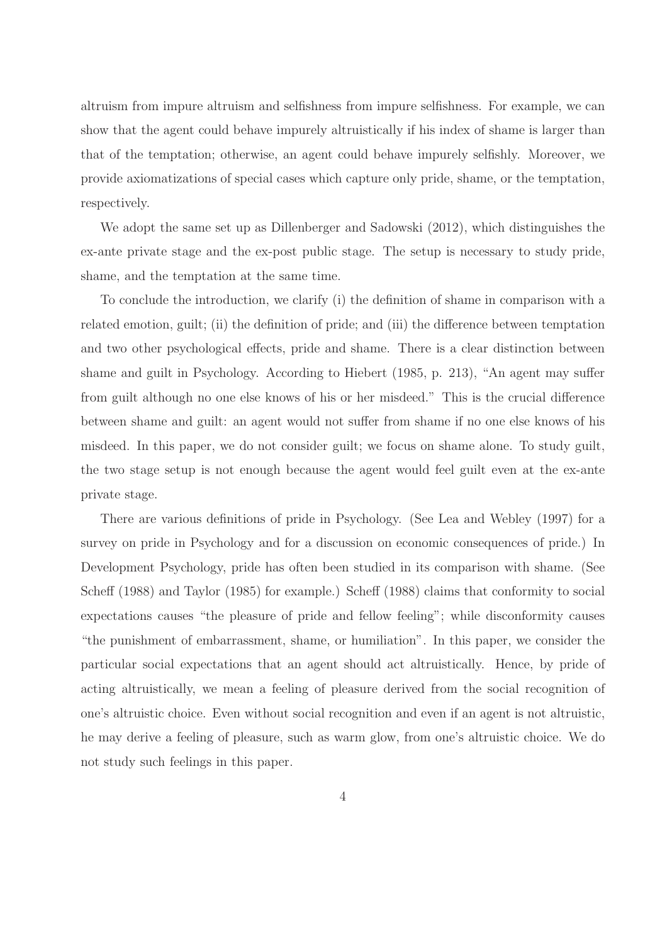altruism from impure altruism and selfishness from impure selfishness. For example, we can show that the agent could behave impurely altruistically if his index of shame is larger than that of the temptation; otherwise, an agent could behave impurely selfishly. Moreover, we provide axiomatizations of special cases which capture only pride, shame, or the temptation, respectively.

We adopt the same set up as Dillenberger and Sadowski (2012), which distinguishes the ex-ante private stage and the ex-post public stage. The setup is necessary to study pride, shame, and the temptation at the same time.

To conclude the introduction, we clarify (i) the definition of shame in comparison with a related emotion, guilt; (ii) the definition of pride; and (iii) the difference between temptation and two other psychological effects, pride and shame. There is a clear distinction between shame and guilt in Psychology. According to Hiebert (1985, p. 213), "An agent may suffer from guilt although no one else knows of his or her misdeed." This is the crucial difference between shame and guilt: an agent would not suffer from shame if no one else knows of his misdeed. In this paper, we do not consider guilt; we focus on shame alone. To study guilt, the two stage setup is not enough because the agent would feel guilt even at the ex-ante private stage.

There are various definitions of pride in Psychology. (See Lea and Webley (1997) for a survey on pride in Psychology and for a discussion on economic consequences of pride.) In Development Psychology, pride has often been studied in its comparison with shame. (See Scheff (1988) and Taylor (1985) for example.) Scheff (1988) claims that conformity to social expectations causes "the pleasure of pride and fellow feeling"; while disconformity causes "the punishment of embarrassment, shame, or humiliation". In this paper, we consider the particular social expectations that an agent should act altruistically. Hence, by pride of acting altruistically, we mean a feeling of pleasure derived from the social recognition of one's altruistic choice. Even without social recognition and even if an agent is not altruistic, he may derive a feeling of pleasure, such as warm glow, from one's altruistic choice. We do not study such feelings in this paper.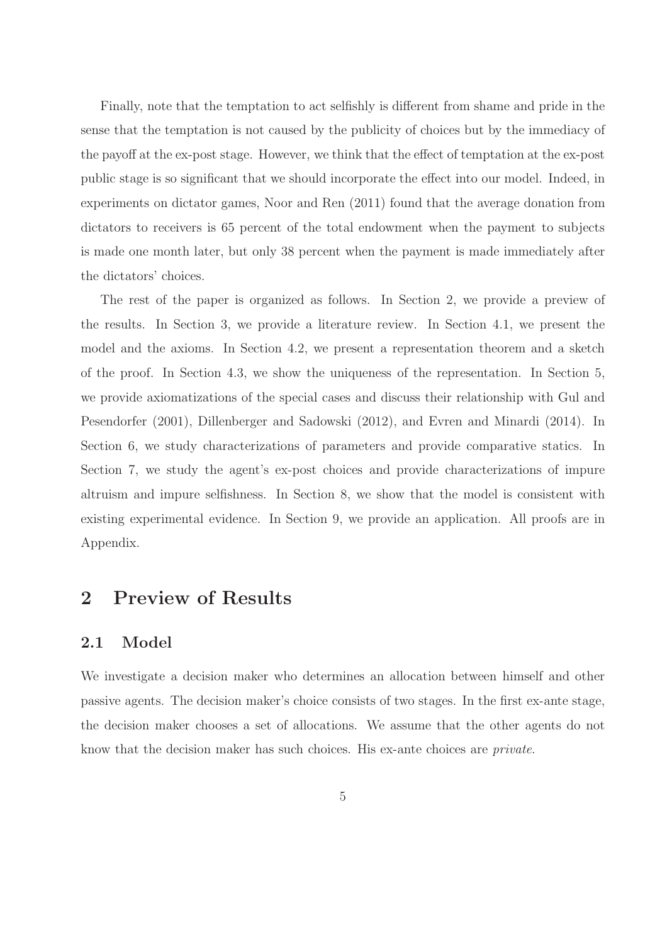Finally, note that the temptation to act selfishly is different from shame and pride in the sense that the temptation is not caused by the publicity of choices but by the immediacy of the payoff at the ex-post stage. However, we think that the effect of temptation at the ex-post public stage is so significant that we should incorporate the effect into our model. Indeed, in experiments on dictator games, Noor and Ren (2011) found that the average donation from dictators to receivers is 65 percent of the total endowment when the payment to subjects is made one month later, but only 38 percent when the payment is made immediately after the dictators' choices.

The rest of the paper is organized as follows. In Section 2, we provide a preview of the results. In Section 3, we provide a literature review. In Section 4.1, we present the model and the axioms. In Section 4.2, we present a representation theorem and a sketch of the proof. In Section 4.3, we show the uniqueness of the representation. In Section 5, we provide axiomatizations of the special cases and discuss their relationship with Gul and Pesendorfer (2001), Dillenberger and Sadowski (2012), and Evren and Minardi (2014). In Section 6, we study characterizations of parameters and provide comparative statics. In Section 7, we study the agent's ex-post choices and provide characterizations of impure altruism and impure selfishness. In Section 8, we show that the model is consistent with existing experimental evidence. In Section 9, we provide an application. All proofs are in Appendix.

## 2 Preview of Results

#### 2.1 Model

We investigate a decision maker who determines an allocation between himself and other passive agents. The decision maker's choice consists of two stages. In the first ex-ante stage, the decision maker chooses a set of allocations. We assume that the other agents do not know that the decision maker has such choices. His ex-ante choices are *private*.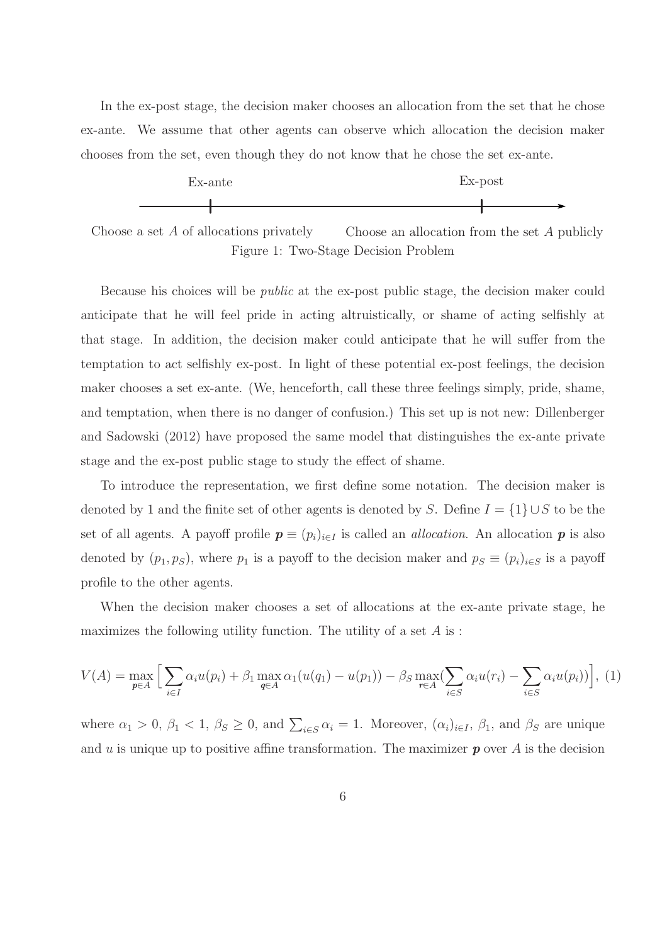In the ex-post stage, the decision maker chooses an allocation from the set that he chose ex-ante. We assume that other agents can observe which allocation the decision maker chooses from the set, even though they do not know that he chose the set ex-ante.



Choose a set A of allocations privately Choose an allocation from the set A publicly Figure 1: Two-Stage Decision Problem

Because his choices will be *public* at the ex-post public stage, the decision maker could anticipate that he will feel pride in acting altruistically, or shame of acting selfishly at that stage. In addition, the decision maker could anticipate that he will suffer from the temptation to act selfishly ex-post. In light of these potential ex-post feelings, the decision maker chooses a set ex-ante. (We, henceforth, call these three feelings simply, pride, shame, and temptation, when there is no danger of confusion.) This set up is not new: Dillenberger and Sadowski (2012) have proposed the same model that distinguishes the ex-ante private stage and the ex-post public stage to study the effect of shame.

To introduce the representation, we first define some notation. The decision maker is denoted by 1 and the finite set of other agents is denoted by S. Define  $I = \{1\} \cup S$  to be the set of all agents. A payoff profile  $p \equiv (p_i)_{i \in I}$  is called an *allocation*. An allocation p is also denoted by  $(p_1, p_S)$ , where  $p_1$  is a payoff to the decision maker and  $p_S \equiv (p_i)_{i \in S}$  is a payoff profile to the other agents.

When the decision maker chooses a set of allocations at the ex-ante private stage, he maximizes the following utility function. The utility of a set  $A$  is:

$$
V(A) = \max_{p \in A} \left[ \sum_{i \in I} \alpha_i u(p_i) + \beta_1 \max_{q \in A} \alpha_1 (u(q_1) - u(p_1)) - \beta_S \max_{r \in A} (\sum_{i \in S} \alpha_i u(r_i) - \sum_{i \in S} \alpha_i u(p_i)) \right], (1)
$$

where  $\alpha_1 > 0$ ,  $\beta_1 < 1$ ,  $\beta_S \ge 0$ , and  $\sum_{i \in S} \alpha_i = 1$ . Moreover,  $(\alpha_i)_{i \in I}$ ,  $\beta_1$ , and  $\beta_S$  are unique and u is unique up to positive affine transformation. The maximizer  $p$  over A is the decision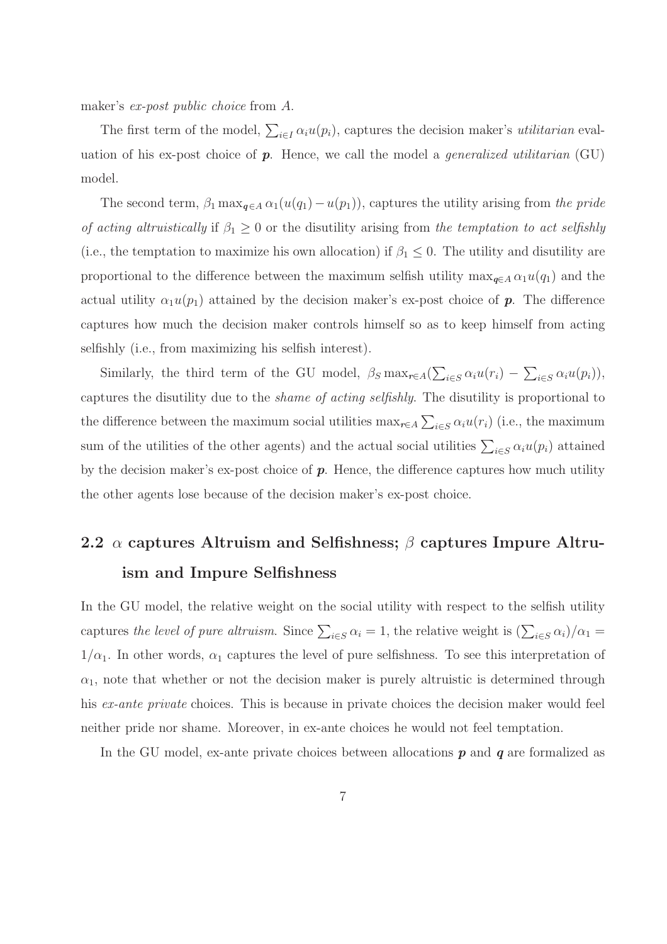maker's *ex-post public choice* from A.

The first term of the model,  $\sum_{i\in I} \alpha_i u(p_i)$ , captures the decision maker's *utilitarian* evaluation of his ex-post choice of p. Hence, we call the model a *generalized utilitarian* (GU) model.

The second term,  $\beta_1 \max_{q \in A} \alpha_1(u(q_1) - u(p_1))$ , captures the utility arising from *the pride of acting altruistically* if  $\beta_1 \geq 0$  or the disutility arising from the temptation to act selfishly (i.e., the temptation to maximize his own allocation) if  $\beta_1 \leq 0$ . The utility and disutility are proportional to the difference between the maximum selfish utility  $\max_{q \in A} \alpha_1 u(q_1)$  and the actual utility  $\alpha_1u(p_1)$  attained by the decision maker's ex-post choice of **p**. The difference captures how much the decision maker controls himself so as to keep himself from acting selfishly (i.e., from maximizing his selfish interest).

Similarly, the third term of the GU model,  $\beta_S \max_{r \in A} (\sum_{i \in S} \alpha_i u(r_i) - \sum_{i \in S} \alpha_i u(p_i)),$ captures the disutility due to the *shame of acting selfishly*. The disutility is proportional to the difference between the maximum social utilities  $\max_{r \in A} \sum_{i \in S} \alpha_i u(r_i)$  (i.e., the maximum sum of the utilities of the other agents) and the actual social utilities  $\sum_{i \in S} \alpha_i u(p_i)$  attained by the decision maker's ex-post choice of  $p$ . Hence, the difference captures how much utility the other agents lose because of the decision maker's ex-post choice.

# 2.2  $\alpha$  captures Altruism and Selfishness;  $\beta$  captures Impure Altruism and Impure Selfishness

In the GU model, the relative weight on the social utility with respect to the selfish utility captures *the level of pure altruism*. Since  $\sum_{i \in S} \alpha_i = 1$ , the relative weight is  $(\sum_{i \in S} \alpha_i)/\alpha_1 =$  $1/\alpha_1$ . In other words,  $\alpha_1$  captures the level of pure selfishness. To see this interpretation of  $\alpha_1$ , note that whether or not the decision maker is purely altruistic is determined through his *ex-ante private* choices. This is because in private choices the decision maker would feel neither pride nor shame. Moreover, in ex-ante choices he would not feel temptation.

In the GU model, ex-ante private choices between allocations  $p$  and  $q$  are formalized as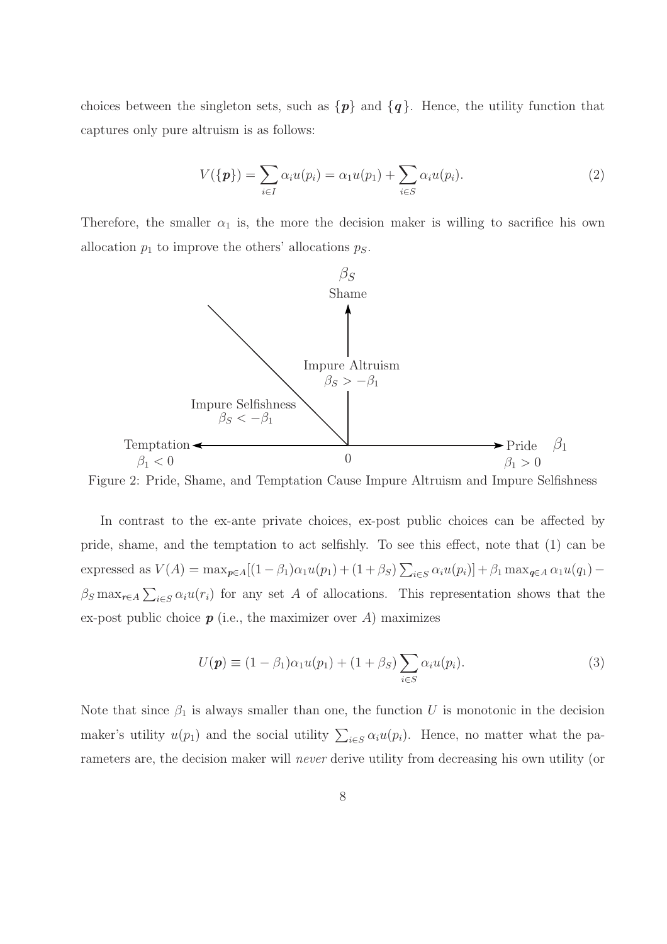choices between the singleton sets, such as  $\{p\}$  and  $\{q\}$ . Hence, the utility function that captures only pure altruism is as follows:

$$
V(\{p\}) = \sum_{i \in I} \alpha_i u(p_i) = \alpha_1 u(p_1) + \sum_{i \in S} \alpha_i u(p_i).
$$
 (2)

Therefore, the smaller  $\alpha_1$  is, the more the decision maker is willing to sacrifice his own allocation  $p_1$  to improve the others' allocations  $p_S$ .



Figure 2: Pride, Shame, and Temptation Cause Impure Altruism and Impure Selfishness

In contrast to the ex-ante private choices, ex-post public choices can be affected by pride, shame, and the temptation to act selfishly. To see this effect, note that (1) can be expressed as  $V(A) = \max_{p \in A} [(1 - \beta_1)\alpha_1 u(p_1) + (1 + \beta_S) \sum_{i \in S} \alpha_i u(p_i)] + \beta_1 \max_{q \in A} \alpha_1 u(q_1) \beta_S \max_{r \in A} \sum_{i \in S} \alpha_i u(r_i)$  for any set A of allocations. This representation shows that the ex-post public choice  $p$  (i.e., the maximizer over A) maximizes

$$
U(\boldsymbol{p}) \equiv (1 - \beta_1)\alpha_1 u(p_1) + (1 + \beta_S) \sum_{i \in S} \alpha_i u(p_i). \tag{3}
$$

Note that since  $\beta_1$  is always smaller than one, the function U is monotonic in the decision maker's utility  $u(p_1)$  and the social utility  $\sum_{i \in S} \alpha_i u(p_i)$ . Hence, no matter what the parameters are, the decision maker will *never* derive utility from decreasing his own utility (or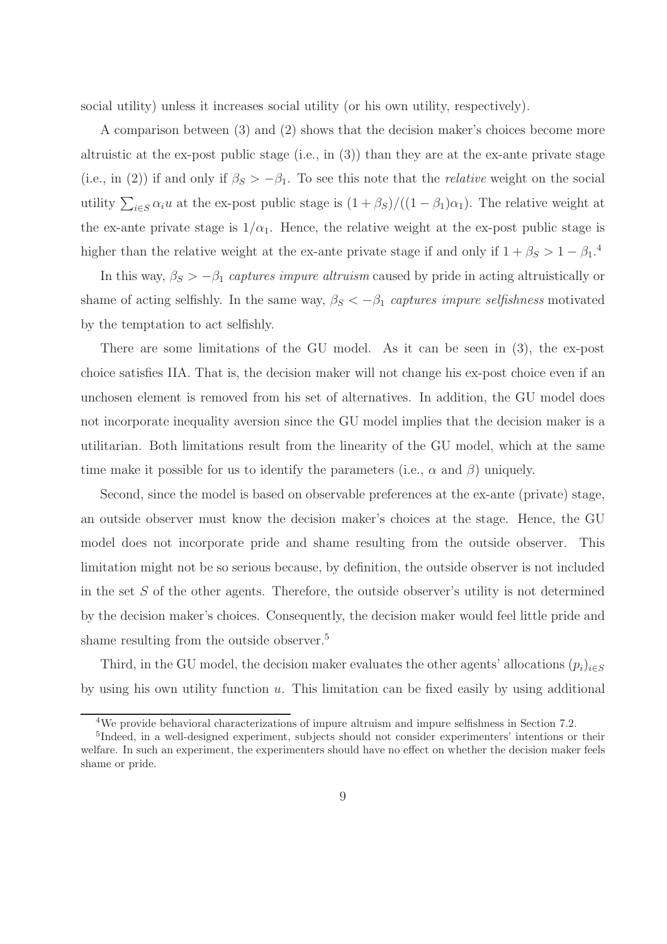social utility) unless it increases social utility (or his own utility, respectively).

A comparison between (3) and (2) shows that the decision maker's choices become more altruistic at the ex-post public stage (i.e., in  $(3)$ ) than they are at the ex-ante private stage (i.e., in (2)) if and only if  $\beta_S > -\beta_1$ . To see this note that the *relative* weight on the social utility  $\sum_{i\in S} \alpha_i u$  at the ex-post public stage is  $(1 + \beta_S)/((1 - \beta_1)\alpha_1)$ . The relative weight at the ex-ante private stage is  $1/\alpha_1$ . Hence, the relative weight at the ex-post public stage is higher than the relative weight at the ex-ante private stage if and only if  $1 + \beta_S > 1 - \beta_1$ .<sup>4</sup>

In this way,  $\beta_S > -\beta_1$  *captures impure altruism* caused by pride in acting altruistically or shame of acting selfishly. In the same way,  $\beta_S < -\beta_1$  *captures impure selfishness* motivated by the temptation to act selfishly.

There are some limitations of the GU model. As it can be seen in (3), the ex-post choice satisfies IIA. That is, the decision maker will not change his ex-post choice even if an unchosen element is removed from his set of alternatives. In addition, the GU model does not incorporate inequality aversion since the GU model implies that the decision maker is a utilitarian. Both limitations result from the linearity of the GU model, which at the same time make it possible for us to identify the parameters (i.e.,  $\alpha$  and  $\beta$ ) uniquely.

Second, since the model is based on observable preferences at the ex-ante (private) stage, an outside observer must know the decision maker's choices at the stage. Hence, the GU model does not incorporate pride and shame resulting from the outside observer. This limitation might not be so serious because, by definition, the outside observer is not included in the set  $S$  of the other agents. Therefore, the outside observer's utility is not determined by the decision maker's choices. Consequently, the decision maker would feel little pride and shame resulting from the outside observer.<sup>5</sup>

Third, in the GU model, the decision maker evaluates the other agents' allocations  $(p_i)_{i\in S}$ by using his own utility function  $u$ . This limitation can be fixed easily by using additional

<sup>4</sup>We provide behavioral characterizations of impure altruism and impure selfishness in Section 7.2.

<sup>&</sup>lt;sup>5</sup>Indeed, in a well-designed experiment, subjects should not consider experimenters' intentions or their welfare. In such an experiment, the experimenters should have no effect on whether the decision maker feels shame or pride.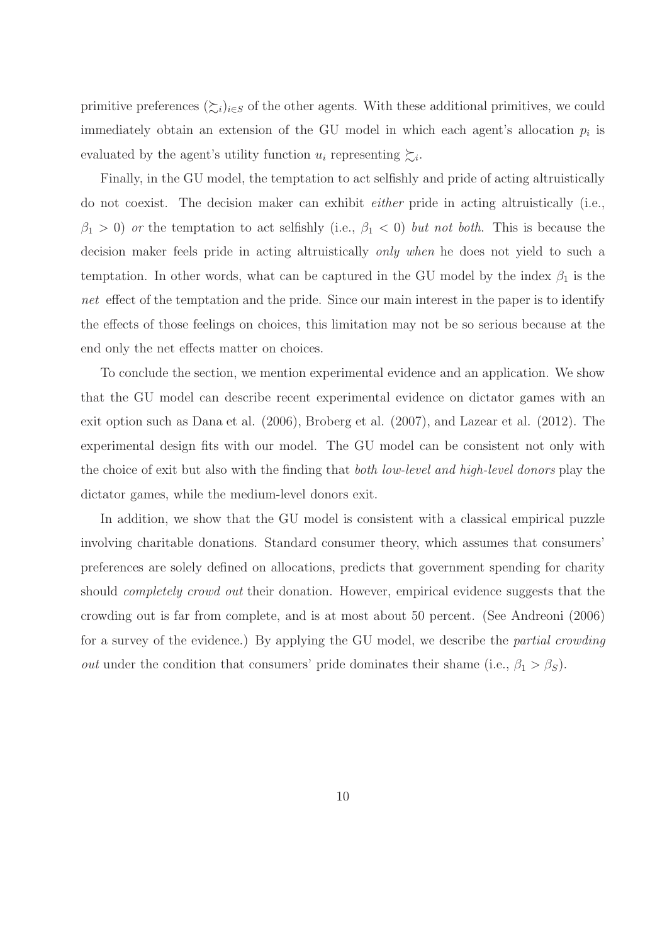primitive preferences  $(\succsim_i)_{i\in S}$  of the other agents. With these additional primitives, we could immediately obtain an extension of the GU model in which each agent's allocation  $p_i$  is evaluated by the agent's utility function  $u_i$  representing  $\succsim_i$ .

Finally, in the GU model, the temptation to act selfishly and pride of acting altruistically do not coexist. The decision maker can exhibit *either* pride in acting altruistically (i.e.,  $\beta_1 > 0$ ) *or* the temptation to act selfishly (i.e.,  $\beta_1 < 0$ ) *but not both*. This is because the decision maker feels pride in acting altruistically *only when* he does not yield to such a temptation. In other words, what can be captured in the GU model by the index  $\beta_1$  is the *net* effect of the temptation and the pride. Since our main interest in the paper is to identify the effects of those feelings on choices, this limitation may not be so serious because at the end only the net effects matter on choices.

To conclude the section, we mention experimental evidence and an application. We show that the GU model can describe recent experimental evidence on dictator games with an exit option such as Dana et al. (2006), Broberg et al. (2007), and Lazear et al. (2012). The experimental design fits with our model. The GU model can be consistent not only with the choice of exit but also with the finding that *both low-level and high-level donors* play the dictator games, while the medium-level donors exit.

In addition, we show that the GU model is consistent with a classical empirical puzzle involving charitable donations. Standard consumer theory, which assumes that consumers' preferences are solely defined on allocations, predicts that government spending for charity should *completely crowd out* their donation. However, empirical evidence suggests that the crowding out is far from complete, and is at most about 50 percent. (See Andreoni (2006) for a survey of the evidence.) By applying the GU model, we describe the *partial crowding out* under the condition that consumers' pride dominates their shame (i.e.,  $\beta_1 > \beta_S$ ).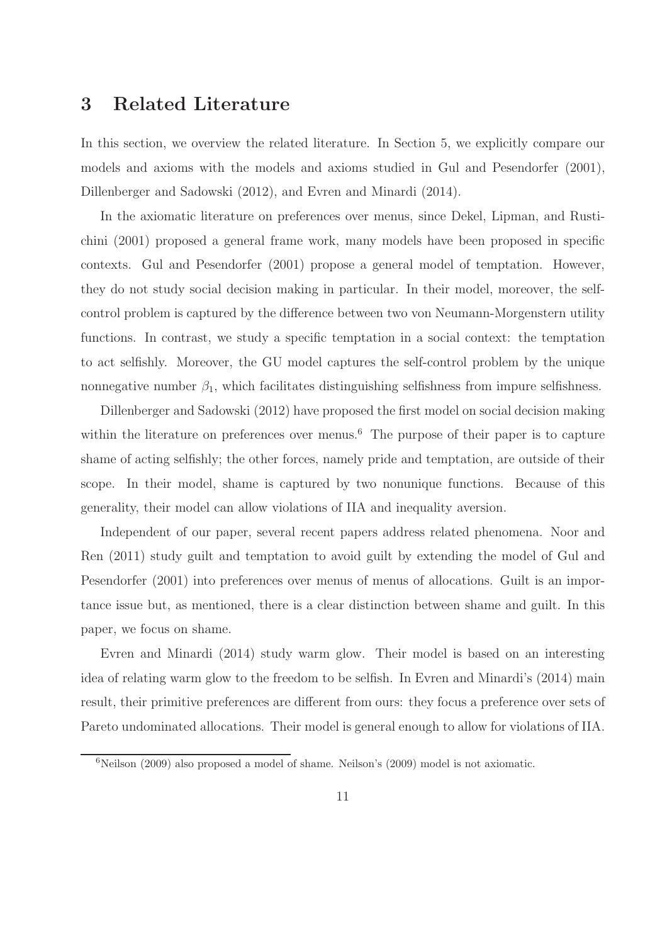### 3 Related Literature

In this section, we overview the related literature. In Section 5, we explicitly compare our models and axioms with the models and axioms studied in Gul and Pesendorfer (2001), Dillenberger and Sadowski (2012), and Evren and Minardi (2014).

In the axiomatic literature on preferences over menus, since Dekel, Lipman, and Rustichini (2001) proposed a general frame work, many models have been proposed in specific contexts. Gul and Pesendorfer (2001) propose a general model of temptation. However, they do not study social decision making in particular. In their model, moreover, the selfcontrol problem is captured by the difference between two von Neumann-Morgenstern utility functions. In contrast, we study a specific temptation in a social context: the temptation to act selfishly. Moreover, the GU model captures the self-control problem by the unique nonnegative number  $\beta_1$ , which facilitates distinguishing selfishness from impure selfishness.

Dillenberger and Sadowski (2012) have proposed the first model on social decision making within the literature on preferences over menus.<sup>6</sup> The purpose of their paper is to capture shame of acting selfishly; the other forces, namely pride and temptation, are outside of their scope. In their model, shame is captured by two nonunique functions. Because of this generality, their model can allow violations of IIA and inequality aversion.

Independent of our paper, several recent papers address related phenomena. Noor and Ren (2011) study guilt and temptation to avoid guilt by extending the model of Gul and Pesendorfer (2001) into preferences over menus of menus of allocations. Guilt is an importance issue but, as mentioned, there is a clear distinction between shame and guilt. In this paper, we focus on shame.

Evren and Minardi (2014) study warm glow. Their model is based on an interesting idea of relating warm glow to the freedom to be selfish. In Evren and Minardi's (2014) main result, their primitive preferences are different from ours: they focus a preference over sets of Pareto undominated allocations. Their model is general enough to allow for violations of IIA.

 $6$ Neilson (2009) also proposed a model of shame. Neilson's (2009) model is not axiomatic.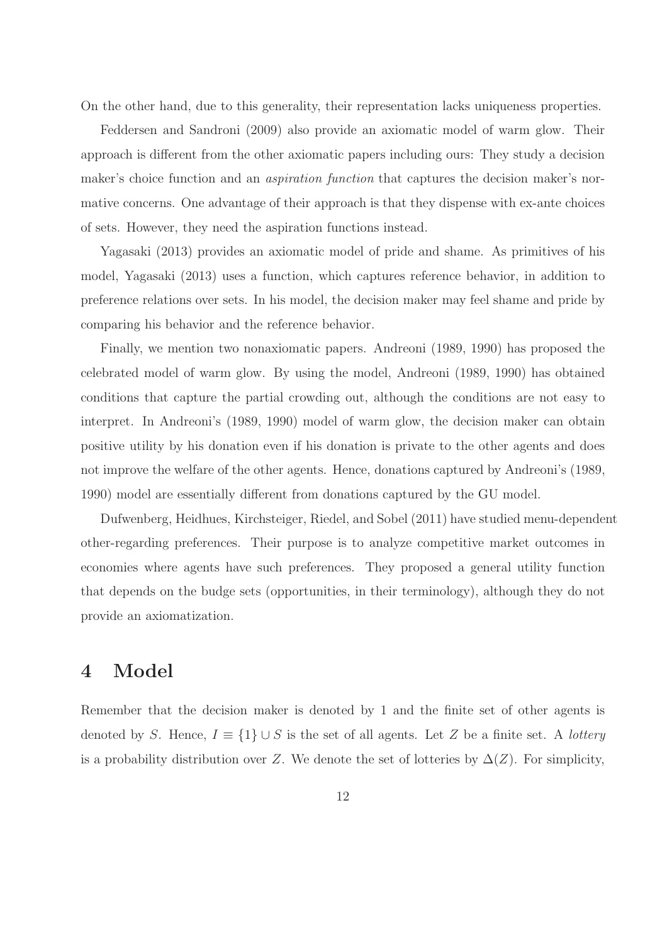On the other hand, due to this generality, their representation lacks uniqueness properties.

Feddersen and Sandroni (2009) also provide an axiomatic model of warm glow. Their approach is different from the other axiomatic papers including ours: They study a decision maker's choice function and an *aspiration function* that captures the decision maker's normative concerns. One advantage of their approach is that they dispense with ex-ante choices of sets. However, they need the aspiration functions instead.

Yagasaki (2013) provides an axiomatic model of pride and shame. As primitives of his model, Yagasaki (2013) uses a function, which captures reference behavior, in addition to preference relations over sets. In his model, the decision maker may feel shame and pride by comparing his behavior and the reference behavior.

Finally, we mention two nonaxiomatic papers. Andreoni (1989, 1990) has proposed the celebrated model of warm glow. By using the model, Andreoni (1989, 1990) has obtained conditions that capture the partial crowding out, although the conditions are not easy to interpret. In Andreoni's (1989, 1990) model of warm glow, the decision maker can obtain positive utility by his donation even if his donation is private to the other agents and does not improve the welfare of the other agents. Hence, donations captured by Andreoni's (1989, 1990) model are essentially different from donations captured by the GU model.

Dufwenberg, Heidhues, Kirchsteiger, Riedel, and Sobel (2011) have studied menu-dependent other-regarding preferences. Their purpose is to analyze competitive market outcomes in economies where agents have such preferences. They proposed a general utility function that depends on the budge sets (opportunities, in their terminology), although they do not provide an axiomatization.

### 4 Model

Remember that the decision maker is denoted by 1 and the finite set of other agents is denoted by S. Hence,  $I = \{1\} \cup S$  is the set of all agents. Let Z be a finite set. A *lottery* is a probability distribution over Z. We denote the set of lotteries by  $\Delta(Z)$ . For simplicity,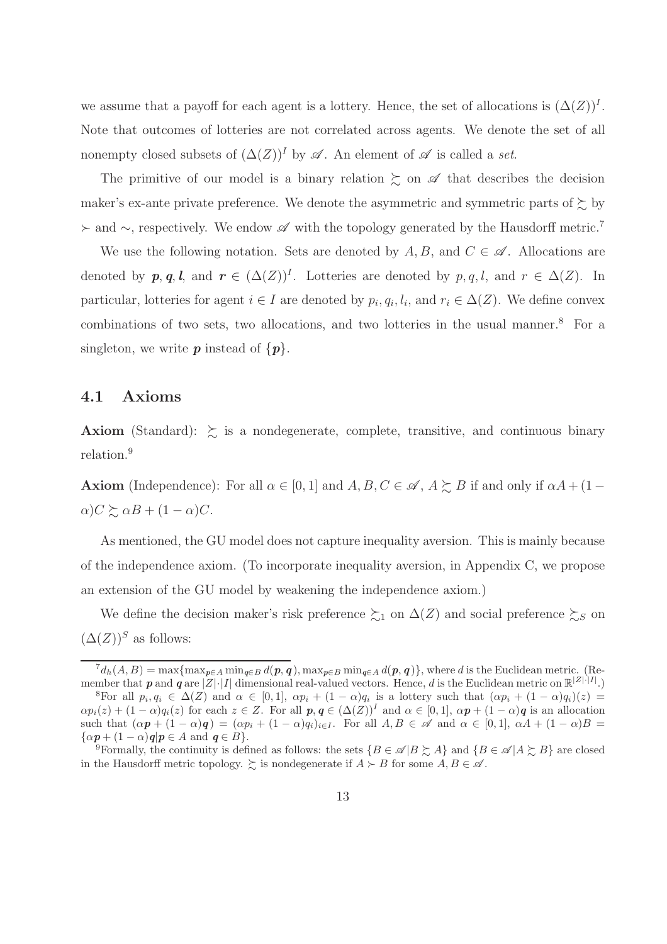we assume that a payoff for each agent is a lottery. Hence, the set of allocations is  $(\Delta(Z))^I$ . Note that outcomes of lotteries are not correlated across agents. We denote the set of all nonempty closed subsets of  $(\Delta(Z))^I$  by  $\mathscr A$ . An element of  $\mathscr A$  is called a *set*.

The primitive of our model is a binary relation  $\gtrsim$  on  $\mathscr A$  that describes the decision maker's ex-ante private preference. We denote the asymmetric and symmetric parts of  $\succsim$  by ≻ and ∼, respectively. We endow A with the topology generated by the Hausdorff metric.<sup>7</sup>

We use the following notation. Sets are denoted by A, B, and  $C \in \mathscr{A}$ . Allocations are denoted by  $p, q, l$ , and  $r \in (\Delta(Z))^I$ . Lotteries are denoted by  $p, q, l$ , and  $r \in \Delta(Z)$ . In particular, lotteries for agent  $i \in I$  are denoted by  $p_i, q_i, l_i$ , and  $r_i \in \Delta(Z)$ . We define convex combinations of two sets, two allocations, and two lotteries in the usual manner.<sup>8</sup> For a singleton, we write **p** instead of  $\{p\}$ .

#### 4.1 Axioms

Axiom (Standard):  $\geq$  is a nondegenerate, complete, transitive, and continuous binary relation.<sup>9</sup>

**Axiom** (Independence): For all  $\alpha \in [0,1]$  and  $A, B, C \in \mathscr{A}, A \succsim B$  if and only if  $\alpha A + (1-\alpha)A$  $\alpha$ )C  $\gtrsim \alpha B + (1 - \alpha)C$ .

As mentioned, the GU model does not capture inequality aversion. This is mainly because of the independence axiom. (To incorporate inequality aversion, in Appendix C, we propose an extension of the GU model by weakening the independence axiom.)

We define the decision maker's risk preference  $\succsim_1$  on  $\Delta(Z)$  and social preference  $\succsim_S$  on  $(\Delta(Z))^S$  as follows:

 $^{7}d_{h}(A, B) = \max\{\max_{p \in A} \min_{q \in B} d(p, q), \max_{p \in B} \min_{q \in A} d(p, q)\}\$ , where d is the Euclidean metric. (Remember that p and q are  $|Z|\cdot|I|$  dimensional real-valued vectors. Hence, d is the Euclidean metric on  $\mathbb{R}^{|Z|\cdot|I|}$ .)

<sup>&</sup>lt;sup>8</sup>For all  $p_i, q_i \in \Delta(Z)$  and  $\alpha \in [0,1], \alpha p_i + (1-\alpha)q_i$  is a lottery such that  $(\alpha p_i + (1-\alpha)q_i)(z)$  $\alpha p_i(z) + (1 - \alpha)q_i(z)$  for each  $z \in Z$ . For all  $p, q \in (\Delta(Z))^I$  and  $\alpha \in [0,1], \alpha p + (1 - \alpha)q$  is an allocation such that  $(\alpha \mathbf{p} + (1 - \alpha)\mathbf{q}) = (\alpha p_i + (1 - \alpha)q_i)_{i \in I}$ . For all  $A, B \in \mathscr{A}$  and  $\alpha \in [0,1], \alpha A + (1 - \alpha)B =$  $\{\alpha p + (1 - \alpha)q|p \in A \text{ and } q \in B\}.$ 

<sup>&</sup>lt;sup>9</sup>Formally, the continuity is defined as follows: the sets  ${B \in \mathscr{A} | B \succeq A}$  and  ${B \in \mathscr{A} | A \succeq B}$  are closed in the Hausdorff metric topology.  $\succsim$  is nondegenerate if  $A \succ B$  for some  $A, B \in \mathscr{A}$ .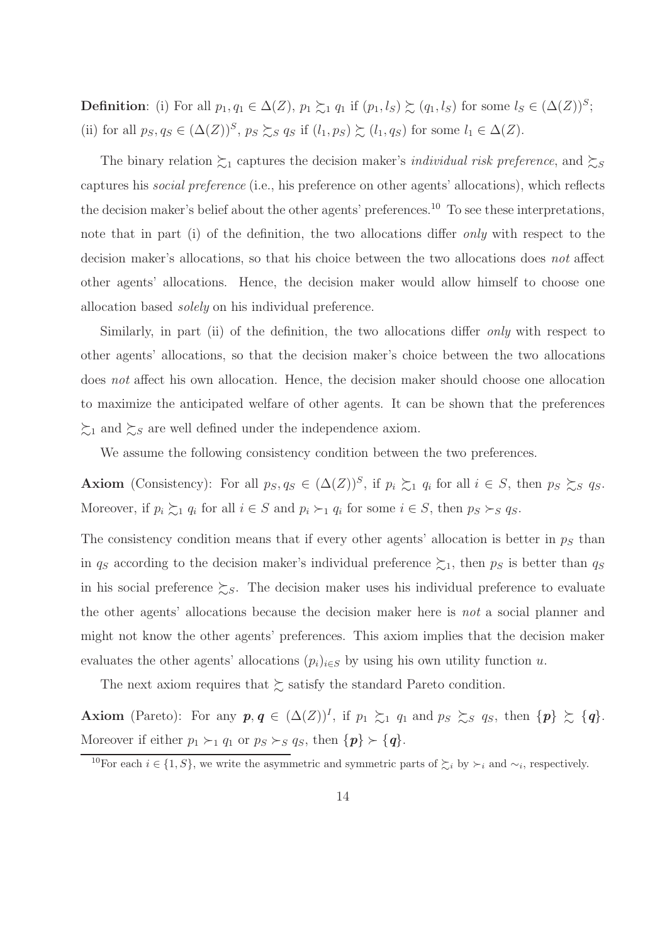**Definition**: (i) For all  $p_1, q_1 \in \Delta(Z)$ ,  $p_1 \succsim_1 q_1$  if  $(p_1, l_S) \succsim (q_1, l_S)$  for some  $l_S \in (\Delta(Z))^S$ ; (ii) for all  $p_S, q_S \in (\Delta(Z))^S$ ,  $p_S \succsim_S q_S$  if  $(l_1, p_S) \succsim (l_1, q_S)$  for some  $l_1 \in \Delta(Z)$ .

The binary relation  $\succsim_1$  captures the decision maker's *individual risk preference*, and  $\succsim_S$ captures his *social preference* (i.e., his preference on other agents' allocations), which reflects the decision maker's belief about the other agents' preferences.<sup>10</sup> To see these interpretations, note that in part (i) of the definition, the two allocations differ *only* with respect to the decision maker's allocations, so that his choice between the two allocations does *not* affect other agents' allocations. Hence, the decision maker would allow himself to choose one allocation based *solely* on his individual preference.

Similarly, in part (ii) of the definition, the two allocations differ *only* with respect to other agents' allocations, so that the decision maker's choice between the two allocations does *not* affect his own allocation. Hence, the decision maker should choose one allocation to maximize the anticipated welfare of other agents. It can be shown that the preferences  $\zeta_1$  and  $\zeta_s$  are well defined under the independence axiom.

We assume the following consistency condition between the two preferences.

**Axiom** (Consistency): For all  $p_S, q_S \in (\Delta(Z))^S$ , if  $p_i \succeq_1 q_i$  for all  $i \in S$ , then  $p_S \succeq_S q_S$ . Moreover, if  $p_i \succeq_1 q_i$  for all  $i \in S$  and  $p_i \succ_1 q_i$  for some  $i \in S$ , then  $p_S \succ_S q_S$ .

The consistency condition means that if every other agents' allocation is better in  $p<sub>S</sub>$  than in  $q_S$  according to the decision maker's individual preference  $\succsim_1$ , then  $p_S$  is better than  $q_S$ in his social preference  $\zeta_s$ . The decision maker uses his individual preference to evaluate the other agents' allocations because the decision maker here is *not* a social planner and might not know the other agents' preferences. This axiom implies that the decision maker evaluates the other agents' allocations  $(p_i)_{i \in S}$  by using his own utility function u.

The next axiom requires that  $\succsim$  satisfy the standard Pareto condition.

Axiom (Pareto): For any  $p, q \in (\Delta(Z))^I$ , if  $p_1 \succsim_1 q_1$  and  $p_S \succsim_S q_S$ , then  $\{p\} \succsim \{q\}$ . Moreover if either  $p_1 \succ_1 q_1$  or  $p_S \succ_S q_S$ , then  $\{p\} \succ \{q\}.$ 

<sup>&</sup>lt;sup>10</sup>For each  $i \in \{1, S\}$ , we write the asymmetric and symmetric parts of  $\succsim_i$  by  $\succ_i$  and  $\sim_i$ , respectively.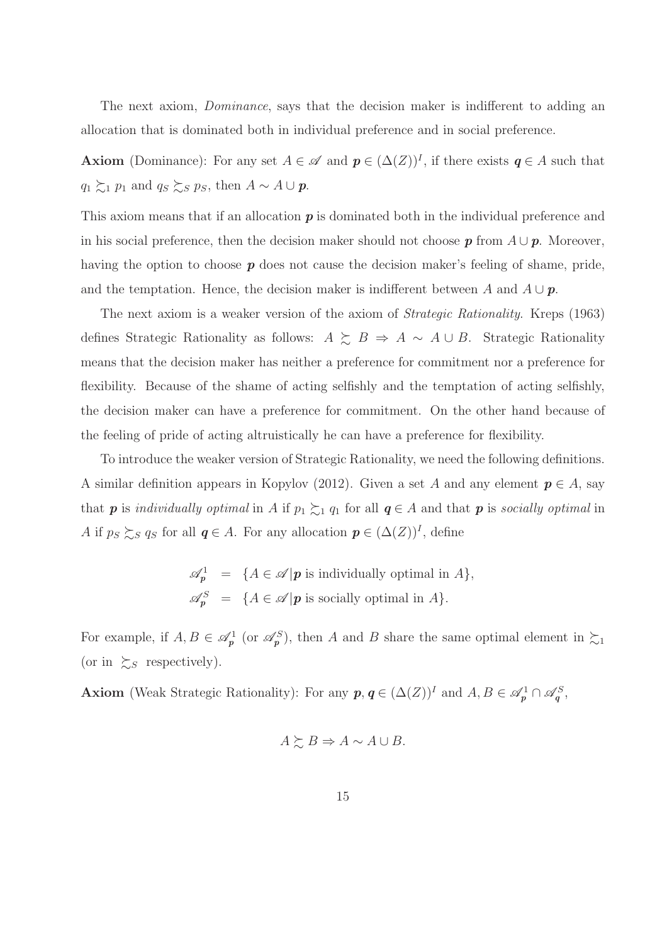The next axiom, *Dominance*, says that the decision maker is indifferent to adding an allocation that is dominated both in individual preference and in social preference.

**Axiom** (Dominance): For any set  $A \in \mathscr{A}$  and  $p \in (\Delta(Z))^I$ , if there exists  $q \in A$  such that  $q_1 \gtrsim_1 p_1$  and  $q_S \gtrsim_S p_S$ , then  $A \sim A \cup p$ .

This axiom means that if an allocation  $p$  is dominated both in the individual preference and in his social preference, then the decision maker should not choose  $p$  from  $A \cup p$ . Moreover, having the option to choose  $p$  does not cause the decision maker's feeling of shame, pride, and the temptation. Hence, the decision maker is indifferent between A and  $A \cup p$ .

The next axiom is a weaker version of the axiom of *Strategic Rationality*. Kreps (1963) defines Strategic Rationality as follows:  $A \succeq B \Rightarrow A \sim A \cup B$ . Strategic Rationality means that the decision maker has neither a preference for commitment nor a preference for flexibility. Because of the shame of acting selfishly and the temptation of acting selfishly, the decision maker can have a preference for commitment. On the other hand because of the feeling of pride of acting altruistically he can have a preference for flexibility.

To introduce the weaker version of Strategic Rationality, we need the following definitions. A similar definition appears in Kopylov (2012). Given a set A and any element  $p \in A$ , say that **p** is *individually optimal* in A if  $p_1 \succsim_1 q_1$  for all  $q \in A$  and that **p** is *socially optimal* in A if  $p_S \succsim_S q_S$  for all  $q \in A$ . For any allocation  $p \in (\Delta(Z))^I$ , define

$$
\mathscr{A}_{\mathbf{p}}^1 = \{ A \in \mathscr{A} | \mathbf{p} \text{ is individually optimal in } A \},
$$
  

$$
\mathscr{A}_{\mathbf{p}}^S = \{ A \in \mathscr{A} | \mathbf{p} \text{ is socially optimal in } A \}.
$$

For example, if  $A, B \in \mathscr{A}_{p}^1$  (or  $\mathscr{A}_{p}^S$ ), then A and B share the same optimal element in  $\succsim_1$ (or in  $\sum_{S}$  respectively).

**Axiom** (Weak Strategic Rationality): For any  $p, q \in (\Delta(Z))^I$  and  $A, B \in \mathscr{A}_{p}^1 \cap \mathscr{A}_{q}^S$ ,

$$
A \succsim B \Rightarrow A \sim A \cup B.
$$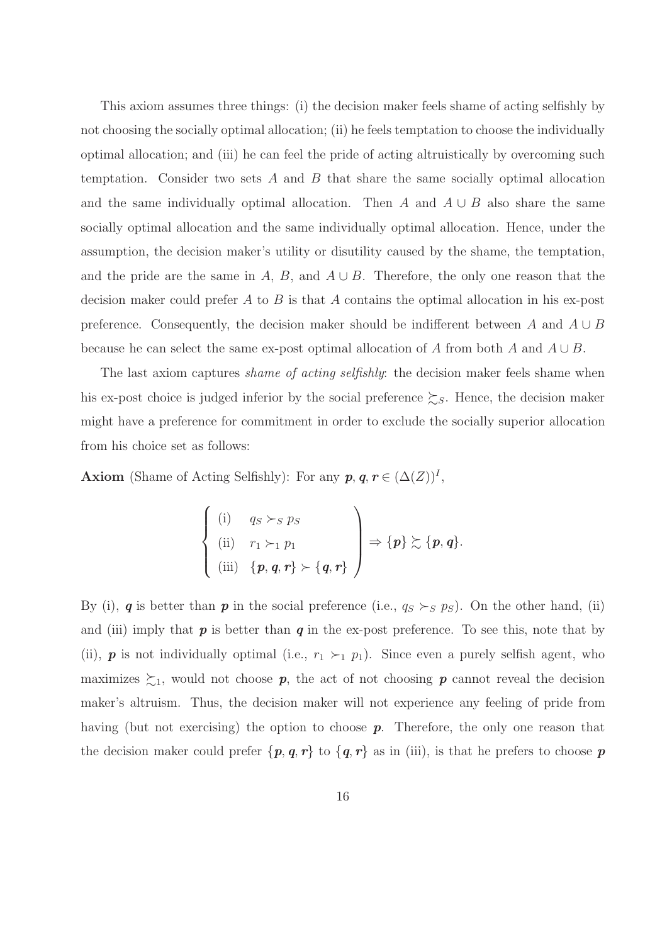This axiom assumes three things: (i) the decision maker feels shame of acting selfishly by not choosing the socially optimal allocation; (ii) he feels temptation to choose the individually optimal allocation; and (iii) he can feel the pride of acting altruistically by overcoming such temptation. Consider two sets  $A$  and  $B$  that share the same socially optimal allocation and the same individually optimal allocation. Then A and  $A \cup B$  also share the same socially optimal allocation and the same individually optimal allocation. Hence, under the assumption, the decision maker's utility or disutility caused by the shame, the temptation, and the pride are the same in A, B, and  $A \cup B$ . Therefore, the only one reason that the decision maker could prefer A to B is that A contains the optimal allocation in his ex-post preference. Consequently, the decision maker should be indifferent between A and  $A \cup B$ because he can select the same ex-post optimal allocation of A from both A and  $A \cup B$ .

The last axiom captures *shame of acting selfishly*: the decision maker feels shame when his ex-post choice is judged inferior by the social preference  $\succsim_S$ . Hence, the decision maker might have a preference for commitment in order to exclude the socially superior allocation from his choice set as follows:

**Axiom** (Shame of Acting Selfishly): For any  $p, q, r \in (\Delta(Z))^I$ ,

$$
\left\{\n\begin{array}{ll}\n(i) & q_S \succ_S p_S \\
(ii) & r_1 \succ_1 p_1 \\
(iii) & \{p, q, r\} \succ \{q, r\}\n\end{array}\n\right\}\n\Rightarrow \{p\} \gtrsim \{p, q\}.
$$

By (i), q is better than p in the social preference (i.e.,  $q_S \succ_S p_S$ ). On the other hand, (ii) and (iii) imply that  $p$  is better than  $q$  in the ex-post preference. To see this, note that by (ii), **p** is not individually optimal (i.e.,  $r_1 \succ_1 p_1$ ). Since even a purely selfish agent, who maximizes  $\sum_{1}$ , would not choose **p**, the act of not choosing **p** cannot reveal the decision maker's altruism. Thus, the decision maker will not experience any feeling of pride from having (but not exercising) the option to choose  $p$ . Therefore, the only one reason that the decision maker could prefer  $\{p, q, r\}$  to  $\{q, r\}$  as in (iii), is that he prefers to choose p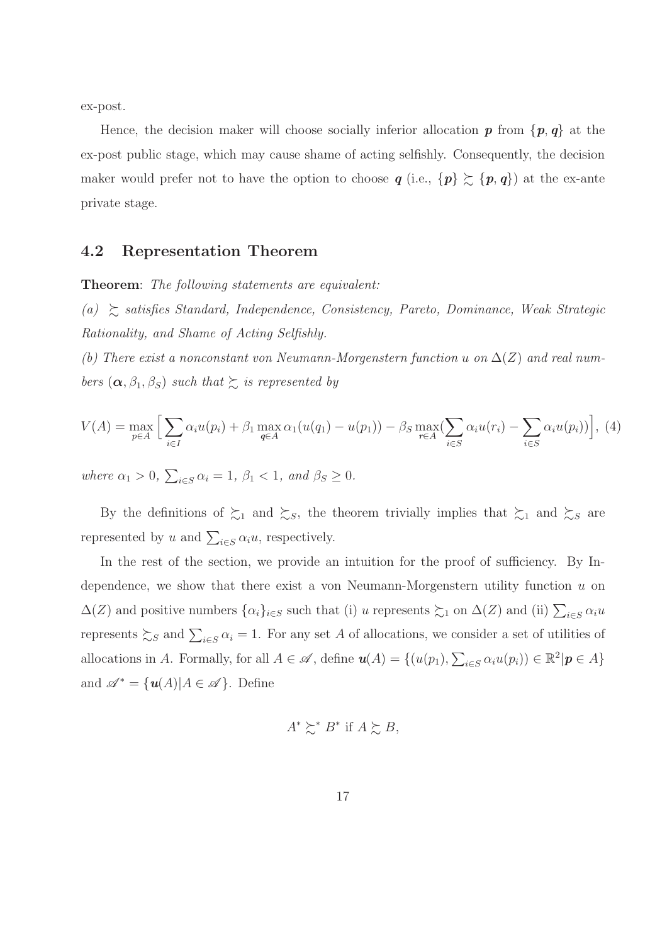ex-post.

Hence, the decision maker will choose socially inferior allocation  $p$  from  $\{p, q\}$  at the ex-post public stage, which may cause shame of acting selfishly. Consequently, the decision maker would prefer not to have the option to choose  $q$  (i.e.,  $\{p\} \succeq \{p, q\}$ ) at the ex-ante private stage.

#### 4.2 Representation Theorem

Theorem: *The following statements are equivalent:*

 $(a) \succeq$  *satisfies Standard, Independence, Consistency, Pareto, Dominance, Weak Strategic Rationality, and Shame of Acting Selfishly.*

*(b)* There exist a nonconstant von Neumann-Morgenstern function u on  $\Delta(Z)$  and real num*bers*  $(\boldsymbol{\alpha}, \beta_1, \beta_S)$  *such that*  $\succsim$  *is represented by* 

$$
V(A) = \max_{p \in A} \Big[ \sum_{i \in I} \alpha_i u(p_i) + \beta_1 \max_{q \in A} \alpha_1 (u(q_1) - u(p_1)) - \beta_S \max_{r \in A} (\sum_{i \in S} \alpha_i u(r_i) - \sum_{i \in S} \alpha_i u(p_i)) \Big], (4)
$$

where  $\alpha_1 > 0$ ,  $\sum_{i \in S} \alpha_i = 1$ ,  $\beta_1 < 1$ , and  $\beta_S \geq 0$ .

By the definitions of  $\succsim_1$  and  $\succsim_S$ , the theorem trivially implies that  $\succsim_1$  and  $\succsim_S$  are represented by u and  $\sum_{i \in S} \alpha_i u$ , respectively.

In the rest of the section, we provide an intuition for the proof of sufficiency. By Independence, we show that there exist a von Neumann-Morgenstern utility function  $u$  on  $\Delta(Z)$  and positive numbers  $\{\alpha_i\}_{i\in S}$  such that (i) u represents  $\succsim_1$  on  $\Delta(Z)$  and (ii)  $\sum_{i\in S}\alpha_i u$ represents  $\succsim_S$  and  $\sum_{i\in S}\alpha_i=1$ . For any set A of allocations, we consider a set of utilities of allocations in A. Formally, for all  $A \in \mathscr{A}$ , define  $\mathbf{u}(A) = \{(u(p_1), \sum_{i \in S} \alpha_i u(p_i)) \in \mathbb{R}^2 | \mathbf{p} \in A\}$ and  $\mathscr{A}^* = {\mathbf{u}(A)| A \in \mathscr{A}}$ . Define

$$
A^* \succsim^* B^* \text{ if } A \succsim B,
$$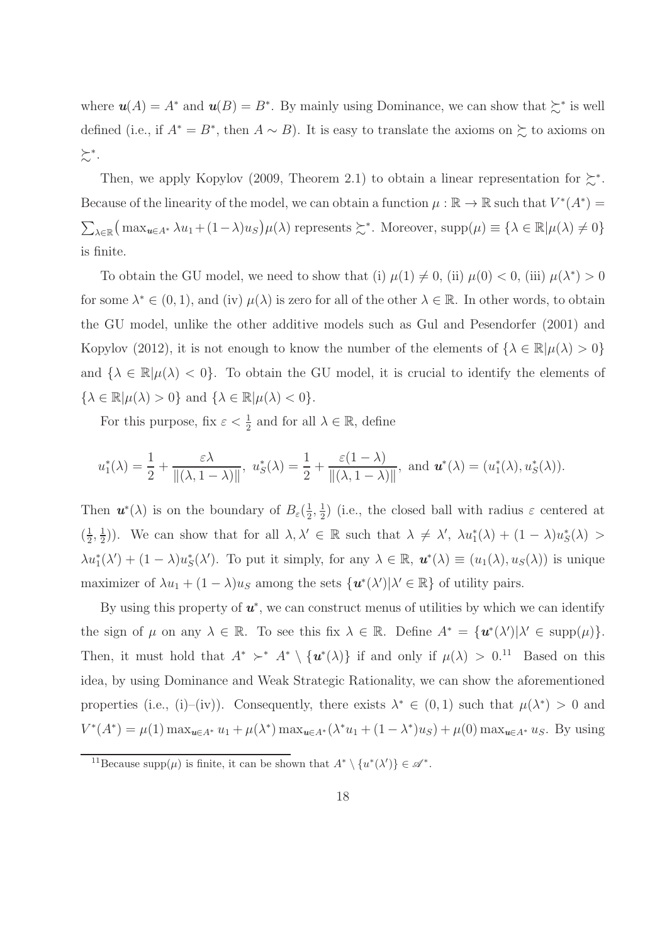where  $u(A) = A^*$  and  $u(B) = B^*$ . By mainly using Dominance, we can show that  $\succcurlyeq^*$  is well defined (i.e., if  $A^* = B^*$ , then  $A \sim B$ ). It is easy to translate the axioms on  $\succeq$  to axioms on %<sup>∗</sup> .

Then, we apply Kopylov (2009, Theorem 2.1) to obtain a linear representation for  $\succsim^*$ . Because of the linearity of the model, we can obtain a function  $\mu : \mathbb{R} \to \mathbb{R}$  such that  $V^*(A^*) =$  $\sum_{\lambda \in \mathbb{R}} \left( \max_{u \in A^*} \lambda u_1 + (1 - \lambda) u_S \right) \mu(\lambda)$  represents  $\succeq^*$ . Moreover,  $\text{supp}(\mu) \equiv \{\lambda \in \mathbb{R} | \mu(\lambda) \neq 0\}$ is finite.

To obtain the GU model, we need to show that (i)  $\mu(1) \neq 0$ , (ii)  $\mu(0) < 0$ , (iii)  $\mu(\lambda^*) > 0$ for some  $\lambda^* \in (0,1)$ , and (iv)  $\mu(\lambda)$  is zero for all of the other  $\lambda \in \mathbb{R}$ . In other words, to obtain the GU model, unlike the other additive models such as Gul and Pesendorfer (2001) and Kopylov (2012), it is not enough to know the number of the elements of  $\{\lambda \in \mathbb{R} | \mu(\lambda) > 0\}$ and  $\{\lambda \in \mathbb{R} | \mu(\lambda) < 0\}$ . To obtain the GU model, it is crucial to identify the elements of  $\{\lambda \in \mathbb{R} | \mu(\lambda) > 0\}$  and  $\{\lambda \in \mathbb{R} | \mu(\lambda) < 0\}.$ 

For this purpose, fix  $\varepsilon < \frac{1}{2}$  and for all  $\lambda \in \mathbb{R}$ , define

$$
u_1^*(\lambda) = \frac{1}{2} + \frac{\varepsilon \lambda}{\|(\lambda, 1 - \lambda)\|}, \ u_S^*(\lambda) = \frac{1}{2} + \frac{\varepsilon(1 - \lambda)}{\|(\lambda, 1 - \lambda)\|}, \text{ and } \mathbf{u}^*(\lambda) = (u_1^*(\lambda), u_S^*(\lambda)).
$$

Then  $\mathbf{u}^*(\lambda)$  is on the boundary of  $B_{\varepsilon}(\frac{1}{2})$  $\frac{1}{2}, \frac{1}{2}$  $\frac{1}{2}$ ) (i.e., the closed ball with radius  $\varepsilon$  centered at  $\left(\frac{1}{2}\right)$  $\frac{1}{2}, \frac{1}{2}$  $(\frac{1}{2})$ ). We can show that for all  $\lambda, \lambda' \in \mathbb{R}$  such that  $\lambda \neq \lambda'$ ,  $\lambda u_1^*(\lambda) + (1 - \lambda)u_5^*(\lambda)$  $\lambda u_1^*(\lambda') + (1 - \lambda)u_s^*(\lambda')$ . To put it simply, for any  $\lambda \in \mathbb{R}$ ,  $\mathbf{u}^*(\lambda) \equiv (u_1(\lambda), u_s(\lambda))$  is unique maximizer of  $\lambda u_1 + (1 - \lambda) u_s$  among the sets  $\{ \mathbf{u}^*(\lambda') | \lambda' \in \mathbb{R} \}$  of utility pairs.

By using this property of  $u^*$ , we can construct menus of utilities by which we can identify the sign of  $\mu$  on any  $\lambda \in \mathbb{R}$ . To see this fix  $\lambda \in \mathbb{R}$ . Define  $A^* = {\mathbf{u}^*(\lambda')|\lambda'} \in \text{supp}(\mu)$ . Then, it must hold that  $A^* \succ^* A^* \setminus \{u^*(\lambda)\}\$ if and only if  $\mu(\lambda) > 0.$ <sup>11</sup> Based on this idea, by using Dominance and Weak Strategic Rationality, we can show the aforementioned properties (i.e., (i)–(iv)). Consequently, there exists  $\lambda^* \in (0,1)$  such that  $\mu(\lambda^*) > 0$  and  $V^*(A^*) = \mu(1) \max_{u \in A^*} u_1 + \mu(\lambda^*) \max_{u \in A^*} (\lambda^* u_1 + (1 - \lambda^*) u_s) + \mu(0) \max_{u \in A^*} u_s$ . By using

<sup>&</sup>lt;sup>11</sup>Because supp $(\mu)$  is finite, it can be shown that  $A^* \setminus \{u^*(\lambda')\} \in \mathscr{A}^*$ .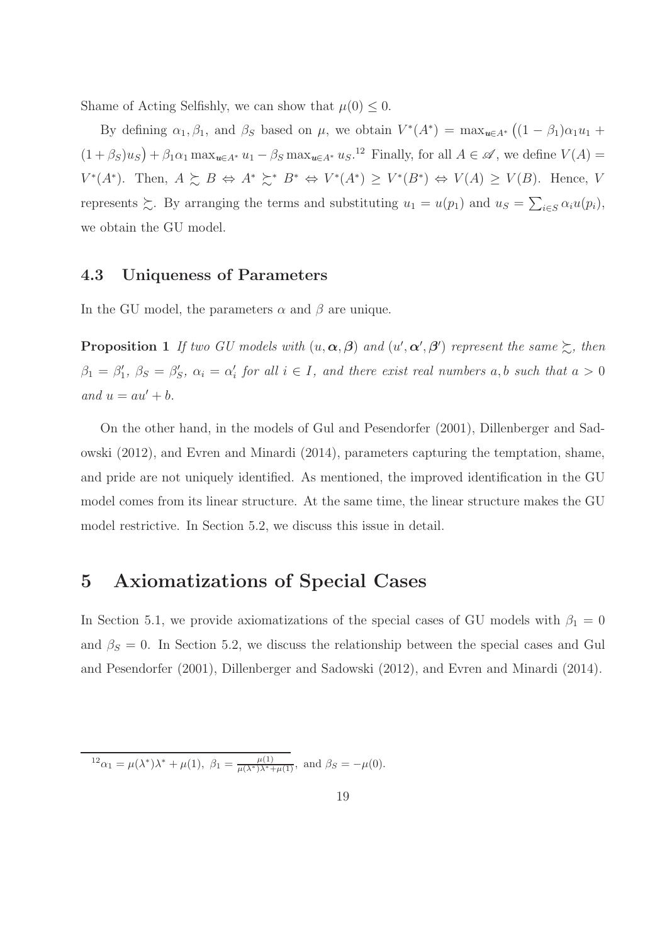Shame of Acting Selfishly, we can show that  $\mu(0) \leq 0$ .

By defining  $\alpha_1, \beta_1$ , and  $\beta_S$  based on  $\mu$ , we obtain  $V^*(A^*) = \max_{u \in A^*} ((1 - \beta_1)\alpha_1u_1 +$  $(1+\beta_S)u_S + \beta_1\alpha_1 \max_{u \in A^*} u_1 - \beta_S \max_{u \in A^*} u_S$ <sup>12</sup> Finally, for all  $A \in \mathscr{A}$ , we define  $V(A) =$  $V^*(A^*)$ . Then,  $A \succeq B \Leftrightarrow A^* \succeq^* B^* \Leftrightarrow V^*(A^*) \geq V^*(B^*) \Leftrightarrow V(A) \geq V(B)$ . Hence, V represents  $\succsim$ . By arranging the terms and substituting  $u_1 = u(p_1)$  and  $u_S = \sum_{i \in S} \alpha_i u(p_i)$ , we obtain the GU model.

#### 4.3 Uniqueness of Parameters

In the GU model, the parameters  $\alpha$  and  $\beta$  are unique.

**Proposition 1** If two GU models with  $(u, \alpha, \beta)$  and  $(u', \alpha', \beta')$  represent the same  $\succsim$ , then  $\beta_1 = \beta'_1$ ,  $\beta_S = \beta'_S$ ,  $\alpha_i = \alpha'_i$  for all  $i \in I$ , and there exist real numbers a, b such that  $a > 0$ *and*  $u = au' + b$ *.* 

On the other hand, in the models of Gul and Pesendorfer (2001), Dillenberger and Sadowski (2012), and Evren and Minardi (2014), parameters capturing the temptation, shame, and pride are not uniquely identified. As mentioned, the improved identification in the GU model comes from its linear structure. At the same time, the linear structure makes the GU model restrictive. In Section 5.2, we discuss this issue in detail.

#### 5 Axiomatizations of Special Cases

In Section 5.1, we provide axiomatizations of the special cases of GU models with  $\beta_1 = 0$ and  $\beta_S = 0$ . In Section 5.2, we discuss the relationship between the special cases and Gul and Pesendorfer (2001), Dillenberger and Sadowski (2012), and Evren and Minardi (2014).

$$
^{12}\alpha_1 = \mu(\lambda^*)\lambda^* + \mu(1), \ \beta_1 = \frac{\mu(1)}{\mu(\lambda^*)\lambda^* + \mu(1)}, \text{ and } \beta_S = -\mu(0).
$$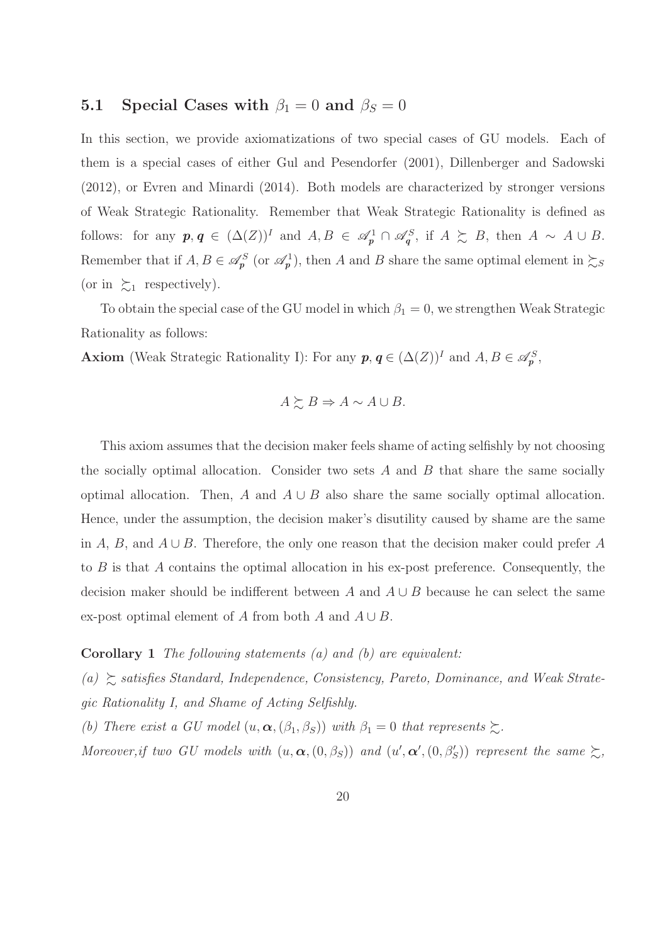## 5.1 Special Cases with  $\beta_1 = 0$  and  $\beta_S = 0$

In this section, we provide axiomatizations of two special cases of GU models. Each of them is a special cases of either Gul and Pesendorfer (2001), Dillenberger and Sadowski (2012), or Evren and Minardi (2014). Both models are characterized by stronger versions of Weak Strategic Rationality. Remember that Weak Strategic Rationality is defined as follows: for any  $p, q \in (\Delta(Z))^I$  and  $A, B \in \mathscr{A}_{p}^1 \cap \mathscr{A}_{q}^S$ , if  $A \succeq B$ , then  $A \sim A \cup B$ . Remember that if  $A, B \in \mathscr{A}_{p}^{S}$  (or  $\mathscr{A}_{p}^{1}$ ), then A and B share the same optimal element in  $\succsim_{S}$ (or in  $\mathcal{Z}_1$  respectively).

To obtain the special case of the GU model in which  $\beta_1 = 0$ , we strengthen Weak Strategic Rationality as follows:

**Axiom** (Weak Strategic Rationality I): For any  $p, q \in (\Delta(Z))^I$  and  $A, B \in \mathcal{A}_p^S$ ,

$$
A \succsim B \Rightarrow A \sim A \cup B.
$$

This axiom assumes that the decision maker feels shame of acting selfishly by not choosing the socially optimal allocation. Consider two sets  $A$  and  $B$  that share the same socially optimal allocation. Then, A and  $A \cup B$  also share the same socially optimal allocation. Hence, under the assumption, the decision maker's disutility caused by shame are the same in A, B, and  $A \cup B$ . Therefore, the only one reason that the decision maker could prefer A to B is that A contains the optimal allocation in his ex-post preference. Consequently, the decision maker should be indifferent between A and  $A \cup B$  because he can select the same ex-post optimal element of A from both A and  $A \cup B$ .

Corollary 1 *The following statements (a) and (b) are equivalent:*

*(a)* % *satisfies Standard, Independence, Consistency, Pareto, Dominance, and Weak Strategic Rationality I, and Shame of Acting Selfishly.*

*(b) There exist a GU model*  $(u, \alpha, (\beta_1, \beta_S))$  *with*  $\beta_1 = 0$  *that represents*  $\succeq$ *.* 

*Moreover,if two GU models with*  $(u, \alpha, (0, \beta_S))$  *and*  $(u', \alpha', (0, \beta_S'))$  *represent the same*  $\succsim$ *,*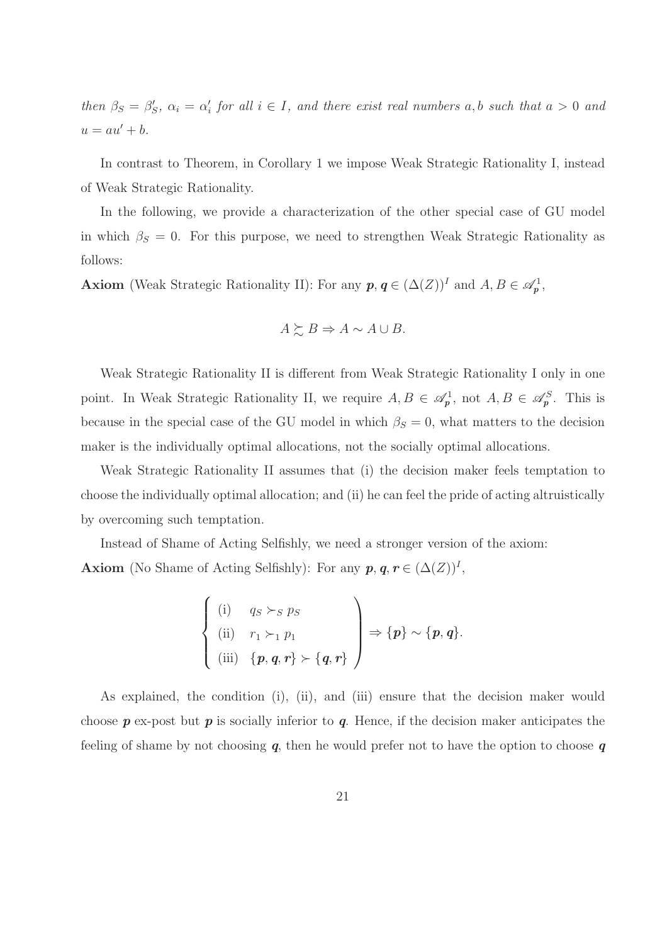*then*  $\beta_S = \beta_S'$ ,  $\alpha_i = \alpha'_i$  *for all*  $i \in I$ , and *there exist real numbers* a, b *such that*  $a > 0$  *and*  $u = au' + b$ .

In contrast to Theorem, in Corollary 1 we impose Weak Strategic Rationality I, instead of Weak Strategic Rationality.

In the following, we provide a characterization of the other special case of GU model in which  $\beta_S = 0$ . For this purpose, we need to strengthen Weak Strategic Rationality as follows:

**Axiom** (Weak Strategic Rationality II): For any  $p, q \in (\Delta(Z))^I$  and  $A, B \in \mathcal{A}_{p}^1$ ,

$$
A \succsim B \Rightarrow A \sim A \cup B.
$$

Weak Strategic Rationality II is different from Weak Strategic Rationality I only in one point. In Weak Strategic Rationality II, we require  $A, B \in \mathscr{A}_{p}^1$ , not  $A, B \in \mathscr{A}_{p}^S$ . This is because in the special case of the GU model in which  $\beta_S = 0$ , what matters to the decision maker is the individually optimal allocations, not the socially optimal allocations.

Weak Strategic Rationality II assumes that (i) the decision maker feels temptation to choose the individually optimal allocation; and (ii) he can feel the pride of acting altruistically by overcoming such temptation.

Instead of Shame of Acting Selfishly, we need a stronger version of the axiom: **Axiom** (No Shame of Acting Selfishly): For any  $p, q, r \in (\Delta(Z))^I$ ,

$$
\left\{\n\begin{array}{ll}\n(i) & q_S \succ_S p_S \\
(ii) & r_1 \succ_1 p_1 \\
(iii) & \{p, q, r\} \succ \{q, r\}\n\end{array}\n\right\}\n\Rightarrow \{p\} \sim \{p, q\}.
$$

As explained, the condition (i), (ii), and (iii) ensure that the decision maker would choose  $p$  ex-post but  $p$  is socially inferior to  $q$ . Hence, if the decision maker anticipates the feeling of shame by not choosing  $q$ , then he would prefer not to have the option to choose  $q$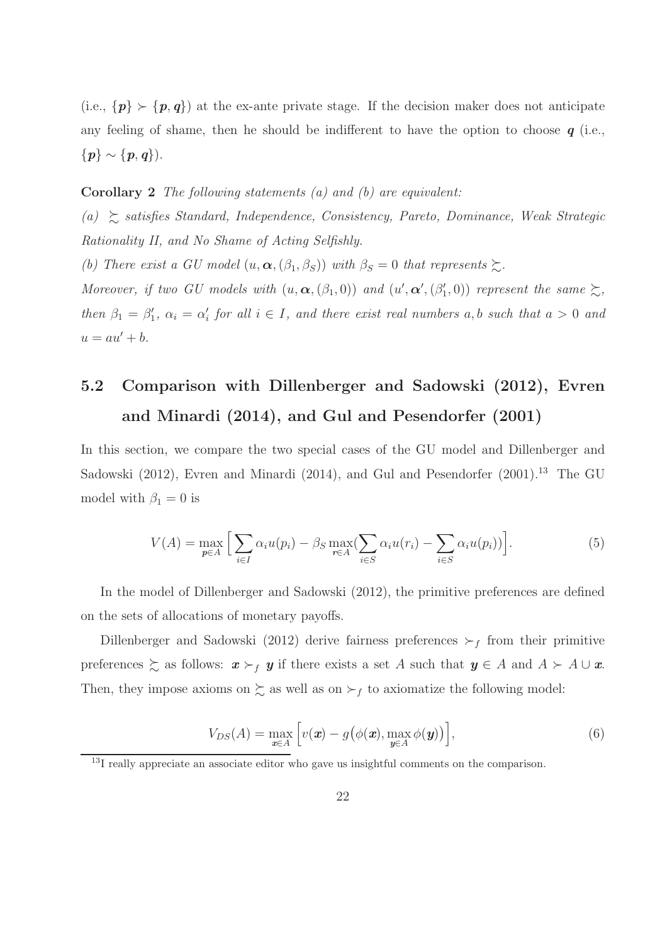(i.e.,  $\{p\} \succ \{p, q\}$ ) at the ex-ante private stage. If the decision maker does not anticipate any feeling of shame, then he should be indifferent to have the option to choose  $q$  (i.e.,  $\{p\} \sim \{p,q\}.$ 

Corollary 2 *The following statements (a) and (b) are equivalent:*

 $(a) \succeq$  *satisfies Standard, Independence, Consistency, Pareto, Dominance, Weak Strategic Rationality II, and No Shame of Acting Selfishly.*

*(b) There exist a GU model*  $(u, \alpha, (\beta_1, \beta_S))$  *with*  $\beta_S = 0$  *that represents*  $\succeq$ *.* 

*Moreover, if two GU models with*  $(u, \alpha, (\beta_1, 0))$  and  $(u', \alpha', (\beta'_1, 0))$  represent the same  $\succsim$ , *then*  $\beta_1 = \beta'_1$ ,  $\alpha_i = \alpha'_i$  *for all*  $i \in I$ , and *there exist real numbers* a, b *such that*  $a > 0$  *and*  $u = au' + b$ .

# 5.2 Comparison with Dillenberger and Sadowski (2012), Evren and Minardi (2014), and Gul and Pesendorfer (2001)

In this section, we compare the two special cases of the GU model and Dillenberger and Sadowski (2012), Evren and Minardi (2014), and Gul and Pesendorfer (2001).<sup>13</sup> The GU model with  $\beta_1 = 0$  is

$$
V(A) = \max_{p \in A} \left[ \sum_{i \in I} \alpha_i u(p_i) - \beta_S \max_{r \in A} (\sum_{i \in S} \alpha_i u(r_i) - \sum_{i \in S} \alpha_i u(p_i)) \right]. \tag{5}
$$

In the model of Dillenberger and Sadowski (2012), the primitive preferences are defined on the sets of allocations of monetary payoffs.

Dillenberger and Sadowski (2012) derive fairness preferences  $\succ_f$  from their primitive preferences  $\succsim$  as follows:  $x \succ_f y$  if there exists a set A such that  $y \in A$  and  $A \succ A \cup x$ . Then, they impose axioms on  $\succsim$  as well as on  $\succ_f$  to axiomatize the following model:

$$
V_{DS}(A) = \max_{\boldsymbol{x} \in A} \left[ v(\boldsymbol{x}) - g\big(\phi(\boldsymbol{x}), \max_{\boldsymbol{y} \in A} \phi(\boldsymbol{y})\big) \right],\tag{6}
$$

<sup>&</sup>lt;sup>13</sup>I really appreciate an associate editor who gave us insightful comments on the comparison.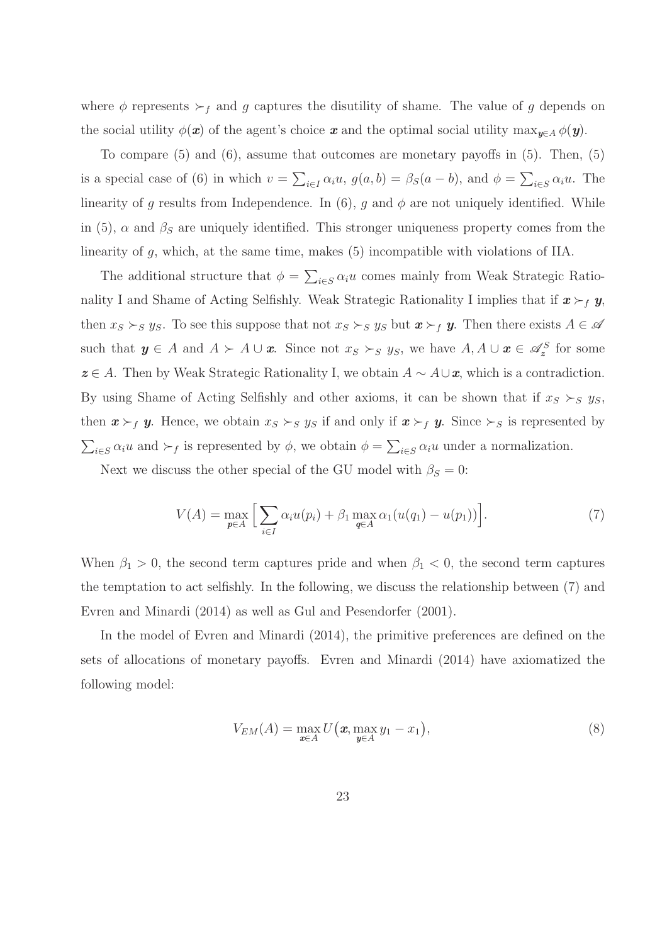where  $\phi$  represents  $\succ_f$  and g captures the disutility of shame. The value of g depends on the social utility  $\phi(x)$  of the agent's choice x and the optimal social utility max $y \in A$   $\phi(y)$ .

To compare  $(5)$  and  $(6)$ , assume that outcomes are monetary payoffs in  $(5)$ . Then,  $(5)$ is a special case of (6) in which  $v = \sum_{i \in I} \alpha_i u$ ,  $g(a, b) = \beta_S(a - b)$ , and  $\phi = \sum_{i \in S} \alpha_i u$ . The linearity of g results from Independence. In (6), g and  $\phi$  are not uniquely identified. While in (5),  $\alpha$  and  $\beta_s$  are uniquely identified. This stronger uniqueness property comes from the linearity of g, which, at the same time, makes (5) incompatible with violations of IIA.

The additional structure that  $\phi = \sum_{i \in S} \alpha_i u$  comes mainly from Weak Strategic Rationality I and Shame of Acting Selfishly. Weak Strategic Rationality I implies that if  $x \succ_f y$ , then  $x_S \succ_S y_S$ . To see this suppose that not  $x_S \succ_S y_S$  but  $\mathbf{x} \succ_f \mathbf{y}$ . Then there exists  $A \in \mathcal{A}$ such that  $y \in A$  and  $A \succ A \cup x$ . Since not  $x_S \succ_S y_S$ , we have  $A, A \cup x \in \mathscr{A}_{z}^S$  for some  $z \in A$ . Then by Weak Strategic Rationality I, we obtain  $A \sim A \cup x$ , which is a contradiction. By using Shame of Acting Selfishly and other axioms, it can be shown that if  $x_S \succ_S y_S$ , then  $\mathbf{x} \succ_f \mathbf{y}$ . Hence, we obtain  $x_S \succ_S y_S$  if and only if  $\mathbf{x} \succ_f \mathbf{y}$ . Since  $\succ_S$  is represented by  $\sum_{i\in S}\alpha_i u$  and  $\succ_f$  is represented by  $\phi$ , we obtain  $\phi = \sum_{i\in S}\alpha_i u$  under a normalization.

Next we discuss the other special of the GU model with  $\beta_S = 0$ :

$$
V(A) = \max_{p \in A} \left[ \sum_{i \in I} \alpha_i u(p_i) + \beta_1 \max_{q \in A} \alpha_1 (u(q_1) - u(p_1)) \right]. \tag{7}
$$

When  $\beta_1 > 0$ , the second term captures pride and when  $\beta_1 < 0$ , the second term captures the temptation to act selfishly. In the following, we discuss the relationship between (7) and Evren and Minardi (2014) as well as Gul and Pesendorfer (2001).

In the model of Evren and Minardi (2014), the primitive preferences are defined on the sets of allocations of monetary payoffs. Evren and Minardi (2014) have axiomatized the following model:

$$
V_{EM}(A) = \max_{\mathbf{x} \in A} U(\mathbf{x}, \max_{\mathbf{y} \in A} y_1 - x_1),
$$
\n(8)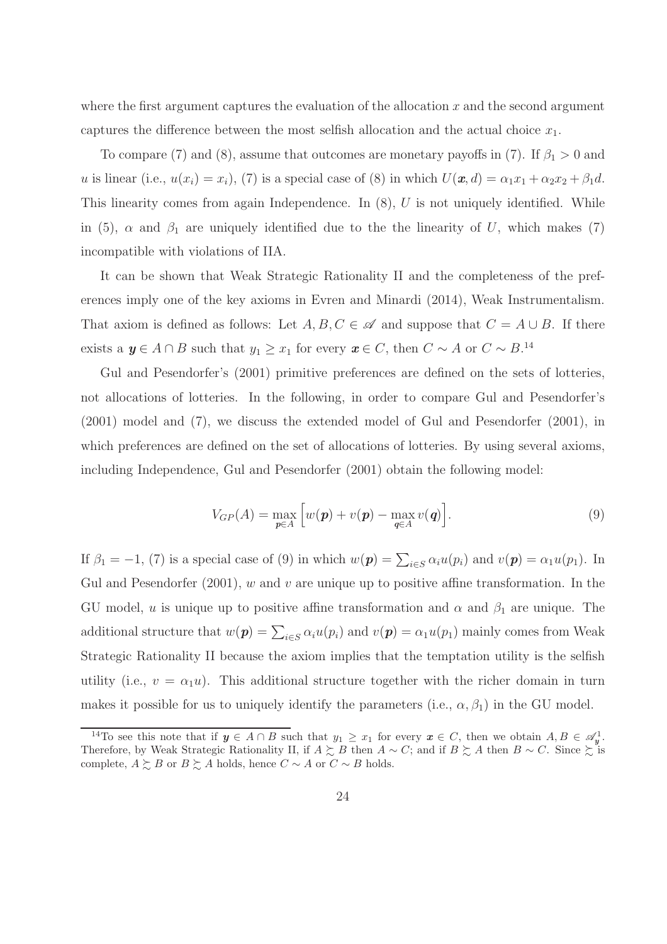where the first argument captures the evaluation of the allocation  $x$  and the second argument captures the difference between the most selfish allocation and the actual choice  $x_1$ .

To compare (7) and (8), assume that outcomes are monetary payoffs in (7). If  $\beta_1 > 0$  and u is linear (i.e.,  $u(x_i) = x_i$ ), (7) is a special case of (8) in which  $U(\mathbf{x}, d) = \alpha_1 x_1 + \alpha_2 x_2 + \beta_1 d$ . This linearity comes from again Independence. In  $(8)$ , U is not uniquely identified. While in (5),  $\alpha$  and  $\beta_1$  are uniquely identified due to the the linearity of U, which makes (7) incompatible with violations of IIA.

It can be shown that Weak Strategic Rationality II and the completeness of the preferences imply one of the key axioms in Evren and Minardi (2014), Weak Instrumentalism. That axiom is defined as follows: Let  $A, B, C \in \mathscr{A}$  and suppose that  $C = A \cup B$ . If there exists a  $y \in A \cap B$  such that  $y_1 \geq x_1$  for every  $x \in C$ , then  $C \sim A$  or  $C \sim B$ .<sup>14</sup>

Gul and Pesendorfer's (2001) primitive preferences are defined on the sets of lotteries, not allocations of lotteries. In the following, in order to compare Gul and Pesendorfer's (2001) model and (7), we discuss the extended model of Gul and Pesendorfer (2001), in which preferences are defined on the set of allocations of lotteries. By using several axioms, including Independence, Gul and Pesendorfer (2001) obtain the following model:

$$
V_{GP}(A) = \max_{\boldsymbol{p} \in A} \left[ w(\boldsymbol{p}) + v(\boldsymbol{p}) - \max_{\boldsymbol{q} \in A} v(\boldsymbol{q}) \right]. \tag{9}
$$

If  $\beta_1 = -1$ , (7) is a special case of (9) in which  $w(\mathbf{p}) = \sum_{i \in S} \alpha_i u(p_i)$  and  $v(\mathbf{p}) = \alpha_1 u(p_1)$ . In Gul and Pesendorfer  $(2001)$ , w and v are unique up to positive affine transformation. In the GU model, u is unique up to positive affine transformation and  $\alpha$  and  $\beta_1$  are unique. The additional structure that  $w(\mathbf{p}) = \sum_{i \in S} \alpha_i u(p_i)$  and  $v(\mathbf{p}) = \alpha_1 u(p_1)$  mainly comes from Weak Strategic Rationality II because the axiom implies that the temptation utility is the selfish utility (i.e.,  $v = \alpha_1 u$ ). This additional structure together with the richer domain in turn makes it possible for us to uniquely identify the parameters (i.e.,  $\alpha$ ,  $\beta$ <sub>1</sub>) in the GU model.

<sup>&</sup>lt;sup>14</sup>To see this note that if  $y \in A \cap B$  such that  $y_1 \geq x_1$  for every  $x \in C$ , then we obtain  $A, B \in \mathscr{A}_y^1$ . Therefore, by Weak Strategic Rationality II, if  $A \succeq B$  then  $A \sim C$ ; and if  $B \succeq A$  then  $B \sim C$ . Since  $\succeq$  is complete,  $A \succeq B$  or  $B \succeq A$  holds, hence  $C \sim A$  or  $C \sim B$  holds.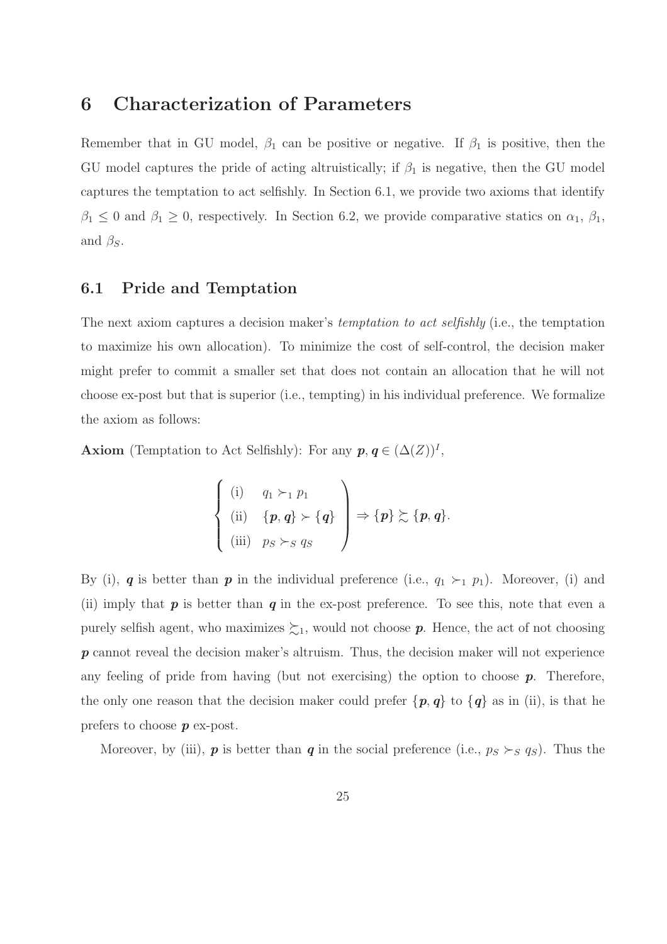#### 6 Characterization of Parameters

Remember that in GU model,  $\beta_1$  can be positive or negative. If  $\beta_1$  is positive, then the GU model captures the pride of acting altruistically; if  $\beta_1$  is negative, then the GU model captures the temptation to act selfishly. In Section 6.1, we provide two axioms that identify  $\beta_1 \leq 0$  and  $\beta_1 \geq 0$ , respectively. In Section 6.2, we provide comparative statics on  $\alpha_1$ ,  $\beta_1$ , and  $\beta_S$ .

#### 6.1 Pride and Temptation

The next axiom captures a decision maker's *temptation to act selfishly* (i.e., the temptation to maximize his own allocation). To minimize the cost of self-control, the decision maker might prefer to commit a smaller set that does not contain an allocation that he will not choose ex-post but that is superior (i.e., tempting) in his individual preference. We formalize the axiom as follows:

**Axiom** (Temptation to Act Selfishly): For any  $p, q \in (\Delta(Z))^I$ ,

$$
\left\{\n\begin{array}{ll}\n(i) & q_1 \succ_1 p_1 \\
(ii) & \{p, q\} \succ \{q\} \\
(iii) & p_S \succ_S q_S\n\end{array}\n\right\}\n\Rightarrow \{p\} \succsim \{p, q\}.
$$

By (i), q is better than p in the individual preference (i.e.,  $q_1 \succ_1 p_1$ ). Moreover, (i) and (ii) imply that  $p$  is better than  $q$  in the ex-post preference. To see this, note that even a purely selfish agent, who maximizes  $\succsim_1$ , would not choose **p**. Hence, the act of not choosing p cannot reveal the decision maker's altruism. Thus, the decision maker will not experience any feeling of pride from having (but not exercising) the option to choose  $p$ . Therefore, the only one reason that the decision maker could prefer  $\{p, q\}$  to  $\{q\}$  as in (ii), is that he prefers to choose  $p$  ex-post.

Moreover, by (iii), **p** is better than **q** in the social preference (i.e.,  $p_S \succ_S q_S$ ). Thus the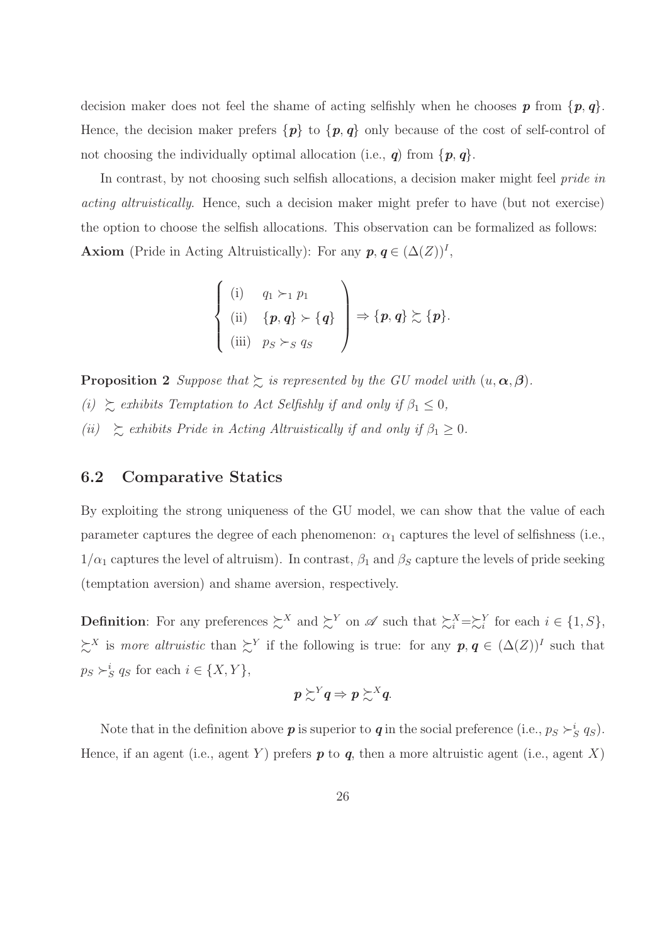decision maker does not feel the shame of acting selfishly when he chooses  $p$  from  $\{p, q\}$ . Hence, the decision maker prefers  $\{p\}$  to  $\{p, q\}$  only because of the cost of self-control of not choosing the individually optimal allocation (i.e., q) from  $\{p, q\}$ .

In contrast, by not choosing such selfish allocations, a decision maker might feel *pride in acting altruistically*. Hence, such a decision maker might prefer to have (but not exercise) the option to choose the selfish allocations. This observation can be formalized as follows: **Axiom** (Pride in Acting Altruistically): For any  $p, q \in (\Delta(Z))^I$ ,

$$
\left\{\n\begin{array}{ll}\n(i) & q_1 \succ_1 p_1 \\
(ii) & \{p, q\} \succ \{q\} \\
(iii) & p_S \succ_S q_S\n\end{array}\n\right\}\n\Rightarrow \{p, q\} \gtrsim \{p\}.
$$

**Proposition 2** *Suppose that*  $\succsim$  *is represented by the GU model with*  $(u, \alpha, \beta)$ *.* 

- *(i)*  $\gtrsim$  *exhibits Temptation to Act Selfishly if and only if*  $\beta_1 \leq 0$ *,*
- *(ii)*  $\geq$  *exhibits Pride in Acting Altruistically if and only if*  $\beta_1 \geq 0$ *.*

#### 6.2 Comparative Statics

By exploiting the strong uniqueness of the GU model, we can show that the value of each parameter captures the degree of each phenomenon:  $\alpha_1$  captures the level of selfishness (i.e.,  $1/\alpha_1$  captures the level of altruism). In contrast,  $\beta_1$  and  $\beta_S$  capture the levels of pride seeking (temptation aversion) and shame aversion, respectively.

**Definition:** For any preferences  $\succsim^{X}$  and  $\succsim^{Y}$  on  $\mathscr{A}$  such that  $\succsim^{X}_{i} = \succsim^{Y}_{i}$  for each  $i \in \{1, S\}$ ,  $\sum^{X}$  is *more altruistic* than  $\sum^{Y}$  if the following is true: for any  $p, q \in (\Delta(Z))^I$  such that  $p_S \succ_S^i q_S$  for each  $i \in \{X, Y\},\$ 

$$
p\succsim^Y\! q \Rightarrow p\succsim^X\! q.
$$

Note that in the definition above **p** is superior to **q** in the social preference (i.e.,  $p_S \succ_S^i q_S$ ). Hence, if an agent (i.e., agent Y) prefers  $p$  to  $q$ , then a more altruistic agent (i.e., agent X)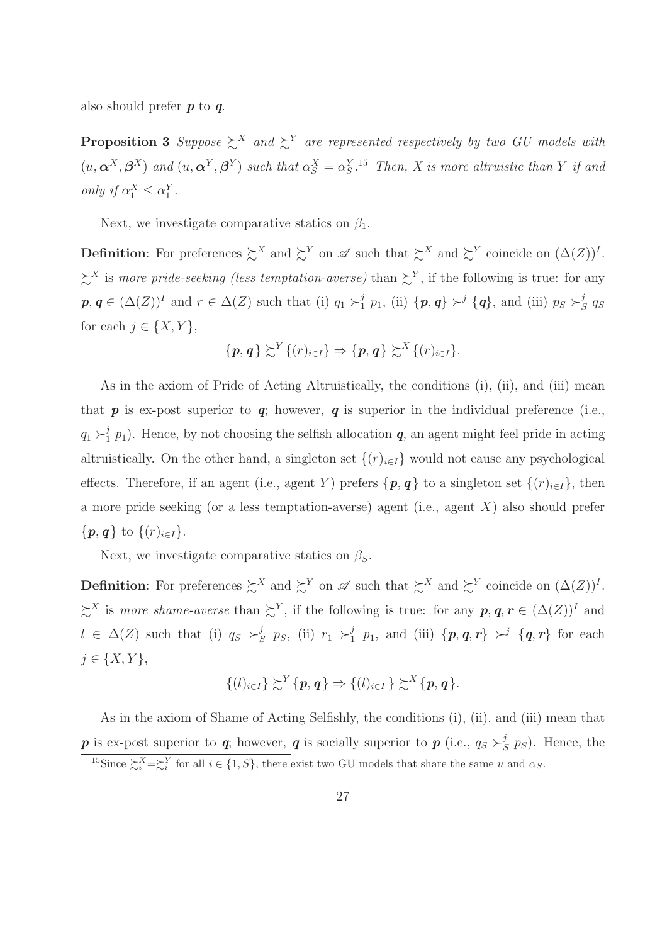also should prefer  $p$  to  $q$ .

**Proposition 3** Suppose  $\sum^{X}$  and  $\sum^{Y}$  are represented respectively by two GU models with  $(u, \boldsymbol{\alpha}^X, \boldsymbol{\beta}^X)$  and  $(u, \boldsymbol{\alpha}^Y, \boldsymbol{\beta}^Y)$  such that  $\alpha_S^X = \alpha_S^Y$ .<sup>15</sup> Then, X is more altruistic than Y if and *only if*  $\alpha_1^X \leq \alpha_1^Y$ .

Next, we investigate comparative statics on  $\beta_1$ .

**Definition:** For preferences  $\succsim^{X}$  and  $\succsim^{Y}$  on  $\mathscr{A}$  such that  $\succsim^{X}$  and  $\succsim^{Y}$  coincide on  $(\Delta(Z))^I$ .  $\sum^{X}$  is *more pride-seeking (less temptation-averse)* than  $\sum^{Y}$ , if the following is true: for any  $p, q \in (\Delta(Z))^I$  and  $r \in \Delta(Z)$  such that (i)  $q_1 \succ_1^j$  $\frac{j}{1}$   $p_1$ , (ii)  $\{p, q\} \succ^j \{q\}$ , and (iii)  $p_S \succ^j_S$  $^{\jmath}_S$   $q_S$ for each  $j \in \{X, Y\},\$ 

$$
\{\boldsymbol{p},\boldsymbol{q}\}\succsim^Y\{(r)_{i\in I}\}\Rightarrow\{\boldsymbol{p},\boldsymbol{q}\}\succsim^X\{(r)_{i\in I}\}.
$$

As in the axiom of Pride of Acting Altruistically, the conditions (i), (ii), and (iii) mean that  $p$  is ex-post superior to  $q$ ; however,  $q$  is superior in the individual preference (i.e.,  $q_1 \succ_1^j p_1$ ). Hence, by not choosing the selfish allocation  $q$ , an agent might feel pride in acting altruistically. On the other hand, a singleton set  $\{(r)_{i\in I}\}\$  would not cause any psychological effects. Therefore, if an agent (i.e., agent Y) prefers  $\{p, q\}$  to a singleton set  $\{(r)_{i\in I}\}\$ , then a more pride seeking (or a less temptation-averse) agent (i.e., agent  $X$ ) also should prefer  $\{p, q\}$  to  $\{(r)_{i \in I}\}.$ 

Next, we investigate comparative statics on  $\beta_S$ .

**Definition:** For preferences  $\succsim^{X}$  and  $\succsim^{Y}$  on  $\mathscr{A}$  such that  $\succsim^{X}$  and  $\succsim^{Y}$  coincide on  $(\Delta(Z))^I$ .  $\sum^X$  is *more shame-averse* than  $\sum^Y$ , if the following is true: for any  $p, q, r \in (\Delta(Z))^I$  and  $l \in \Delta(Z)$  such that (i)  $q_S \succ_S^j$  $S_S^j$   $p_S$ , (ii)  $r_1 \succ_1^j p_1$ , and (iii)  $\{p, q, r\} \succ_1^j \{q, r\}$  for each  $j \in \{X, Y\},\$ 

$$
\{(l)_{i\in I}\} \succsim^{Y} \{\boldsymbol{p}, \boldsymbol{q}\} \Rightarrow \{(l)_{i\in I}\} \succsim^{X} \{\boldsymbol{p}, \boldsymbol{q}\}.
$$

As in the axiom of Shame of Acting Selfishly, the conditions (i), (ii), and (iii) mean that p is ex-post superior to q; however, q is socially superior to p (i.e.,  $q_S \succ_S^j$  $_S^j$   $p_S$ ). Hence, the <sup>15</sup>Since  $\sum_{i=1}^{N} \sum_{i=1}^{N}$  for all  $i \in \{1, S\}$ , there exist two GU models that share the same u and  $\alpha_S$ .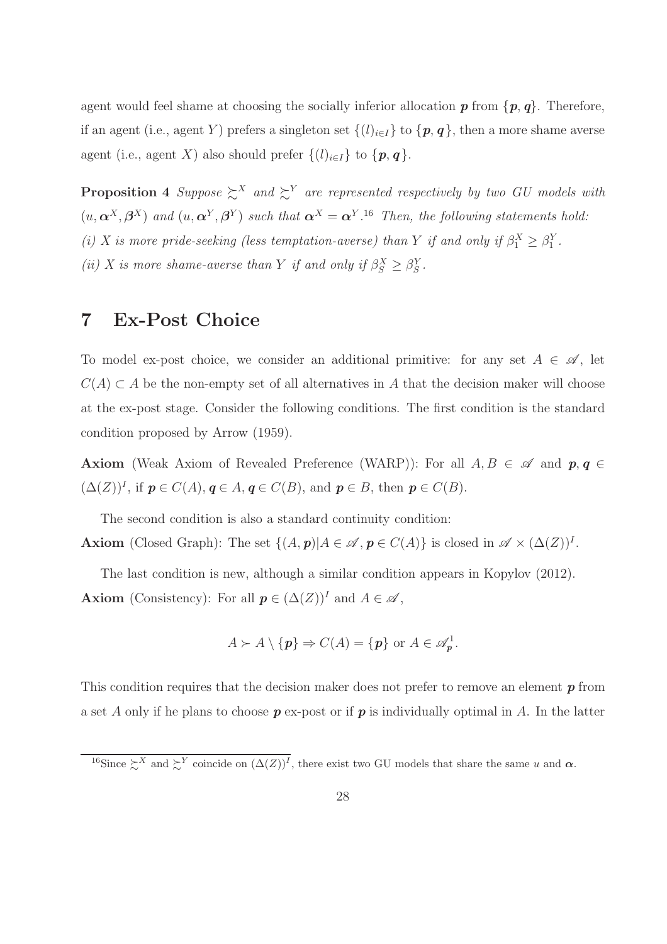agent would feel shame at choosing the socially inferior allocation  $p$  from  $\{p, q\}$ . Therefore, if an agent (i.e., agent Y) prefers a singleton set  $\{(l)_{i\in I}\}\)$  to  $\{\boldsymbol{p},\boldsymbol{q}\}\$ , then a more shame averse agent (i.e., agent X) also should prefer  $\{(l)_{i\in I}\}\)$  to  $\{\boldsymbol{p},\boldsymbol{q}\}.$ 

**Proposition 4** *Suppose*  $\sum^{X}$  *and*  $\sum^{Y}$  *are represented respectively by two GU models with*  $(u, \boldsymbol{\alpha}^X, \boldsymbol{\beta}^X)$  and  $(u, \boldsymbol{\alpha}^Y, \boldsymbol{\beta}^Y)$  such that  $\boldsymbol{\alpha}^X = \boldsymbol{\alpha}^Y$ .<sup>16</sup> Then, the following statements hold: (*i*) *X* is more pride-seeking (less temptation-averse) than *Y* if and only if  $\beta_1^X \geq \beta_1^Y$ . (*ii*) *X* is more shame-averse than *Y* if and only if  $\beta_S^X \geq \beta_S^Y$ .

## 7 Ex-Post Choice

To model ex-post choice, we consider an additional primitive: for any set  $A \in \mathscr{A}$ , let  $C(A) \subset A$  be the non-empty set of all alternatives in A that the decision maker will choose at the ex-post stage. Consider the following conditions. The first condition is the standard condition proposed by Arrow (1959).

**Axiom** (Weak Axiom of Revealed Preference (WARP)): For all  $A, B \in \mathscr{A}$  and  $p, q \in$  $(\Delta(Z))^I$ , if  $p \in C(A)$ ,  $q \in A$ ,  $q \in C(B)$ , and  $p \in B$ , then  $p \in C(B)$ .

The second condition is also a standard continuity condition: **Axiom** (Closed Graph): The set  $\{(A, p) | A \in \mathcal{A}, p \in C(A)\}$  is closed in  $\mathcal{A} \times (\Delta(Z))^I$ .

The last condition is new, although a similar condition appears in Kopylov (2012). **Axiom** (Consistency): For all  $p \in (\Delta(Z))^I$  and  $A \in \mathcal{A}$ ,

$$
A \succ A \setminus \{p\} \Rightarrow C(A) = \{p\} \text{ or } A \in \mathscr{A}_p^1.
$$

This condition requires that the decision maker does not prefer to remove an element  $\boldsymbol{p}$  from a set A only if he plans to choose  $p$  ex-post or if p is individually optimal in A. In the latter

<sup>&</sup>lt;sup>16</sup>Since  $\succsim^{X}$  and  $\succsim^{Y}$  coincide on  $(\Delta(Z))^I$ , there exist two GU models that share the same u and  $\alpha$ .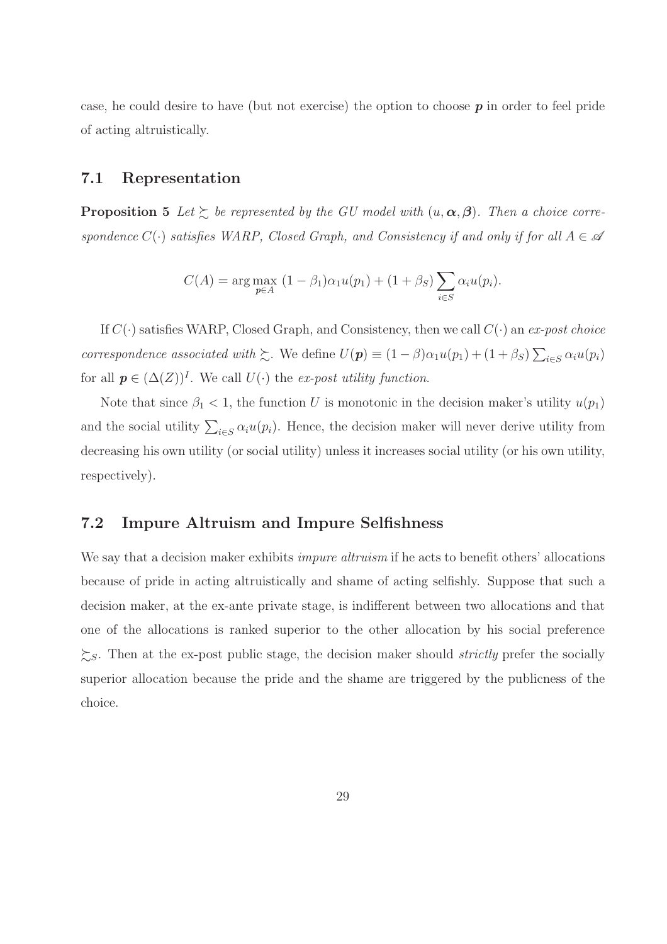case, he could desire to have (but not exercise) the option to choose  $p$  in order to feel pride of acting altruistically.

#### 7.1 Representation

**Proposition 5** Let  $\succsim$  be represented by the GU model with  $(u, \alpha, \beta)$ . Then a choice corre*spondence*  $C(\cdot)$  *satisfies WARP, Closed Graph, and Consistency if and only if for all*  $A \in \mathcal{A}$ 

$$
C(A) = \arg \max_{p \in A} (1 - \beta_1) \alpha_1 u(p_1) + (1 + \beta_S) \sum_{i \in S} \alpha_i u(p_i).
$$

If C(·) satisfies WARP, Closed Graph, and Consistency, then we call C(·) an *ex-post choice correspondence associated with*  $\succsim$ . We define  $U(\mathbf{p}) \equiv (1 - \beta)\alpha_1 u(p_1) + (1 + \beta_S) \sum_{i \in S} \alpha_i u(p_i)$ for all  $p \in (\Delta(Z))^I$ . We call  $U(\cdot)$  the *ex-post utility function*.

Note that since  $\beta_1$  < 1, the function U is monotonic in the decision maker's utility  $u(p_1)$ and the social utility  $\sum_{i\in S} \alpha_i u(p_i)$ . Hence, the decision maker will never derive utility from decreasing his own utility (or social utility) unless it increases social utility (or his own utility, respectively).

#### 7.2 Impure Altruism and Impure Selfishness

We say that a decision maker exhibits *impure altruism* if he acts to benefit others' allocations because of pride in acting altruistically and shame of acting selfishly. Suppose that such a decision maker, at the ex-ante private stage, is indifferent between two allocations and that one of the allocations is ranked superior to the other allocation by his social preference  $\sum_{S}$ . Then at the ex-post public stage, the decision maker should *strictly* prefer the socially superior allocation because the pride and the shame are triggered by the publicness of the choice.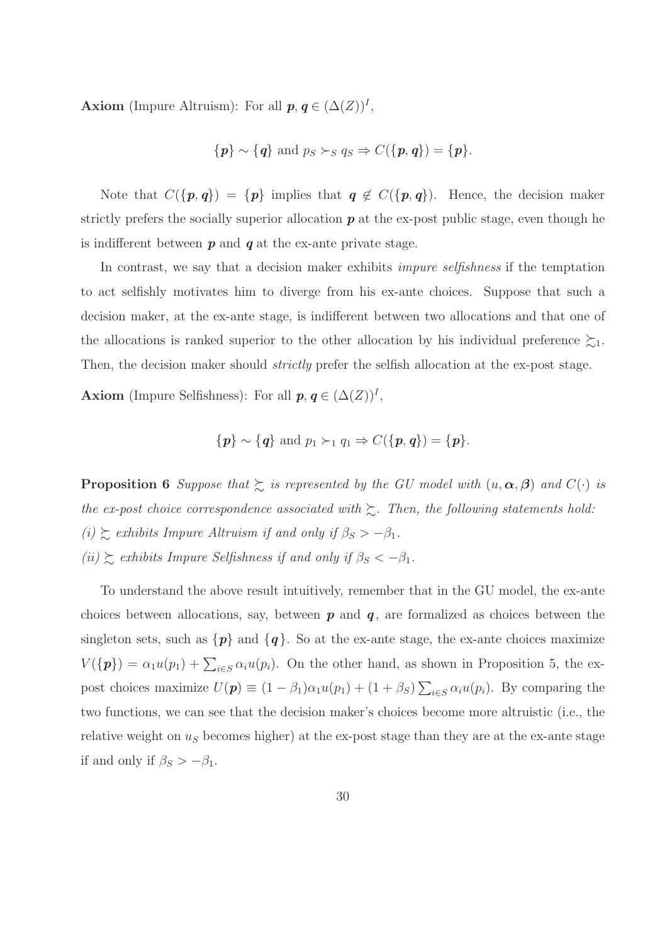**Axiom** (Impure Altruism): For all  $p, q \in (\Delta(Z))^I$ ,

$$
{p} \sim {q} \text{ and } p_S \succ_S q_S \Rightarrow C({p, q}) = {p}.
$$

Note that  $C({p, q}) = {p}$  implies that  $q \notin C({p, q})$ . Hence, the decision maker strictly prefers the socially superior allocation  $p$  at the ex-post public stage, even though he is indifferent between  $p$  and  $q$  at the ex-ante private stage.

In contrast, we say that a decision maker exhibits *impure selfishness* if the temptation to act selfishly motivates him to diverge from his ex-ante choices. Suppose that such a decision maker, at the ex-ante stage, is indifferent between two allocations and that one of the allocations is ranked superior to the other allocation by his individual preference  $\succsim_1$ . Then, the decision maker should *strictly* prefer the selfish allocation at the ex-post stage.

**Axiom** (Impure Selfishness): For all  $p, q \in (\Delta(Z))^I$ ,

$$
{p} \sim {q} \text{ and } p_1 \succ_1 q_1 \Rightarrow C({p, q}) = {p}.
$$

**Proposition 6** *Suppose that*  $\geq$  *is represented by the GU model with*  $(u, \alpha, \beta)$  *and*  $C(\cdot)$  *is the ex-post choice correspondence associated with*  $\gtrsim$ . Then, the following statements hold: *(i)*  $\succsim$  *exhibits Impure Altruism if and only if*  $\beta_S > -\beta_1$ *.*  $(ii) \succeq$  *exhibits Impure Selfishness if and only if*  $\beta_S < -\beta_1$ *.* 

To understand the above result intuitively, remember that in the GU model, the ex-ante choices between allocations, say, between  $p$  and  $q$ , are formalized as choices between the singleton sets, such as  $\{p\}$  and  $\{q\}$ . So at the ex-ante stage, the ex-ante choices maximize  $V(\{p\}) = \alpha_1 u(p_1) + \sum_{i \in S} \alpha_i u(p_i)$ . On the other hand, as shown in Proposition 5, the expost choices maximize  $U(\mathbf{p}) \equiv (1 - \beta_1)\alpha_1 u(p_1) + (1 + \beta_S) \sum_{i \in S} \alpha_i u(p_i)$ . By comparing the two functions, we can see that the decision maker's choices become more altruistic (i.e., the relative weight on  $u<sub>S</sub>$  becomes higher) at the ex-post stage than they are at the ex-ante stage if and only if  $\beta_S > -\beta_1$ .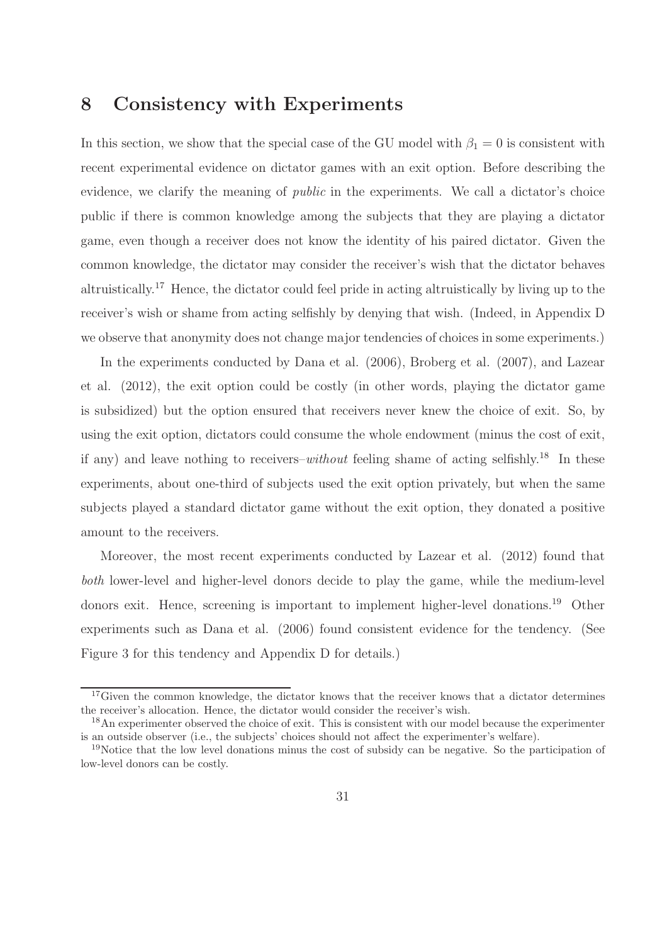### 8 Consistency with Experiments

In this section, we show that the special case of the GU model with  $\beta_1 = 0$  is consistent with recent experimental evidence on dictator games with an exit option. Before describing the evidence, we clarify the meaning of *public* in the experiments. We call a dictator's choice public if there is common knowledge among the subjects that they are playing a dictator game, even though a receiver does not know the identity of his paired dictator. Given the common knowledge, the dictator may consider the receiver's wish that the dictator behaves altruistically.<sup>17</sup> Hence, the dictator could feel pride in acting altruistically by living up to the receiver's wish or shame from acting selfishly by denying that wish. (Indeed, in Appendix D we observe that anonymity does not change major tendencies of choices in some experiments.)

In the experiments conducted by Dana et al. (2006), Broberg et al. (2007), and Lazear et al. (2012), the exit option could be costly (in other words, playing the dictator game is subsidized) but the option ensured that receivers never knew the choice of exit. So, by using the exit option, dictators could consume the whole endowment (minus the cost of exit, if any) and leave nothing to receivers–*without* feeling shame of acting selfishly.<sup>18</sup> In these experiments, about one-third of subjects used the exit option privately, but when the same subjects played a standard dictator game without the exit option, they donated a positive amount to the receivers.

Moreover, the most recent experiments conducted by Lazear et al. (2012) found that *both* lower-level and higher-level donors decide to play the game, while the medium-level donors exit. Hence, screening is important to implement higher-level donations.<sup>19</sup> Other experiments such as Dana et al. (2006) found consistent evidence for the tendency. (See Figure 3 for this tendency and Appendix D for details.)

<sup>&</sup>lt;sup>17</sup>Given the common knowledge, the dictator knows that the receiver knows that a dictator determines the receiver's allocation. Hence, the dictator would consider the receiver's wish.

<sup>&</sup>lt;sup>18</sup>An experimenter observed the choice of exit. This is consistent with our model because the experimenter is an outside observer (i.e., the subjects' choices should not affect the experimenter's welfare).

<sup>&</sup>lt;sup>19</sup>Notice that the low level donations minus the cost of subsidy can be negative. So the participation of low-level donors can be costly.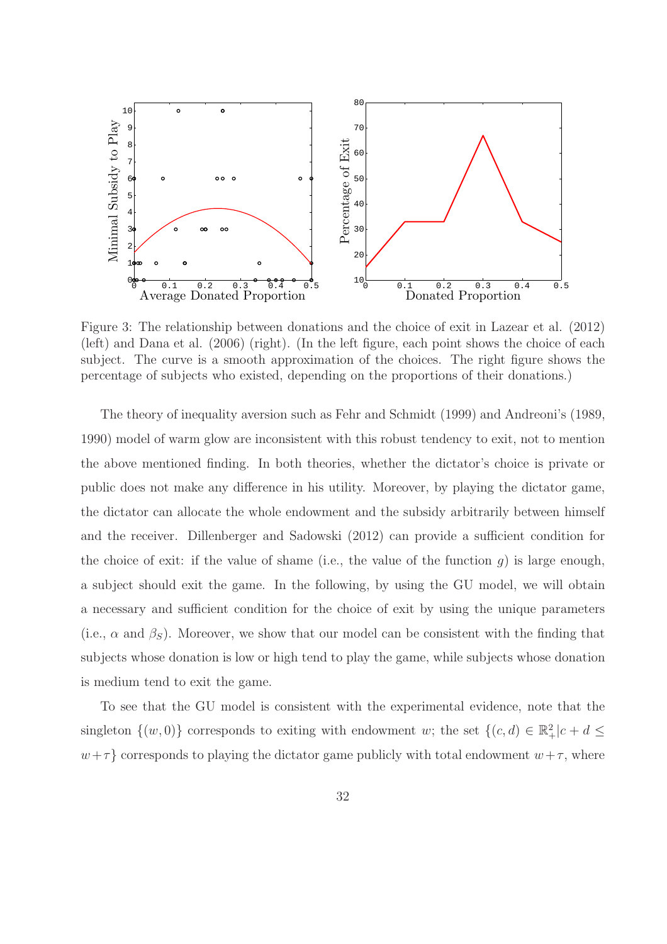

Figure 3: The relationship between donations and the choice of exit in Lazear et al. (2012) (left) and Dana et al. (2006) (right). (In the left figure, each point shows the choice of each subject. The curve is a smooth approximation of the choices. The right figure shows the percentage of subjects who existed, depending on the proportions of their donations.)

The theory of inequality aversion such as Fehr and Schmidt (1999) and Andreoni's (1989, 1990) model of warm glow are inconsistent with this robust tendency to exit, not to mention the above mentioned finding. In both theories, whether the dictator's choice is private or public does not make any difference in his utility. Moreover, by playing the dictator game, the dictator can allocate the whole endowment and the subsidy arbitrarily between himself and the receiver. Dillenberger and Sadowski (2012) can provide a sufficient condition for the choice of exit: if the value of shame (i.e., the value of the function  $g$ ) is large enough, a subject should exit the game. In the following, by using the GU model, we will obtain a necessary and sufficient condition for the choice of exit by using the unique parameters (i.e.,  $\alpha$  and  $\beta_S$ ). Moreover, we show that our model can be consistent with the finding that subjects whose donation is low or high tend to play the game, while subjects whose donation is medium tend to exit the game.

To see that the GU model is consistent with the experimental evidence, note that the singleton  $\{(w, 0)\}\)$  corresponds to exiting with endowment w; the set  $\{(c, d) \in \mathbb{R}^2_+ | c + d \leq d\}$  $w+\tau$ } corresponds to playing the dictator game publicly with total endowment  $w+\tau$ , where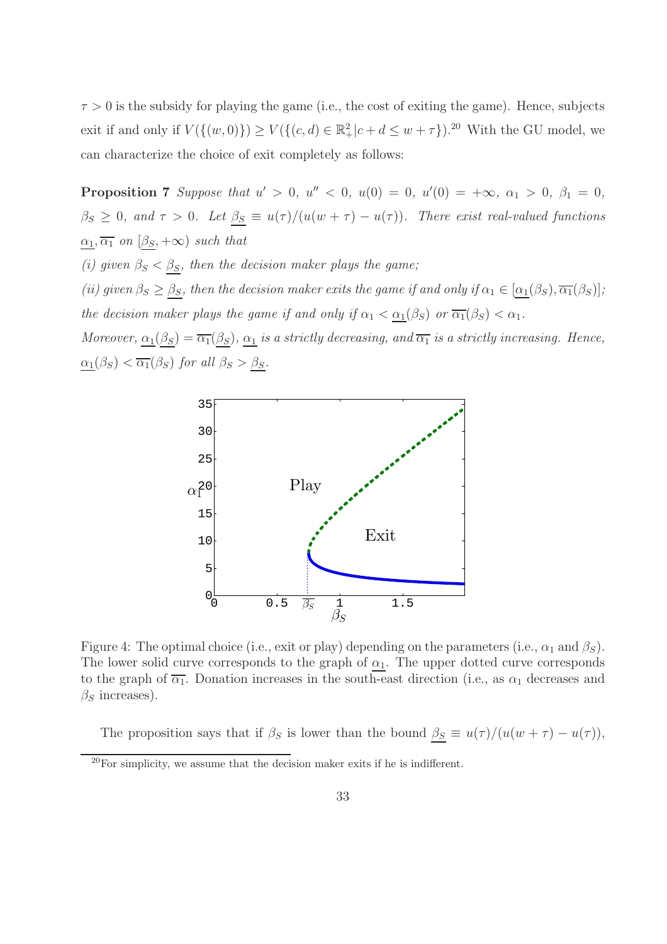$\tau > 0$  is the subsidy for playing the game (i.e., the cost of exiting the game). Hence, subjects exit if and only if  $V(\{(w,0)\}) \geq V(\{(c,d) \in \mathbb{R}^2_+ | c+d \leq w+\tau\})$ .<sup>20</sup> With the GU model, we can characterize the choice of exit completely as follows:

**Proposition 7** Suppose that  $u' > 0$ ,  $u'' < 0$ ,  $u(0) = 0$ ,  $u'(0) = +\infty$ ,  $\alpha_1 > 0$ ,  $\beta_1 = 0$ ,  $\beta_S \geq 0$ , and  $\tau > 0$ . Let  $\beta_S \equiv u(\tau)/(u(w + \tau) - u(\tau))$ . There exist real-valued functions  $\alpha_1, \overline{\alpha_1}$  *on*  $(\beta_S, +\infty)$  *such that (i) given*  $\beta_S < \beta_S$ , then the decision maker plays the game;

*(ii) given*  $\beta_S \geq \beta_S$ *, then the decision maker exits the game if and only if*  $\alpha_1 \in [\alpha_1(\beta_S), \overline{\alpha_1}(\beta_S)]$ ; *the decision maker plays the game if and only if*  $\alpha_1 < \alpha_1(\beta_S)$  *or*  $\overline{\alpha_1}(\beta_S) < \alpha_1$ *.* 

*Moreover,*  $\alpha_1(\beta_S) = \overline{\alpha_1}(\beta_S)$ ,  $\alpha_1$  *is a strictly decreasing, and*  $\overline{\alpha_1}$  *is a strictly increasing. Hence,*  $\alpha_1(\beta_S) < \overline{\alpha_1}(\beta_S)$  *for all*  $\beta_S > \beta_S$ *.* 



Figure 4: The optimal choice (i.e., exit or play) depending on the parameters (i.e.,  $\alpha_1$  and  $\beta_S$ ). The lower solid curve corresponds to the graph of  $\alpha_1$ . The upper dotted curve corresponds to the graph of  $\overline{\alpha_1}$ . Donation increases in the south-east direction (i.e., as  $\alpha_1$  decreases and  $\beta_S$  increases).

The proposition says that if  $\beta_S$  is lower than the bound  $\beta_S \equiv u(\tau)/(u(w + \tau) - u(\tau)),$ 

 $20$ For simplicity, we assume that the decision maker exits if he is indifferent.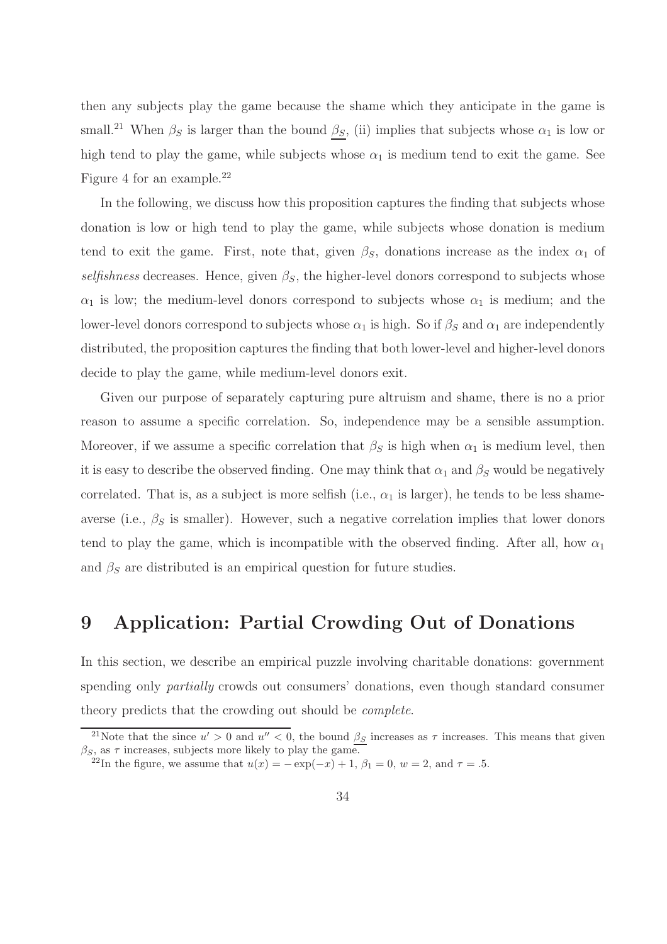then any subjects play the game because the shame which they anticipate in the game is small.<sup>21</sup> When  $\beta_S$  is larger than the bound  $\beta_S$ , (ii) implies that subjects whose  $\alpha_1$  is low or high tend to play the game, while subjects whose  $\alpha_1$  is medium tend to exit the game. See Figure 4 for an example.<sup>22</sup>

In the following, we discuss how this proposition captures the finding that subjects whose donation is low or high tend to play the game, while subjects whose donation is medium tend to exit the game. First, note that, given  $\beta_S$ , donations increase as the index  $\alpha_1$  of  $selfshness$  decreases. Hence, given  $\beta_s$ , the higher-level donors correspond to subjects whose  $\alpha_1$  is low; the medium-level donors correspond to subjects whose  $\alpha_1$  is medium; and the lower-level donors correspond to subjects whose  $\alpha_1$  is high. So if  $\beta_S$  and  $\alpha_1$  are independently distributed, the proposition captures the finding that both lower-level and higher-level donors decide to play the game, while medium-level donors exit.

Given our purpose of separately capturing pure altruism and shame, there is no a prior reason to assume a specific correlation. So, independence may be a sensible assumption. Moreover, if we assume a specific correlation that  $\beta_S$  is high when  $\alpha_1$  is medium level, then it is easy to describe the observed finding. One may think that  $\alpha_1$  and  $\beta_S$  would be negatively correlated. That is, as a subject is more selfish (i.e.,  $\alpha_1$  is larger), he tends to be less shameaverse (i.e.,  $\beta_S$  is smaller). However, such a negative correlation implies that lower donors tend to play the game, which is incompatible with the observed finding. After all, how  $\alpha_1$ and  $\beta_S$  are distributed is an empirical question for future studies.

## 9 Application: Partial Crowding Out of Donations

In this section, we describe an empirical puzzle involving charitable donations: government spending only *partially* crowds out consumers' donations, even though standard consumer theory predicts that the crowding out should be *complete*.

<sup>&</sup>lt;sup>21</sup>Note that the since  $u' > 0$  and  $u'' < 0$ , the bound  $\beta_S$  increases as  $\tau$  increases. This means that given  $\beta_S$ , as  $\tau$  increases, subjects more likely to play the game.

<sup>&</sup>lt;sup>22</sup>In the figure, we assume that  $u(x) = -\exp(-x) + 1$ ,  $\beta_1 = 0$ ,  $w = 2$ , and  $\tau = 0.5$ .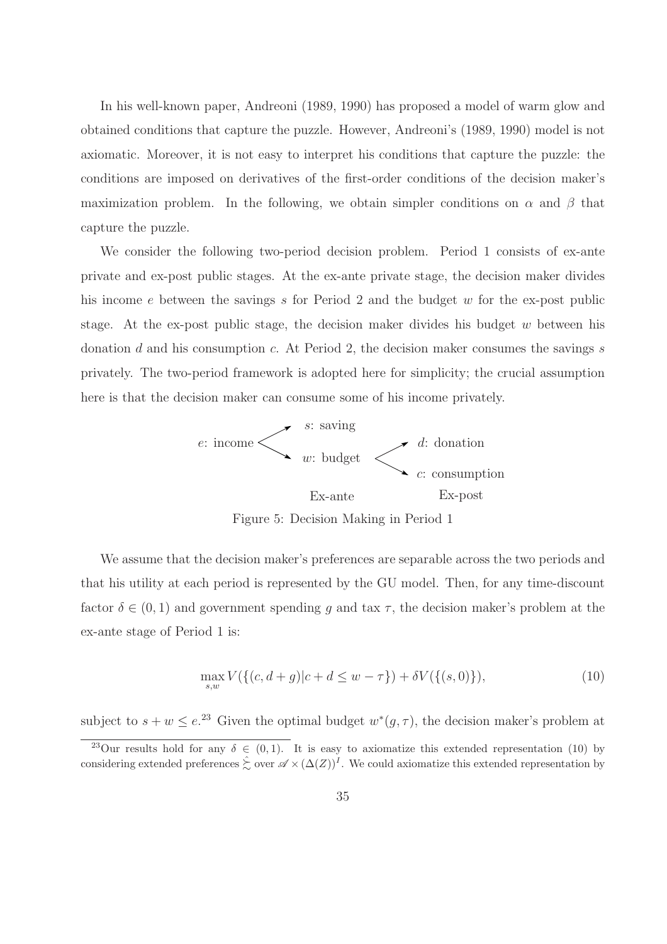In his well-known paper, Andreoni (1989, 1990) has proposed a model of warm glow and obtained conditions that capture the puzzle. However, Andreoni's (1989, 1990) model is not axiomatic. Moreover, it is not easy to interpret his conditions that capture the puzzle: the conditions are imposed on derivatives of the first-order conditions of the decision maker's maximization problem. In the following, we obtain simpler conditions on  $\alpha$  and  $\beta$  that capture the puzzle.

We consider the following two-period decision problem. Period 1 consists of ex-ante private and ex-post public stages. At the ex-ante private stage, the decision maker divides his income e between the savings s for Period 2 and the budget w for the ex-post public stage. At the ex-post public stage, the decision maker divides his budget  $w$  between his donation d and his consumption c. At Period 2, the decision maker consumes the savings  $s$ privately. The two-period framework is adopted here for simplicity; the crucial assumption here is that the decision maker can consume some of his income privately.



Figure 5: Decision Making in Period 1

We assume that the decision maker's preferences are separable across the two periods and that his utility at each period is represented by the GU model. Then, for any time-discount factor  $\delta \in (0,1)$  and government spending g and tax  $\tau$ , the decision maker's problem at the ex-ante stage of Period 1 is:

$$
\max_{s,w} V(\{(c,d+g)|c+d \le w-\tau\}) + \delta V(\{(s,0)\}),\tag{10}
$$

subject to  $s + w \leq e^{23}$  Given the optimal budget  $w^*(g, \tau)$ , the decision maker's problem at

<sup>&</sup>lt;sup>23</sup>Our results hold for any  $\delta \in (0,1)$ . It is easy to axiomatize this extended representation (10) by considering extended preferences  $\hat{\succ}$  over  $\mathscr{A} \times (\Delta(Z))^I$ . We could axiomatize this extended representation by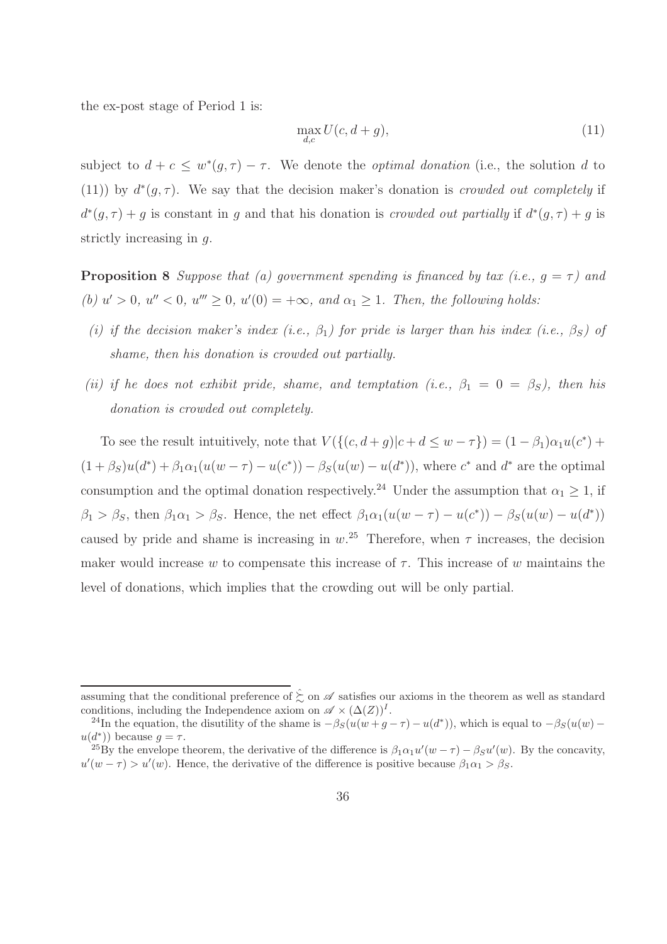the ex-post stage of Period 1 is:

$$
\max_{d,c} U(c, d+g),\tag{11}
$$

subject to  $d + c \leq w^*(g, \tau) - \tau$ . We denote the *optimal donation* (i.e., the solution d to (11)) by  $d^*(g, \tau)$ . We say that the decision maker's donation is *crowded out completely* if  $d^*(g, \tau) + g$  is constant in g and that his donation is *crowded out partially* if  $d^*(g, \tau) + g$  is strictly increasing in g.

**Proposition 8** *Suppose that (a) government spending is financed by tax (i.e.,*  $q = \tau$ ) *and* (b)  $u' > 0$ ,  $u'' < 0$ ,  $u''' \ge 0$ ,  $u'(0) = +\infty$ , and  $\alpha_1 \ge 1$ . Then, the following holds:

- *(i) if the decision maker's index (i.e.,*  $\beta_1$ *) for pride is larger than his index (i.e.,*  $\beta_S$ *) of shame, then his donation is crowded out partially.*
- *(ii) if he does not exhibit pride, shame, and temptation (i.e.,*  $\beta_1 = 0 = \beta_S$ *), then his donation is crowded out completely.*

To see the result intuitively, note that  $V(\{(c, d+g)|c+d \leq w-\tau\}) = (1-\beta_1)\alpha_1 u(c^*) +$  $(1 + \beta_S)u(d^*) + \beta_1\alpha_1(u(w - \tau) - u(c^*)) - \beta_S(u(w) - u(d^*)),$  where  $c^*$  and  $d^*$  are the optimal consumption and the optimal donation respectively.<sup>24</sup> Under the assumption that  $\alpha_1 \geq 1$ , if  $\beta_1 > \beta_S$ , then  $\beta_1\alpha_1 > \beta_S$ . Hence, the net effect  $\beta_1\alpha_1(u(w-\tau) - u(c^*)) - \beta_S(u(w) - u(d^*))$ caused by pride and shame is increasing in  $w^{25}$  Therefore, when  $\tau$  increases, the decision maker would increase w to compensate this increase of  $\tau$ . This increase of w maintains the level of donations, which implies that the crowding out will be only partial.

assuming that the conditional preference of  $\hat{\Sigma}$  on  $\mathscr A$  satisfies our axioms in the theorem as well as standard conditions, including the Independence axiom on  $\mathscr{A} \times (\Delta(Z))^I$ .

<sup>&</sup>lt;sup>24</sup>In the equation, the disutility of the shame is  $-\beta_S(u(w+g-\tau)-u(d^*))$ , which is equal to  $-\beta_S(u(w)-d)$  $u(d^*)$ ) because  $g = \tau$ .

<sup>&</sup>lt;sup>25</sup>By the envelope theorem, the derivative of the difference is  $\beta_1 \alpha_1 u'(w - \tau) - \beta_S u'(w)$ . By the concavity,  $u'(w - \tau) > u'(w)$ . Hence, the derivative of the difference is positive because  $\beta_1 \alpha_1 > \beta_S$ .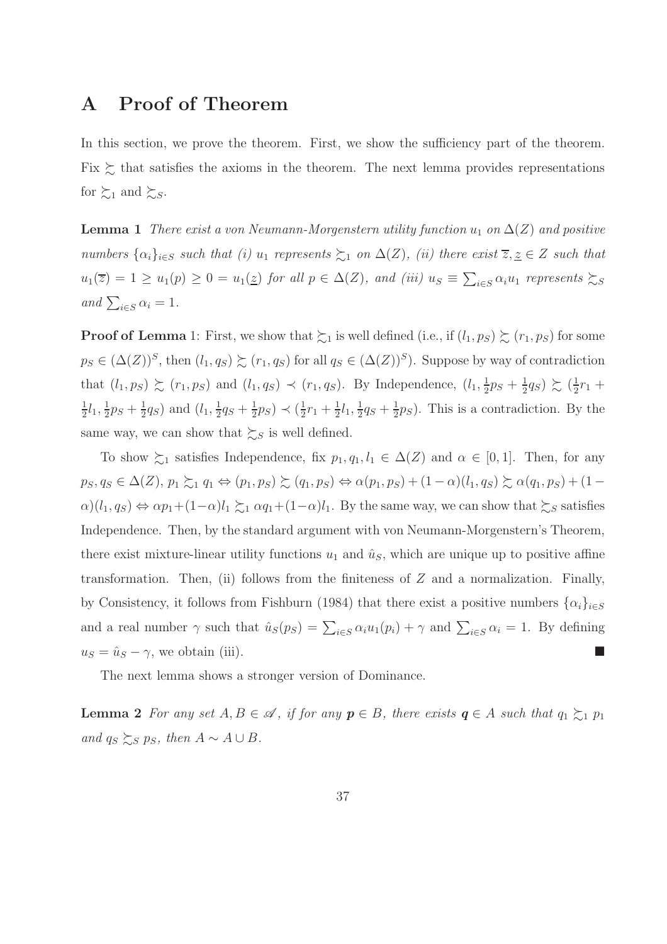### A Proof of Theorem

In this section, we prove the theorem. First, we show the sufficiency part of the theorem. Fix  $\succsim$  that satisfies the axioms in the theorem. The next lemma provides representations for  $\succsim_1$  and  $\succsim_{S}$ .

**Lemma 1** *There exist a von Neumann-Morgenstern utility function*  $u_1$  *on*  $\Delta(Z)$  *and positive numbers*  $\{\alpha_i\}_{i\in S}$  *such that (i)*  $u_1$  *represents*  $\succeq_1$  *on*  $\Delta(Z)$ *, (ii) there exist*  $\overline{z}, \underline{z} \in Z$  *such that*  $u_1(\overline{z}) = 1 \ge u_1(p) \ge 0 = u_1(\underline{z})$  for all  $p \in \Delta(Z)$ , and (iii)  $u_S \equiv \sum_{i \in S} \alpha_i u_1$  represents  $\succsim_S$  $and \sum_{i \in S} \alpha_i = 1.$ 

**Proof of Lemma** 1: First, we show that  $\succsim_1$  is well defined (i.e., if  $(l_1, p_S) \succsim (r_1, p_S)$  for some  $p_S \in (\Delta(Z))^S$ , then  $(l_1, q_S) \succsim (r_1, q_S)$  for all  $q_S \in (\Delta(Z))^S$ ). Suppose by way of contradiction that  $(l_1, p_S) \succeq (r_1, p_S)$  and  $(l_1, q_S) \prec (r_1, q_S)$ . By Independence,  $(l_1, \frac{1}{2})$  $rac{1}{2}p_S + \frac{1}{2}$  $\frac{1}{2}q_S$ )  $\succsim (\frac{1}{2})$  $rac{1}{2}r_1 +$ 1  $\frac{1}{2}l_1, \frac{1}{2}$  $rac{1}{2}p_S + \frac{1}{2}$  $\frac{1}{2}q_S$ ) and  $(l_1, \frac{1}{2})$  $rac{1}{2}q_S + \frac{1}{2}$  $\frac{1}{2}p_S$ )  $\prec (\frac{1}{2})$  $rac{1}{2}r_1 + \frac{1}{2}$  $\frac{1}{2}l_1, \frac{1}{2}$  $rac{1}{2}q_S + \frac{1}{2}$  $\frac{1}{2}p_S$ ). This is a contradiction. By the same way, we can show that  $\gtrsim_S$  is well defined.

To show  $\succsim_1$  satisfies Independence, fix  $p_1, q_1, l_1 \in \Delta(Z)$  and  $\alpha \in [0,1]$ . Then, for any  $p_S, q_S \in \Delta(Z), p_1 \succsim_1 q_1 \Leftrightarrow (p_1, p_S) \succsim (q_1, p_S) \Leftrightarrow \alpha(p_1, p_S) + (1 - \alpha)(l_1, q_S) \succsim \alpha(q_1, p_S) + (1 - \alpha)(l_1, q_S) \succsim \alpha(q_1, p_S)$  $\alpha$ )(l<sub>1</sub>, q<sub>S</sub>)  $\Leftrightarrow$   $\alpha p_1 + (1-\alpha)l_1 \gtrsim_1 \alpha q_1 + (1-\alpha)l_1$ . By the same way, we can show that  $\succsim_S$  satisfies Independence. Then, by the standard argument with von Neumann-Morgenstern's Theorem, there exist mixture-linear utility functions  $u_1$  and  $\hat{u}_S$ , which are unique up to positive affine transformation. Then, (ii) follows from the finiteness of Z and a normalization. Finally, by Consistency, it follows from Fishburn (1984) that there exist a positive numbers  $\{\alpha_i\}_{i\in S}$ and a real number  $\gamma$  such that  $\hat{u}_S(p_S) = \sum_{i \in S} \alpha_i u_1(p_i) + \gamma$  and  $\sum_{i \in S} \alpha_i = 1$ . By defining  $u_S = \hat{u}_S - \gamma$ , we obtain (iii).

The next lemma shows a stronger version of Dominance.

**Lemma 2** *For any set*  $A, B \in \mathcal{A}$ *, if for any*  $p \in B$ *, there exists*  $q \in A$  *such that*  $q_1 \succeq_1 p_1$ *and*  $q_S \succeq_S p_S$ *, then*  $A \sim A \cup B$ *.*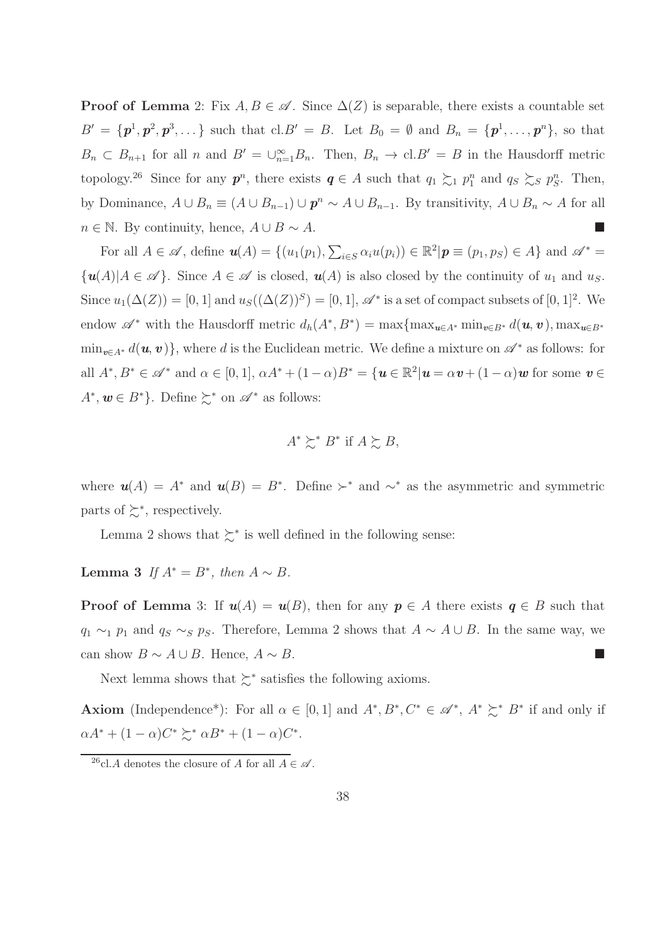**Proof of Lemma** 2: Fix  $A, B \in \mathcal{A}$ . Since  $\Delta(Z)$  is separable, there exists a countable set  $B' = \{p^1, p^2, p^3, \dots\}$  such that  $cl.B' = B$ . Let  $B_0 = \emptyset$  and  $B_n = \{p^1, \dots, p^n\}$ , so that  $B_n \subset B_{n+1}$  for all n and  $B' = \bigcup_{n=1}^{\infty} B_n$ . Then,  $B_n \to \text{cl}.B' = B$  in the Hausdorff metric topology.<sup>26</sup> Since for any  $p^n$ , there exists  $q \in A$  such that  $q_1 \succsim_1 p_1^n$  and  $q_S \succsim_S p_S^n$ . Then, by Dominance,  $A \cup B_n \equiv (A \cup B_{n-1}) \cup p^n \sim A \cup B_{n-1}$ . By transitivity,  $A \cup B_n \sim A$  for all  $n \in \mathbb{N}$ . By continuity, hence,  $A \cup B \sim A$ .

For all  $A \in \mathscr{A}$ , define  $\mathbf{u}(A) = \{ (u_1(p_1), \sum_{i \in S} \alpha_i u(p_i)) \in \mathbb{R}^2 | \mathbf{p} \equiv (p_1, p_S) \in A \}$  and  $\mathscr{A}^* =$  ${\boldsymbol{u}(A)| A \in \mathscr{A}}$ . Since  $A \in \mathscr{A}$  is closed,  ${\boldsymbol{u}(A)}$  is also closed by the continuity of  $u_1$  and  $u_S$ . Since  $u_1(\Delta(Z)) = [0, 1]$  and  $u_S((\Delta(Z))^S) = [0, 1]$ ,  $\mathscr{A}^*$  is a set of compact subsets of  $[0, 1]^2$ . We endow  $\mathscr{A}^*$  with the Hausdorff metric  $d_h(A^*, B^*) = \max\{\max_{u \in A^*} \min_{v \in B^*} d(u, v), \max_{u \in B^*} d(v, v)\}$  $\min_{v \in A^*} d(u, v)$ , where d is the Euclidean metric. We define a mixture on  $\mathscr{A}^*$  as follows: for all  $A^*, B^* \in \mathscr{A}^*$  and  $\alpha \in [0,1], \alpha A^* + (1-\alpha)B^* = \{u \in \mathbb{R}^2 | u = \alpha v + (1-\alpha)w \text{ for some } v \in \mathbb{R}^2\}$  $A^*, \mathbf{w} \in B^*\}.$  Define  $\succsim^*$  on  $\mathscr{A}^*$  as follows:

$$
A^* \succsim^* B^* \text{ if } A \succsim B,
$$

where  $u(A) = A^*$  and  $u(B) = B^*$ . Define ≻<sup>\*</sup> and ∼<sup>\*</sup> as the asymmetric and symmetric parts of  $\succsim^*$ , respectively.

Lemma 2 shows that  $\succsim^*$  is well defined in the following sense:

Lemma 3 *If*  $A^* = B^*$ *, then*  $A \sim B$ *.* 

**Proof of Lemma** 3: If  $u(A) = u(B)$ , then for any  $p \in A$  there exists  $q \in B$  such that  $q_1 \sim_1 p_1$  and  $q_S \sim_S p_S$ . Therefore, Lemma 2 shows that  $A \sim A \cup B$ . In the same way, we can show  $B \sim A \cup B$ . Hence,  $A \sim B$ .

Next lemma shows that  $\succsim^*$  satisfies the following axioms.

Axiom (Independence<sup>\*</sup>): For all  $\alpha \in [0,1]$  and  $A^*, B^*, C^* \in \mathscr{A}^*, A^* \succeq^* B^*$  if and only if  $\alpha A^* + (1 - \alpha)C^* \succsim^* \alpha B^* + (1 - \alpha)C^*.$ 

<sup>&</sup>lt;sup>26</sup>cl.A denotes the closure of A for all  $A \in \mathscr{A}$ .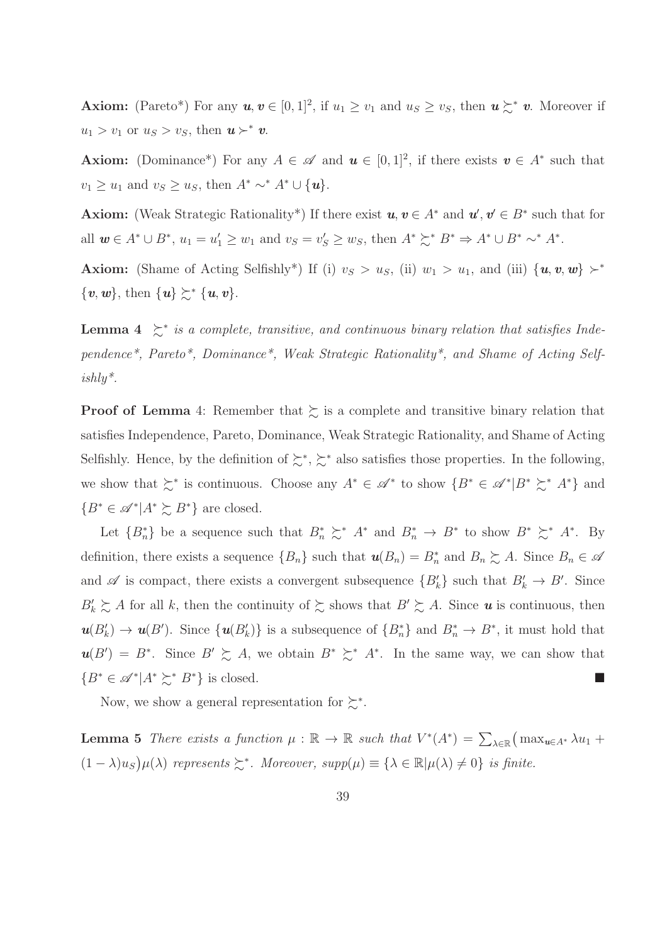**Axiom:** (Pareto\*) For any  $u, v \in [0, 1]^2$ , if  $u_1 \ge v_1$  and  $u_s \ge v_s$ , then  $u \succsim^* v$ . Moreover if  $u_1 > v_1$  or  $u_s > v_s$ , then  $u \succ^* v$ .

**Axiom:** (Dominance<sup>\*</sup>) For any  $A \in \mathcal{A}$  and  $u \in [0,1]^2$ , if there exists  $v \in A^*$  such that  $v_1 \geq u_1$  and  $v_S \geq u_S$ , then  $A^* \sim^* A^* \cup {\mathbf{u}}$ .

**Axiom:** (Weak Strategic Rationality<sup>\*</sup>) If there exist  $u, v \in A^*$  and  $u', v' \in B^*$  such that for all  $w \in A^* \cup B^*$ ,  $u_1 = u'_1 \geq w_1$  and  $v_S = v'_S \geq w_S$ , then  $A^* \succeq^* B^* \Rightarrow A^* \cup B^* \sim^* A^*$ .

Axiom: (Shame of Acting Selfishly\*) If (i)  $v_S > u_S$ , (ii)  $w_1 > u_1$ , and (iii)  $\{u, v, w\} \succ^*$  ${v, w}$ , then  ${u} \succcurlyeq^* {u, v}$ .

Lemma 4  $\succsim$ <sup>\*</sup> *is a complete, transitive, and continuous binary relation that satisfies Independence\*, Pareto\*, Dominance\*, Weak Strategic Rationality\*, and Shame of Acting Selfishly\*.*

**Proof of Lemma** 4: Remember that  $\geq$  is a complete and transitive binary relation that satisfies Independence, Pareto, Dominance, Weak Strategic Rationality, and Shame of Acting Selfishly. Hence, by the definition of  $\succsim^*$ ,  $\succsim^*$  also satisfies those properties. In the following, we show that  $\succsim^*$  is continuous. Choose any  $A^* \in \mathscr{A}^*$  to show  $\{B^* \in \mathscr{A}^* | B^* \succsim^* A^*\}$  and  ${B^* \in \mathscr{A}^*}$   $A^* \succeq B^*$  are closed.

Let  ${B_n^*}$  be a sequence such that  $B_n^* \succeq^* A^*$  and  $B_n^* \to B^*$  to show  $B^* \succeq^* A^*$ . By definition, there exists a sequence  ${B_n}$  such that  $u(B_n) = B_n^*$  and  $B_n \succeq A$ . Since  $B_n \in \mathcal{A}$ and  $\mathscr A$  is compact, there exists a convergent subsequence  $\{B'_k\}$  such that  $B'_k \to B'$ . Since  $B'_k \gtrsim A$  for all k, then the continuity of  $\gtrsim$  shows that  $B' \gtrsim A$ . Since **u** is continuous, then  $u(B'_k) \to u(B')$ . Since  ${u(B'_k)}$  is a subsequence of  ${B_n^*}$  and  $B_n^* \to B^*$ , it must hold that  $u(B') = B^*$ . Since  $B' \succeq A$ , we obtain  $B^* \succeq^* A^*$ . In the same way, we can show that  ${B^* \in \mathscr{A}^*}$   $A^* \succeq^* B^*$  is closed.

Now, we show a general representation for  $\succsim^*$ .

**Lemma 5** *There exists a function*  $\mu : \mathbb{R} \to \mathbb{R}$  *such that*  $V^*(A^*) = \sum_{\lambda \in \mathbb{R}} (\max_{\mu \in A^*} \lambda u_1 +$  $(1 - \lambda)u_s(\lambda)$  *represents*  $\succsim^*$ *. Moreover, supp* $(\mu) \equiv {\lambda \in \mathbb{R} | \mu(\lambda) \neq 0}$  *is finite.*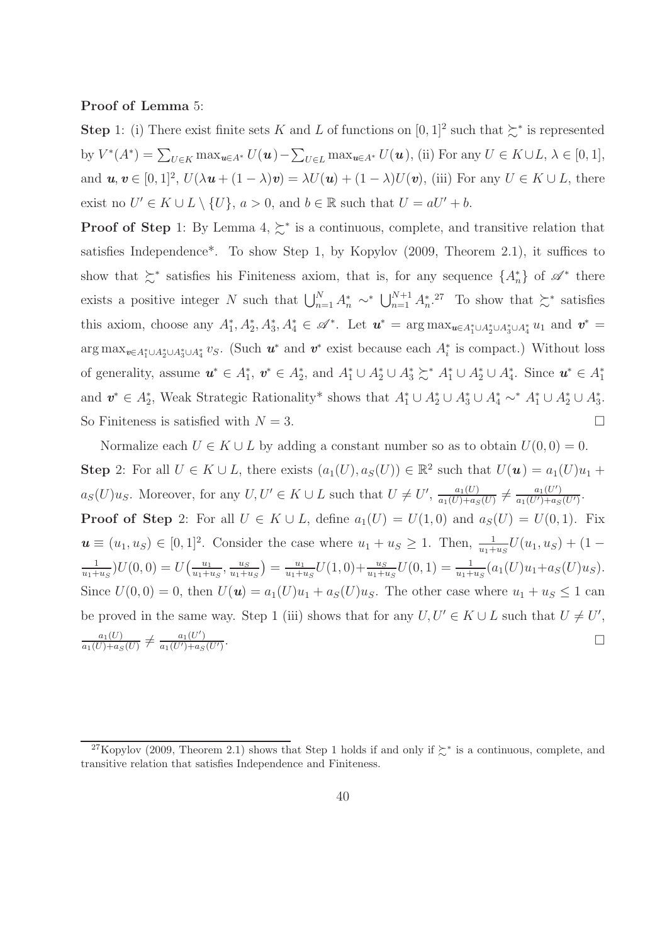#### Proof of Lemma 5:

**Step** 1: (i) There exist finite sets K and L of functions on  $[0,1]^2$  such that  $\succsim^*$  is represented by  $V^*(A^*) = \sum_{U \in K} \max_{\mathbf{u} \in A^*} U(\mathbf{u}) - \sum_{U \in L} \max_{\mathbf{u} \in A^*} U(\mathbf{u})$ , (ii) For any  $U \in K \cup L$ ,  $\lambda \in [0, 1]$ , and  $u, v \in [0,1]^2$ ,  $U(\lambda u + (1 - \lambda)v) = \lambda U(u) + (1 - \lambda)U(v)$ , (iii) For any  $U \in K \cup L$ , there exist no  $U' \in K \cup L \setminus \{U\}$ ,  $a > 0$ , and  $b \in \mathbb{R}$  such that  $U = aU' + b$ .

**Proof of Step** 1: By Lemma 4,  $\geq^*$  is a continuous, complete, and transitive relation that satisfies Independence\*. To show Step 1, by Kopylov (2009, Theorem 2.1), it suffices to show that  $\succeq^*$  satisfies his Finiteness axiom, that is, for any sequence  $\{A_n^*\}$  of  $\mathscr{A}^*$  there exists a positive integer N such that  $\bigcup_{n=1}^{N} A_n^* \sim^* \bigcup_{n=1}^{N+1} A_n^*$ .<sup>27</sup> To show that  $\succeq^*$  satisfies this axiom, choose any  $A_1^*, A_2^*, A_3^*, A_4^* \in \mathscr{A}^*$ . Let  $\mathbf{u}^* = \arg \max_{\mathbf{u} \in A_1^* \cup A_2^* \cup A_3^* \cup A_4^*} u_1$  and  $\mathbf{v}^* =$  $\arg \max_{v \in A_1^* \cup A_2^* \cup A_3^* \cup A_4^*} v_S$ . (Such  $u^*$  and  $v^*$  exist because each  $A_i^*$  is compact.) Without loss of generality, assume  $u^* \in A_1^*$ ,  $v^* \in A_2^*$ , and  $A_1^* \cup A_2^* \cup A_3^* \succ A_1^* \cup A_2^* \cup A_4^*$ . Since  $u^* \in A_1^*$ and  $v^* \in A_2^*$ , Weak Strategic Rationality\* shows that  $A_1^* \cup A_2^* \cup A_3^* \cup A_4^* \sim^* A_1^* \cup A_2^* \cup A_3^*$ . So Finiteness is satisfied with  $N = 3$ .

Normalize each  $U \in K \cup L$  by adding a constant number so as to obtain  $U(0,0) = 0$ . **Step** 2: For all  $U \in K \cup L$ , there exists  $(a_1(U), a_S(U)) \in \mathbb{R}^2$  such that  $U(\mathbf{u}) = a_1(U)u_1 +$  $a_S(U)u_S$ . Moreover, for any  $U, U' \in K \cup L$  such that  $U \neq U'$ ,  $\frac{a_1(U)}{a_1(U)+a_S}$  $\frac{a_1(U)}{a_1(U)+a_S(U)} \neq \frac{a_1(U')}{a_1(U')+a_S}$  $\frac{a_1(U')}{a_1(U')+a_S(U')}$ . **Proof of Step** 2: For all  $U \in K \cup L$ , define  $a_1(U) = U(1,0)$  and  $a_S(U) = U(0,1)$ . Fix  $u \equiv (u_1, u_S) \in [0, 1]^2$ . Consider the case where  $u_1 + u_S \ge 1$ . Then,  $\frac{1}{u_1 + u_S}U(u_1, u_S) + (1 -$ 1  $\frac{1}{u_1+u_S}$ ) $U(0,0) = U(\frac{u_1}{u_1+i_S})$  $\frac{u_1}{u_1+u_S}$ ,  $\frac{u_S}{u_1+i_S}$  $\frac{u_S}{u_1+u_S}$  =  $\frac{u_1}{u_1+r_S}$  $\frac{u_1}{u_1+u_S}U(1,0)+\frac{u_S}{u_1+u_S}U(0,1)=\frac{1}{u_1+u_S}(a_1(U)u_1+a_S(U)u_S).$ Since  $U(0,0) = 0$ , then  $U(\mathbf{u}) = a_1(U)u_1 + a_S(U)u_S$ . The other case where  $u_1 + u_S \leq 1$  can be proved in the same way. Step 1 (iii) shows that for any  $U, U' \in K \cup L$  such that  $U \neq U'$ ,  $a_1(U)$  $\frac{a_1(U)}{a_1(U)+a_S(U)} \neq \frac{a_1(U')}{a_1(U')+a_S}$  $a_1(U') + a_S(U')$ .

<sup>&</sup>lt;sup>27</sup>Kopylov (2009, Theorem 2.1) shows that Step 1 holds if and only if  $\succeq^*$  is a continuous, complete, and transitive relation that satisfies Independence and Finiteness.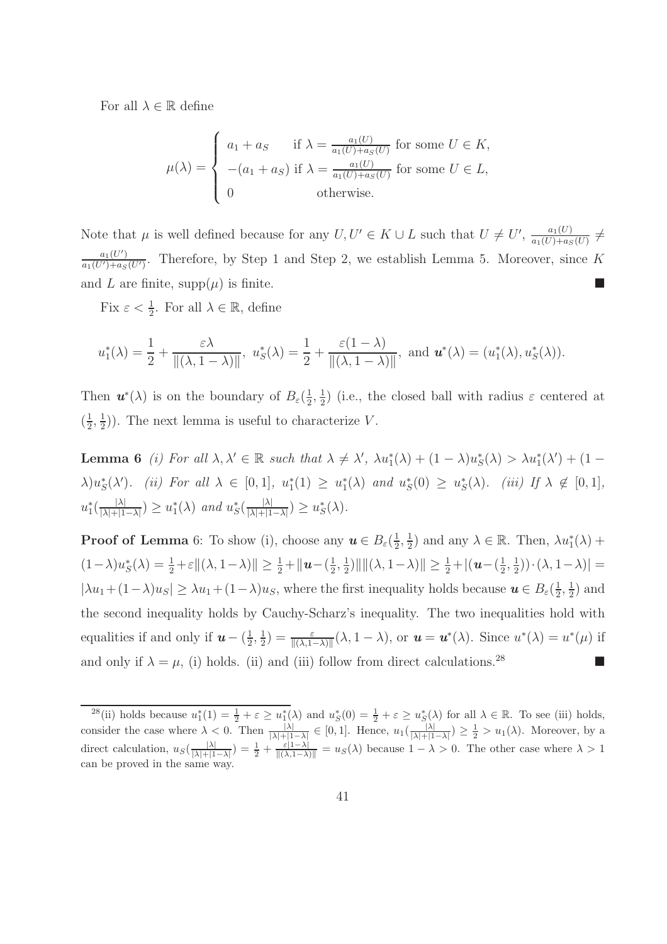For all  $\lambda \in \mathbb{R}$  define

$$
\mu(\lambda) = \begin{cases}\n a_1 + a_S & \text{if } \lambda = \frac{a_1(U)}{a_1(U) + a_S(U)} \text{ for some } U \in K, \\
 -(a_1 + a_S) & \text{if } \lambda = \frac{a_1(U)}{a_1(U) + a_S(U)} \text{ for some } U \in L, \\
 0 & \text{otherwise.}\n\end{cases}
$$

Note that  $\mu$  is well defined because for any  $U, U' \in K \cup L$  such that  $U \neq U'$ ,  $\frac{a_1(U)}{a_1(U)+a_2}$  $\frac{a_1(U)}{a_1(U)+a_S(U)} \neq$  $a_1(U')$  $\frac{a_1(U')}{a_1(U')+a_S(U')}$ . Therefore, by Step 1 and Step 2, we establish Lemma 5. Moreover, since K and L are finite,  $supp(\mu)$  is finite.

Fix  $\varepsilon < \frac{1}{2}$ . For all  $\lambda \in \mathbb{R}$ , define

$$
u_1^*(\lambda) = \frac{1}{2} + \frac{\varepsilon \lambda}{\|(\lambda, 1 - \lambda)\|}, \ u_S^*(\lambda) = \frac{1}{2} + \frac{\varepsilon(1 - \lambda)}{\|(\lambda, 1 - \lambda)\|}, \text{ and } \mathbf{u}^*(\lambda) = (u_1^*(\lambda), u_S^*(\lambda)).
$$

Then  $\mathbf{u}^*(\lambda)$  is on the boundary of  $B_{\varepsilon}(\frac{1}{2})$  $\frac{1}{2}, \frac{1}{2}$  $\frac{1}{2}$ ) (i.e., the closed ball with radius  $\varepsilon$  centered at  $\left(\frac{1}{2}\right)$  $\frac{1}{2}$ ,  $\frac{1}{2}$  $(\frac{1}{2})$ ). The next lemma is useful to characterize V.

**Lemma 6** (*i*) For all  $\lambda, \lambda' \in \mathbb{R}$  such that  $\lambda \neq \lambda'$ ,  $\lambda u_1^*(\lambda) + (1 - \lambda)u_2^*(\lambda) > \lambda u_1^*(\lambda') + (1 - \lambda)u_2^*(\lambda)$  $\lambda)u_S^*(\lambda')$ *.* (ii) For all  $\lambda \in [0,1]$ ,  $u_1^*(1) \ge u_1^*(\lambda)$  and  $u_S^*(0) \ge u_S^*(\lambda)$ *.* (iii) If  $\lambda \notin [0,1]$ ,  $u_1^*(\frac{|\lambda|}{|\lambda|+1]}$  $\frac{|\lambda|}{|\lambda|+|1-\lambda|}$ ) ≥  $u_1^*(\lambda)$  *and*  $u_S^*(\frac{|\lambda|}{|\lambda|+|1}$  $\frac{|\lambda|}{|\lambda|+|1-\lambda|}$ )  $\geq u_S^*(\lambda)$ .

**Proof of Lemma** 6: To show (i), choose any  $u \in B_{\varepsilon}(\frac{1}{2})$  $\frac{1}{2}, \frac{1}{2}$  $\frac{1}{2}$ ) and any  $\lambda \in \mathbb{R}$ . Then,  $\lambda u_1^*(\lambda)$  +  $(1 - \lambda)u_S^*(\lambda) = \frac{1}{2} + \varepsilon ||(\lambda, 1 - \lambda)|| \ge \frac{1}{2} + ||u - (\frac{1}{2})||$  $\frac{1}{2}, \frac{1}{2}$  $\frac{1}{2}$ )||  $\|(\lambda, 1-\lambda)\| \geq \frac{1}{2} + |(\boldsymbol{u} - (\frac{1}{2})$  $\frac{1}{2}, \frac{1}{2}$  $(\frac{1}{2})\cdot(\lambda,1-\lambda)|=$  $|\lambda u_1 + (1-\lambda)u_S| \geq \lambda u_1 + (1-\lambda)u_S$ , where the first inequality holds because  $u \in B_\varepsilon(\frac{1}{2})$  $\frac{1}{2}, \frac{1}{2}$  $(\frac{1}{2})$  and the second inequality holds by Cauchy-Scharz's inequality. The two inequalities hold with equalities if and only if  $u - (\frac{1}{2})$  $\frac{1}{2}, \frac{1}{2}$  $\frac{1}{2}$ ) =  $\frac{\varepsilon}{\|(\lambda, 1-\lambda)\|}(\lambda, 1-\lambda)$ , or  $u = u^*(\lambda)$ . Since  $u^*(\lambda) = u^*(\mu)$  if and only if  $\lambda = \mu$ , (i) holds. (ii) and (iii) follow from direct calculations.<sup>28</sup>

<sup>&</sup>lt;sup>28</sup>(ii) holds because  $u_1^*(1) = \frac{1}{2} + \varepsilon \ge u_1^*(\lambda)$  and  $u_S^*(0) = \frac{1}{2} + \varepsilon \ge u_S^*(\lambda)$  for all  $\lambda \in \mathbb{R}$ . To see (iii) holds, consider the case where  $\lambda < 0$ . Then  $\frac{|\lambda|}{|\lambda|+|1-\lambda|} \in [0,1]$ . Hence,  $u_1(\frac{|\lambda|}{|\lambda|+|1-\lambda|})$  $\frac{|\lambda|}{|\lambda|+|1-\lambda|}$  >  $\frac{1}{2}$  >  $u_1(\lambda)$ . Moreover, by a direct calculation,  $u_s(\frac{|\lambda|}{|\lambda|+1]}$  $\frac{|\lambda|}{|\lambda|+|1-\lambda|}$  =  $\frac{1}{2} + \frac{\varepsilon|1-\lambda|}{|(\lambda,1-\lambda)|} = u_S(\lambda)$  because  $1-\lambda > 0$ . The other case where  $\lambda > 1$ can be proved in the same way.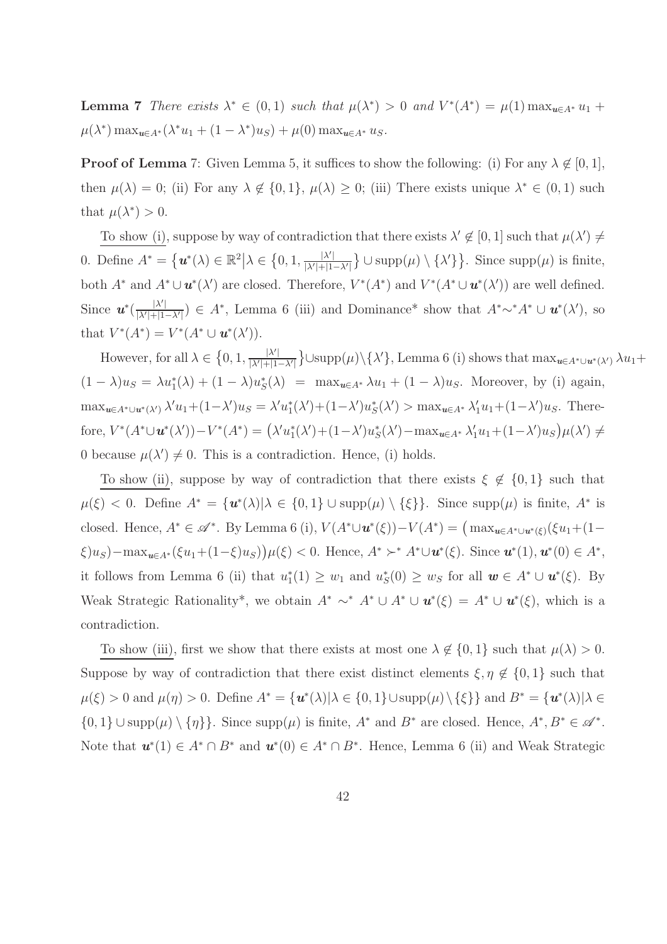**Lemma 7** *There exists*  $\lambda^* \in (0,1)$  *such that*  $\mu(\lambda^*) > 0$  *and*  $V^*(A^*) = \mu(1) \max_{u \in A^*} u_1 +$  $\mu(\lambda^*) \max_{u \in A^*} (\lambda^* u_1 + (1 - \lambda^*) u_S) + \mu(0) \max_{u \in A^*} u_S.$ 

**Proof of Lemma** 7: Given Lemma 5, it suffices to show the following: (i) For any  $\lambda \notin [0,1]$ , then  $\mu(\lambda) = 0$ ; (ii) For any  $\lambda \notin \{0, 1\}$ ,  $\mu(\lambda) \geq 0$ ; (iii) There exists unique  $\lambda^* \in (0, 1)$  such that  $\mu(\lambda^*) > 0$ .

To show (i), suppose by way of contradiction that there exists  $\lambda' \notin [0,1]$  such that  $\mu(\lambda') \neq$ 0. Define  $A^* = \{ \mathbf{u}^*(\lambda) \in \mathbb{R}^2 \mid \lambda \in \{0, 1, \frac{|\lambda'|}{|\lambda'| + |1 - \lambda|} \}$  $\frac{|\lambda'|}{|\lambda'|+|1-\lambda'|}$   $\cup$  supp $(\mu) \setminus {\lambda'}$ . Since supp $(\mu)$  is finite, both  $A^*$  and  $A^* \cup \mathbf{u}^*(\lambda')$  are closed. Therefore,  $V^*(A^*)$  and  $V^*(A^* \cup \mathbf{u}^*(\lambda'))$  are well defined. Since  $\boldsymbol{u}^*(\frac{|\lambda'|}{|\lambda'|+1)!}$  $\frac{|\lambda'|}{|\lambda'|+|1-\lambda'|}$   $\in$  A<sup>\*</sup>, Lemma 6 (iii) and Dominance<sup>\*</sup> show that  $A^*\sim^*A^* \cup \mathbf{u}^*(\lambda')$ , so that  $V^*(A^*) = V^*(A^* \cup \mathbf{u}^*(\lambda')).$ 

However, for all  $\lambda \in \{0, 1, \frac{|\lambda'|}{|\lambda'| + |1|}$  $\frac{|\lambda'|}{|\lambda'|+|1-\lambda'|}\big\}$ Usupp $(\mu)\setminus\{\lambda'\},$  Lemma 6 (i) shows that  $\max_{u\in A^*\cup u^*(\lambda')}\lambda u_1+$  $(1 - \lambda)u_s = \lambda u_1^*(\lambda) + (1 - \lambda)u_s^*(\lambda) = \max_{u \in A^*} \lambda u_1 + (1 - \lambda)u_s$ . Moreover, by (i) again,  $\max_{u \in A^* \cup u^*(\lambda')} \lambda' u_1 + (1 - \lambda') u_S = \lambda' u_1^*(\lambda') + (1 - \lambda') u_S^*(\lambda') > \max_{u \in A^*} \lambda'_1 u_1 + (1 - \lambda') u_S$ . Therefore,  $V^*(A^* \cup \mathbf{u}^*(\lambda')) - V^*(A^*) = (\lambda' u_1^*(\lambda') + (1 - \lambda') u_S^*(\lambda') - \max_{\mathbf{u} \in A^*} \lambda'_1 u_1 + (1 - \lambda') u_S) \mu(\lambda') \neq 0$ 0 because  $\mu(\lambda') \neq 0$ . This is a contradiction. Hence, (i) holds.

To show (ii), suppose by way of contradiction that there exists  $\xi \notin \{0,1\}$  such that  $\mu(\xi) < 0$ . Define  $A^* = {\mathbf{u}^*(\lambda) | \lambda \in \{0,1\} \cup \text{supp}(\mu) \setminus \{\xi\}}$ . Since supp $(\mu)$  is finite,  $A^*$  is closed. Hence,  $A^* \in \mathscr{A}^*$ . By Lemma 6 (i),  $V(A^* \cup \mathbf{u}^*(\xi)) - V(A^*) = \left(\max_{\mathbf{u} \in A^* \cup \mathbf{u}^*(\xi)} (\xi u_1 + (1 - \xi u_1))\right)$  $\xi)u_S$ ) – max<sub>u∈A\*</sub>  $(\xi u_1 + (1-\xi)u_S)\mu(\xi) < 0$ . Hence,  $A^* \succ^* A^* \cup u^*(\xi)$ . Since  $u^*(1), u^*(0) \in A^*$ , it follows from Lemma 6 (ii) that  $u_1^*(1) \geq w_1$  and  $u_s^*(0) \geq w_s$  for all  $w \in A^* \cup u^*(\xi)$ . By Weak Strategic Rationality<sup>\*</sup>, we obtain  $A^* \sim^* A^* \cup A^* \cup \mathbf{u}^*(\xi) = A^* \cup \mathbf{u}^*(\xi)$ , which is a contradiction.

To show (iii), first we show that there exists at most one  $\lambda \notin \{0,1\}$  such that  $\mu(\lambda) > 0$ . Suppose by way of contradiction that there exist distinct elements  $\xi, \eta \notin \{0, 1\}$  such that  $\mu(\xi) > 0$  and  $\mu(\eta) > 0$ . Define  $A^* = {\mathbf{u}^*(\lambda) | \lambda \in \{0,1\} \cup \text{supp}(\mu) \setminus {\{\xi\}}\}$  and  $B^* = {\mathbf{u}^*(\lambda) | \lambda \in \{0,1\} \cup \{0,1\}}$  $\{0,1\} \cup \text{supp}(\mu) \setminus \{\eta\}\}.$  Since  $\text{supp}(\mu)$  is finite,  $A^*$  and  $B^*$  are closed. Hence,  $A^*, B^* \in \mathscr{A}^*$ . Note that  $u^*(1) \in A^* \cap B^*$  and  $u^*(0) \in A^* \cap B^*$ . Hence, Lemma 6 (ii) and Weak Strategic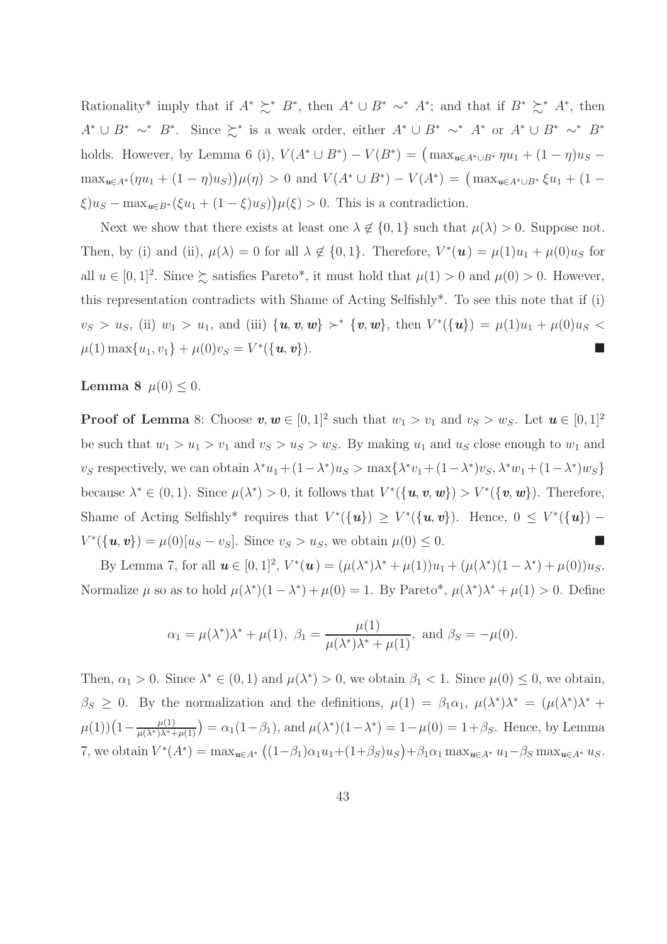Rationality<sup>\*</sup> imply that if  $A^* \succeq^* B^*$ , then  $A^* \cup B^* \sim^* A^*$ ; and that if  $B^* \succeq^* A^*$ , then  $A^* \cup B^* \sim^* B^*$ . Since  $\succsim^*$  is a weak order, either  $A^* \cup B^* \sim^* A^*$  or  $A^* \cup B^* \sim^* B^*$ holds. However, by Lemma 6 (i),  $V(A^* \cup B^*) - V(B^*) = (\max_{u \in A^* \cup B^*} \eta u_1 + (1 - \eta) u_s \max_{u \in A^*} (\eta u_1 + (1 - \eta) u_S)) \mu(\eta) > 0$  and  $V(A^* \cup B^*) - V(A^*) = (\max_{u \in A^* \cup B^*} \xi u_1 + (1 - \eta) u_S)$  $\xi)u_S - \max_{u \in B^*} (\xi u_1 + (1 - \xi)u_S)\mu(\xi) > 0$ . This is a contradiction.

Next we show that there exists at least one  $\lambda \notin \{0,1\}$  such that  $\mu(\lambda) > 0$ . Suppose not. Then, by (i) and (ii),  $\mu(\lambda) = 0$  for all  $\lambda \notin \{0, 1\}$ . Therefore,  $V^*(u) = \mu(1)u_1 + \mu(0)u_S$  for all  $u \in [0,1]^2$ . Since  $\succsim$  satisfies Pareto\*, it must hold that  $\mu(1) > 0$  and  $\mu(0) > 0$ . However, this representation contradicts with Shame of Acting Selfishly\*. To see this note that if (i)  $v_S > u_S$ , (ii)  $w_1 > u_1$ , and (iii)  $\{u, v, w\} \succ^* \{v, w\}$ , then  $V^*(\{u\}) = \mu(1)u_1 + \mu(0)u_S$  $\mu(1) \max\{u_1, v_1\} + \mu(0)v_S = V^*(\{\bm{u}, \bm{v}\}).$ 

**Lemma 8**  $\mu(0) < 0$ .

**Proof of Lemma** 8: Choose  $v, w \in [0, 1]^2$  such that  $w_1 > v_1$  and  $v_s > w_s$ . Let  $u \in [0, 1]^2$ be such that  $w_1 > u_1 > v_1$  and  $v_s > u_s > w_s$ . By making  $u_1$  and  $u_s$  close enough to  $w_1$  and  $v_S$  respectively, we can obtain  $\lambda^* u_1 + (1 - \lambda^*) u_S > \max{\lambda^* v_1 + (1 - \lambda^*) v_S, \lambda^* w_1 + (1 - \lambda^*) w_S}$ because  $\lambda^* \in (0,1)$ . Since  $\mu(\lambda^*) > 0$ , it follows that  $V^*(\{u, v, w\}) > V^*(\{v, w\})$ . Therefore, Shame of Acting Selfishly\* requires that  $V^*(\{\boldsymbol{u}\}) \geq V^*(\{\boldsymbol{u},\boldsymbol{v}\})$ . Hence,  $0 \leq V^*(\{\boldsymbol{u}\})$  –  $V^*(\{\bm{u}, \bm{v}\}) = \mu(0)[u_S - v_S]$ . Since  $v_S > u_S$ , we obtain  $\mu(0) \leq 0$ .

By Lemma 7, for all  $u \in [0,1]^2$ ,  $V^*(u) = (\mu(\lambda^*)\lambda^* + \mu(1))u_1 + (\mu(\lambda^*)(1 - \lambda^*) + \mu(0))u_S$ . Normalize  $\mu$  so as to hold  $\mu(\lambda^*)(1-\lambda^*) + \mu(0) = 1$ . By Pareto\*,  $\mu(\lambda^*)\lambda^* + \mu(1) > 0$ . Define

$$
\alpha_1 = \mu(\lambda^*)\lambda^* + \mu(1), \ \beta_1 = \frac{\mu(1)}{\mu(\lambda^*)\lambda^* + \mu(1)}, \text{ and } \beta_S = -\mu(0).
$$

Then,  $\alpha_1 > 0$ . Since  $\lambda^* \in (0,1)$  and  $\mu(\lambda^*) > 0$ , we obtain  $\beta_1 < 1$ . Since  $\mu(0) \leq 0$ , we obtain,  $\beta_S \geq 0$ . By the normalization and the definitions,  $\mu(1) = \beta_1 \alpha_1, \ \mu(\lambda^*) \lambda^* = (\mu(\lambda^*) \lambda^* +$  $\mu(1)\left(1-\frac{\mu(1)}{\mu(\lambda^*)\lambda^*+\mu(1)}\right) = \alpha_1(1-\beta_1)$ , and  $\mu(\lambda^*)(1-\lambda^*) = 1-\mu(0) = 1+\beta_S$ . Hence, by Lemma 7, we obtain  $V^*(A^*) = \max_{u \in A^*} ((1-\beta_1)\alpha_1u_1 + (1+\beta_S)u_S) + \beta_1\alpha_1 \max_{u \in A^*} u_1 - \beta_S \max_{u \in A^*} u_S$ .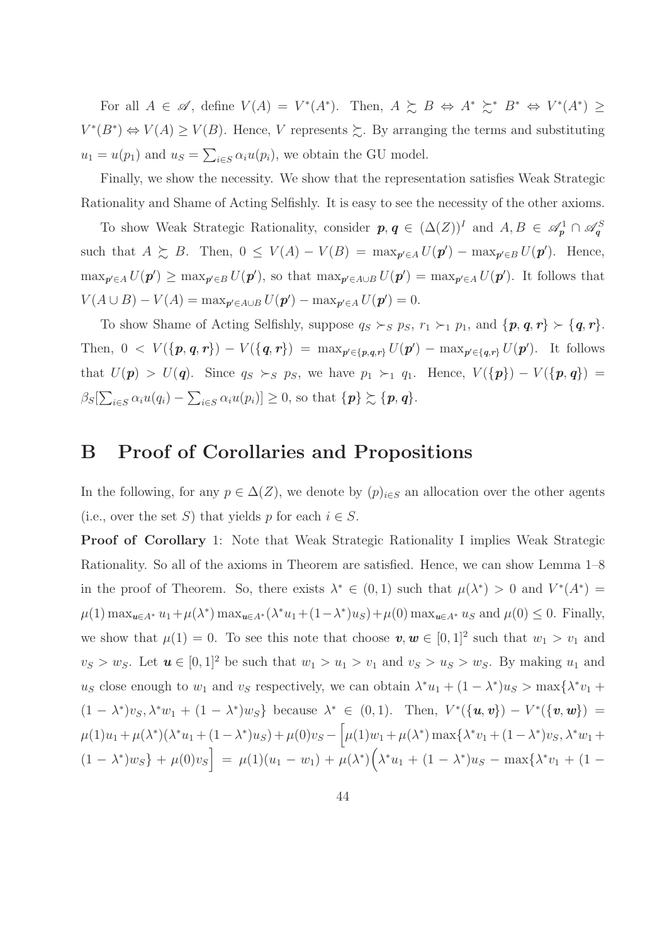For all  $A \in \mathscr{A}$ , define  $V(A) = V^*(A^*)$ . Then,  $A \succeq B \Leftrightarrow A^* \succeq^* B^* \Leftrightarrow V^*(A^*) \geq$  $V^*(B^*) \Leftrightarrow V(A) \geq V(B)$ . Hence, V represents  $\succeq$ . By arranging the terms and substituting  $u_1 = u(p_1)$  and  $u_s = \sum_{i \in S} \alpha_i u(p_i)$ , we obtain the GU model.

Finally, we show the necessity. We show that the representation satisfies Weak Strategic Rationality and Shame of Acting Selfishly. It is easy to see the necessity of the other axioms.

To show Weak Strategic Rationality, consider  $p, q \in (\Delta(Z))^I$  and  $A, B \in \mathscr{A}_p^1 \cap \mathscr{A}_q^S$ such that  $A \succeq B$ . Then,  $0 \leq V(A) - V(B) = \max_{p' \in A} U(p') - \max_{p' \in B} U(p')$ . Hence,  $\max_{p' \in A} U(p') \ge \max_{p' \in B} U(p')$ , so that  $\max_{p' \in A \cup B} U(p') = \max_{p' \in A} U(p')$ . It follows that  $V(A \cup B) - V(A) = \max_{p' \in A \cup B} U(p') - \max_{p' \in A} U(p') = 0.$ 

To show Shame of Acting Selfishly, suppose  $q_S \succ_S p_S$ ,  $r_1 \succ_1 p_1$ , and  $\{p, q, r\} \succ \{q, r\}.$ Then,  $0 \lt V(\{p, q, r\}) - V(\{q, r\}) = \max_{p' \in \{p, q, r\}} U(p') - \max_{p' \in \{q, r\}} U(p')$ . It follows that  $U(\mathbf{p}) > U(\mathbf{q})$ . Since  $q_S \succ_S p_S$ , we have  $p_1 \succ_1 q_1$ . Hence,  $V(\{\mathbf{p}\}) - V(\{\mathbf{p}, \mathbf{q}\}) =$  $\beta_S[\sum_{i\in S}\alpha_iu(q_i)-\sum_{i\in S}\alpha_iu(p_i)]\geq 0$ , so that  $\{p\}\succsim \{p,q\}.$ 

### B Proof of Corollaries and Propositions

In the following, for any  $p \in \Delta(Z)$ , we denote by  $(p)_{i \in S}$  an allocation over the other agents (i.e., over the set S) that yields p for each  $i \in S$ .

Proof of Corollary 1: Note that Weak Strategic Rationality I implies Weak Strategic Rationality. So all of the axioms in Theorem are satisfied. Hence, we can show Lemma 1–8 in the proof of Theorem. So, there exists  $\lambda^* \in (0,1)$  such that  $\mu(\lambda^*) > 0$  and  $V^*(A^*) =$  $\mu(1) \max_{u \in A^*} u_1 + \mu(\lambda^*) \max_{u \in A^*} (\lambda^* u_1 + (1 - \lambda^*) u_S) + \mu(0) \max_{u \in A^*} u_S \text{ and } \mu(0) \leq 0.$  Finally, we show that  $\mu(1) = 0$ . To see this note that choose  $v, w \in [0, 1]^2$  such that  $w_1 > v_1$  and  $v_S > w_S$ . Let  $u \in [0, 1]^2$  be such that  $w_1 > u_1 > v_1$  and  $v_S > u_S > w_S$ . By making  $u_1$  and  $u_S$  close enough to  $w_1$  and  $v_S$  respectively, we can obtain  $\lambda^* u_1 + (1 - \lambda^*) u_S > \max{\lambda^* v_1 + \lambda^* v_S}$  $(1 - \lambda^*)v_s, \lambda^*w_1 + (1 - \lambda^*)w_s$  because  $\lambda^* \in (0, 1)$ . Then,  $V^*(\{u, v\}) - V^*(\{v, w\}) =$  $\mu(1)u_1 + \mu(\lambda^*)(\lambda^*u_1 + (1-\lambda^*)u_S) + \mu(0)v_S - \left[\mu(1)w_1 + \mu(\lambda^*)\max\{\lambda^*v_1 + (1-\lambda^*)v_S, \lambda^*w_1 + (1-\lambda^*)v_S, \lambda^*w_S\}\right]$  $(1 - \lambda^*)w_S$  +  $\mu(0)v_S$  =  $\mu(1)(u_1 - w_1) + \mu(\lambda^*)\left(\lambda^*u_1 + (1 - \lambda^*)u_S - \max\{\lambda^*v_1 + (1 - \lambda^*)v_S\}\right)$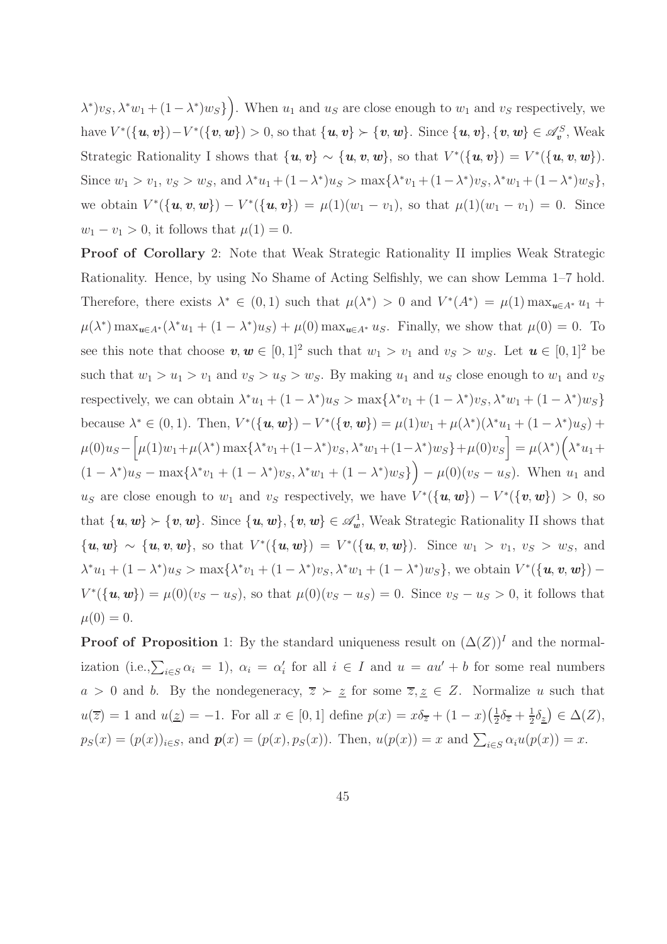$(\lambda^*)v_S, \lambda^*w_1 + (1-\lambda^*)w_S)$ . When  $u_1$  and  $u_S$  are close enough to  $w_1$  and  $v_S$  respectively, we have  $V^*(\{u, v\}) - V^*(\{v, w\}) > 0$ , so that  $\{u, v\} \succ \{v, w\}$ . Since  $\{u, v\}$ ,  $\{v, w\} \in \mathscr{A}_v^S$ , Weak Strategic Rationality I shows that  $\{u, v\} \sim \{u, v, w\}$ , so that  $V^*(\{u, v\}) = V^*(\{u, v, w\})$ . Since  $w_1 > v_1$ ,  $v_S > w_S$ , and  $\lambda^* u_1 + (1 - \lambda^*) u_S > \max{\lambda^* v_1 + (1 - \lambda^*) v_S, \lambda^* w_1 + (1 - \lambda^*) w_S},$ we obtain  $V^*(\{u, v, w\}) - V^*(\{u, v\}) = \mu(1)(w_1 - v_1)$ , so that  $\mu(1)(w_1 - v_1) = 0$ . Since  $w_1 - v_1 > 0$ , it follows that  $\mu(1) = 0$ .

Proof of Corollary 2: Note that Weak Strategic Rationality II implies Weak Strategic Rationality. Hence, by using No Shame of Acting Selfishly, we can show Lemma 1–7 hold. Therefore, there exists  $\lambda^* \in (0,1)$  such that  $\mu(\lambda^*) > 0$  and  $V^*(A^*) = \mu(1) \max_{u \in A^*} u_1 +$  $\mu(\lambda^*) \max_{u \in A^*} (\lambda^* u_1 + (1 - \lambda^*) u_s) + \mu(0) \max_{u \in A^*} u_s$ . Finally, we show that  $\mu(0) = 0$ . To see this note that choose  $v, w \in [0, 1]^2$  such that  $w_1 > v_1$  and  $v_s > w_s$ . Let  $u \in [0, 1]^2$  be such that  $w_1 > u_1 > v_1$  and  $v_S > u_S > w_S$ . By making  $u_1$  and  $u_S$  close enough to  $w_1$  and  $v_S$ respectively, we can obtain  $\lambda^* u_1 + (1 - \lambda^*) u_s > \max{\lambda^* v_1 + (1 - \lambda^*) v_s, \lambda^* w_1 + (1 - \lambda^*) w_s}$ because  $\lambda^* \in (0,1)$ . Then,  $V^*(\{\mathbf{u}, \mathbf{w}\}) - V^*(\{\mathbf{v}, \mathbf{w}\}) = \mu(1)w_1 + \mu(\lambda^*)(\lambda^*u_1 + (1 - \lambda^*)u_s) +$  $\mu(0)u_S - \left[\mu(1)w_1 + \mu(\lambda^*) \max\{\lambda^* v_1 + (1-\lambda^*) v_S, \lambda^* w_1 + (1-\lambda^*) w_S\} + \mu(0) v_S\right] = \mu(\lambda^*) \left(\lambda^* u_1 + \lambda^* v_S\right)$  $(1 - \lambda^*)u_s - \max{\lambda^* v_1 + (1 - \lambda^*) v_s, \lambda^* w_1 + (1 - \lambda^*) w_s}\ - \mu(0)(v_s - u_s).$  When  $u_1$  and us are close enough to  $w_1$  and  $v_s$  respectively, we have  $V^*(\{u, w\}) - V^*(\{v, w\}) > 0$ , so that  $\{u, w\} \succ \{v, w\}$ . Since  $\{u, w\}$ ,  $\{v, w\} \in \mathscr{A}_{w}^1$ , Weak Strategic Rationality II shows that  ${u, w} \sim {u, v, w}$ , so that  $V^*(\{u, w\}) = V^*(\{u, v, w\})$ . Since  $w_1 > v_1$ ,  $v_s > w_s$ , and  $\lambda^* u_1 + (1 - \lambda^*) u_S > \max\{\lambda^* v_1 + (1 - \lambda^*) v_S, \lambda^* w_1 + (1 - \lambda^*) w_S\}$ , we obtain  $V^*(\{u, v, w\})$  –  $V^*(\{\bm{u}, \bm{w}\}) = \mu(0)(v_S - u_S)$ , so that  $\mu(0)(v_S - u_S) = 0$ . Since  $v_S - u_S > 0$ , it follows that  $\mu(0) = 0.$ 

**Proof of Proposition** 1: By the standard uniqueness result on  $(\Delta(Z))^I$  and the normalization (i.e., $\sum_{i\in S} \alpha_i = 1$ ),  $\alpha_i = \alpha'_i$  for all  $i \in I$  and  $u = au' + b$  for some real numbers  $a > 0$  and b. By the nondegeneracy,  $\overline{z} \succ z$  for some  $\overline{z}, \underline{z} \in Z$ . Normalize u such that  $u(\overline{z}) = 1$  and  $u(\underline{z}) = -1$ . For all  $x \in [0,1]$  define  $p(x) = x\delta_{\overline{z}} + (1-x)(\frac{1}{2})$  $rac{1}{2}\delta_{\overline{z}}+\frac{1}{2}$  $\frac{1}{2}\delta_{\underline{z}}$ )  $\in \Delta(Z)$ ,  $p_S(x) = (p(x))_{i \in S}$ , and  $p(x) = (p(x), p_S(x))$ . Then,  $u(p(x)) = x$  and  $\sum_{i \in S} \alpha_i u(p(x)) = x$ .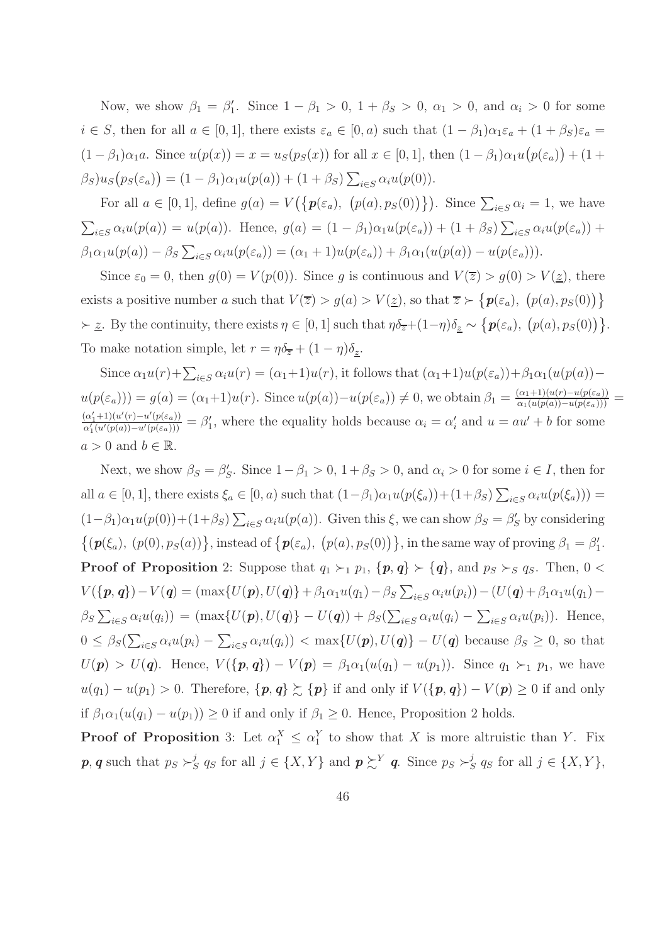Now, we show  $\beta_1 = \beta'_1$ . Since  $1 - \beta_1 > 0$ ,  $1 + \beta_S > 0$ ,  $\alpha_1 > 0$ , and  $\alpha_i > 0$  for some  $i \in S$ , then for all  $a \in [0,1]$ , there exists  $\varepsilon_a \in [0,a)$  such that  $(1-\beta_1)\alpha_1\varepsilon_a + (1+\beta_S)\varepsilon_a =$  $(1 - \beta_1)\alpha_1 a$ . Since  $u(p(x)) = x = u_s(p_s(x))$  for all  $x \in [0, 1]$ , then  $(1 - \beta_1)\alpha_1 u(p(\varepsilon_a)) + (1 +$  $\beta_S)u_S(p_S(\varepsilon_a)) = (1 - \beta_1)\alpha_1u(p(a)) + (1 + \beta_S)\sum_{i \in S}\alpha_iu(p(0)).$ 

For all  $a \in [0,1]$ , define  $g(a) = V(\{p(\varepsilon_a), (p(a), p_S(0))\})$ . Since  $\sum_{i \in S} \alpha_i = 1$ , we have  $\sum_{i\in S} \alpha_i u(p(a)) = u(p(a))$ . Hence,  $g(a) = (1 - \beta_1)\alpha_1 u(p(\varepsilon_a)) + (1 + \beta_S) \sum_{i\in S} \alpha_i u(p(\varepsilon_a)) +$  $\beta_1\alpha_1u(p(a)) - \beta_S\sum_{i\in S}\alpha_iu(p(\varepsilon_a)) = (\alpha_1+1)u(p(\varepsilon_a))+\beta_1\alpha_1(u(p(a)) - u(p(\varepsilon_a))).$ 

Since  $\varepsilon_0 = 0$ , then  $g(0) = V(p(0))$ . Since g is continuous and  $V(\overline{z}) > g(0) > V(\underline{z})$ , there exists a positive number a such that  $V(\overline{z}) > g(a) > V(\underline{z})$ , so that  $\overline{z} \succ \{p(\varepsilon_a), (p(a), p_S(0))\}$  $\succ \underline{z}$ . By the continuity, there exists  $\eta \in [0,1]$  such that  $\eta \delta_{\overline{z}} + (1-\eta)\delta_{\underline{z}} \sim \{p(\varepsilon_a), (p(a), p_S(0))\}$ . To make notation simple, let  $r = \eta \delta_{\overline{z}} + (1 - \eta) \delta_z$ .

Since  $\alpha_1 u(r) + \sum_{i \in S} \alpha_i u(r) = (\alpha_1 + 1)u(r)$ , it follows that  $(\alpha_1 + 1)u(p(\varepsilon_a)) + \beta_1 \alpha_1(u(p(a))$  $u(p(\varepsilon_a))) = g(a) = (\alpha_1 + 1)u(r)$ . Since  $u(p(a)) - u(p(\varepsilon_a)) \neq 0$ , we obtain  $\beta_1 = \frac{(\alpha_1 + 1)(u(r) - u(p(\varepsilon_a)))}{\alpha_1(u(p(a)) - u(p(\varepsilon_a)))}$  $(\alpha'_1+1)(u'(r)-u'(p(\varepsilon_a)))$  $\alpha_1^{(\alpha_1+1)(u'(r)-u'(p(\varepsilon_a)))} = \beta_1'$ , where the equality holds because  $\alpha_i = \alpha_i'$  and  $u = au' + b$  for some  $\alpha_1'(u'(p(a))-u'(p(\varepsilon_a)))$  $a > 0$  and  $b \in \mathbb{R}$ .

Next, we show  $\beta_S = \beta_S'$ . Since  $1 - \beta_1 > 0$ ,  $1 + \beta_S > 0$ , and  $\alpha_i > 0$  for some  $i \in I$ , then for all  $a \in [0, 1]$ , there exists  $\xi_a \in [0, a)$  such that  $(1 - \beta_1)\alpha_1 u(p(\xi_a)) + (1 + \beta_S) \sum_{i \in S} \alpha_i u(p(\xi_a))) =$  $(1-\beta_1)\alpha_1u(p(0)) + (1+\beta_S)\sum_{i\in S}\alpha_iu(p(a))$ . Given this  $\xi$ , we can show  $\beta_S = \beta_S'$  by considering  $\{(\boldsymbol{p}(\xi_a), (p(0), p_S(a))\}, \text{instead of } \{\boldsymbol{p}(\varepsilon_a), (p(a), p_S(0))\}\text{, in the same way of proving } \beta_1 = \beta_1'.$ **Proof of Proposition** 2: Suppose that  $q_1 \succ_1 p_1$ ,  $\{p, q\} \succ \{q\}$ , and  $p_S \succ_S q_S$ . Then, 0 <  $V(\{p, q\}) - V(q) = (\max\{U(p), U(q)\} + \beta_1 \alpha_1 u(q_1) - \beta_S \sum_{i \in S} \alpha_i u(p_i)) - (U(q) + \beta_1 \alpha_1 u(q_1) \beta_S \sum_{i \in S} \alpha_i u(q_i) = (\max\{U(\mathbf{p}), U(\mathbf{q})\} - U(\mathbf{q})) + \beta_S(\sum_{i \in S} \alpha_i u(q_i) - \sum_{i \in S} \alpha_i u(p_i)).$  Hence,  $0 \leq \beta_S(\sum_{i \in S} \alpha_i u(p_i) - \sum_{i \in S} \alpha_i u(q_i)) < \max\{U(\bm{p}), U(\bm{q})\} - U(\bm{q})$  because  $\beta_S \geq 0$ , so that  $U(\mathbf{p}) > U(\mathbf{q})$ . Hence,  $V(\{\mathbf{p}, \mathbf{q}\}) - V(\mathbf{p}) = \beta_1 \alpha_1 (u(q_1) - u(p_1))$ . Since  $q_1 \succ_1 p_1$ , we have  $u(q_1) - u(p_1) > 0$ . Therefore,  $\{p, q\} \succsim \{p\}$  if and only if  $V(\{p, q\}) - V(p) \geq 0$  if and only if  $\beta_1\alpha_1(u(q_1) - u(p_1)) \ge 0$  if and only if  $\beta_1 \ge 0$ . Hence, Proposition 2 holds.

**Proof of Proposition** 3: Let  $\alpha_1^X \leq \alpha_1^Y$  to show that X is more altruistic than Y. Fix  $p, q$  such that  $p_S \succ_S^j$  $S_g^j$   $q_S$  for all  $j \in \{X, Y\}$  and  $p \succsim^Y q$ . Since  $p_S \succ^j_S q$  $S<sub>S</sub>$  q<sub>S</sub> for all  $j \in \{X, Y\},\$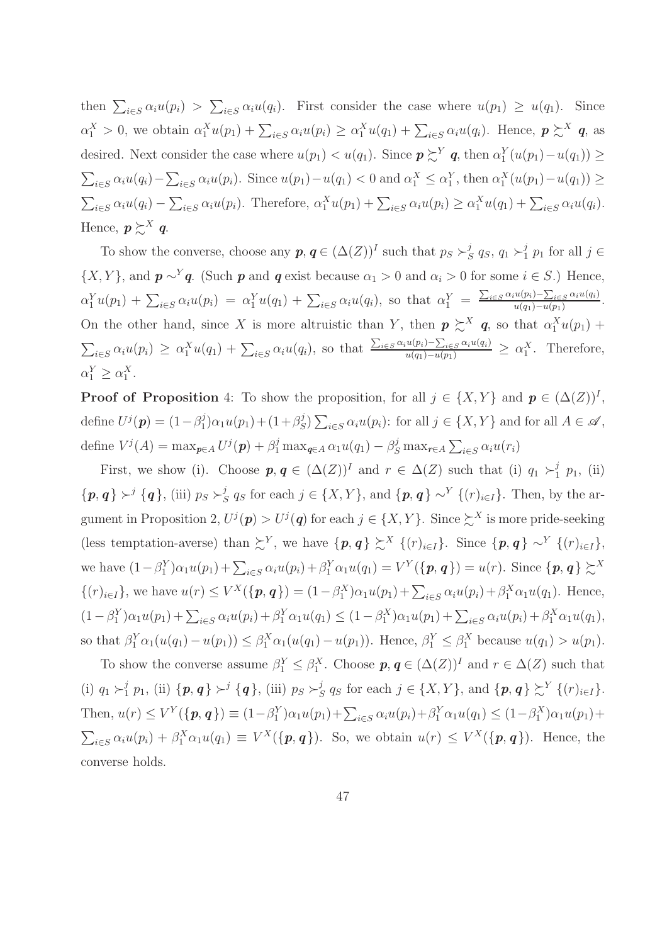then  $\sum_{i\in S} \alpha_i u(p_i) > \sum_{i\in S} \alpha_i u(q_i)$ . First consider the case where  $u(p_1) \geq u(q_1)$ . Since  $\alpha_1^X > 0$ , we obtain  $\alpha_1^X u(p_1) + \sum_{i \in S} \alpha_i u(p_i) \geq \alpha_1^X u(q_1) + \sum_{i \in S} \alpha_i u(q_i)$ . Hence,  $p \succsim^X q$ , as desired. Next consider the case where  $u(p_1) < u(q_1)$ . Since  $p \succsim^Y q$ , then  $\alpha_1^Y(u(p_1) - u(q_1)) \ge$  $\sum_{i\in S} \alpha_i u(q_i) - \sum_{i\in S} \alpha_i u(p_i)$ . Since  $u(p_1) - u(q_1) < 0$  and  $\alpha_1^X \leq \alpha_1^Y$ , then  $\alpha_1^X(u(p_1) - u(q_1)) \geq$  $\sum_{i\in S} \alpha_i u(q_i) - \sum_{i\in S} \alpha_i u(p_i)$ . Therefore,  $\alpha_1^X u(p_1) + \sum_{i\in S} \alpha_i u(p_i) \geq \alpha_1^X u(q_1) + \sum_{i\in S} \alpha_i u(q_i)$ . Hence,  $p \succsim^{X} q$ .

To show the converse, choose any  $p, q \in (\Delta(Z))^I$  such that  $p_S \succ_S^j$  $\frac{j}{S}$   $q_S$ ,  $q_1 \succ_1^j$  $j_1$   $p_1$  for all  $j \in$  $\{X, Y\}$ , and  $\boldsymbol{p} \sim^{Y} \boldsymbol{q}$ . (Such  $\boldsymbol{p}$  and  $\boldsymbol{q}$  exist because  $\alpha_1 > 0$  and  $\alpha_i > 0$  for some  $i \in S$ .) Hence,  $\alpha_1^Y u(p_1) + \sum_{i \in S} \alpha_i u(p_i) = \alpha_1^Y u(q_1) + \sum_{i \in S} \alpha_i u(q_i)$ , so that  $\alpha_1^Y = \frac{\sum_{i \in S} \alpha_i u(p_i) - \sum_{i \in S} \alpha_i u(q_i)}{u(q_1) - u(p_1)}$  $\frac{u(p_i)-\sum_{i\in S}a_i u(q_i)}{u(q_1)-u(p_1)}.$ On the other hand, since X is more altruistic than Y, then  $p \succsim^{X} q$ , so that  $\alpha_1^X u(p_1)$  +  $\sum_{i\in S} \alpha_i u(p_i) \geq \alpha_1^X u(q_1) + \sum_{i\in S} \alpha_i u(q_i)$ , so that  $\frac{\sum_{i\in S} \alpha_i u(p_i) - \sum_{i\in S} \alpha_i u(q_i)}{u(q_1) - u(p_1)} \geq \alpha_1^X$ . Therefore,  $\alpha_1^Y \geq \alpha_1^X$ .

**Proof of Proposition** 4: To show the proposition, for all  $j \in \{X, Y\}$  and  $p \in (\Delta(Z))^I$ , define  $U^j(\boldsymbol{p}) = (1-\beta_1^j)$  $j_1^j \alpha_1 u(p_1) + (1 + \beta_S^j)$  $S_j^j$ )  $\sum_{i \in S} \alpha_i u(p_i)$ : for all  $j \in \{X, Y\}$  and for all  $A \in \mathscr{A}$ , define  $V^j(A) = \max_{p \in A} U^j(p) + \beta_1^j \max_{q \in A} \alpha_1 u(q_1) - \beta_S^j \max_{r \in A} \sum_{i \in S} \alpha_i u(r_i)$ 

First, we show (i). Choose  $p, q \in (\Delta(Z))^I$  and  $r \in \Delta(Z)$  such that (i)  $q_1 \succ_1^j$  $\frac{J}{1}$   $p_1$ , (ii)  $\{p,q\} \succ^j \{q\},$  (iii)  $p_S \succ^j_S$  $S_{S}^{j} q_{S}$  for each  $j \in \{X, Y\}$ , and  $\{p, q\} \sim^{Y} \{ (r)_{i \in I} \}$ . Then, by the argument in Proposition 2,  $U^j(p) > U^j(q)$  for each  $j \in \{X, Y\}$ . Since  $\succsim^X$  is more pride-seeking (less temptation-averse) than  $\succsim^{Y}$ , we have  $\{p, q\} \succsim^{X} \{ (r)_{i \in I} \}$ . Since  $\{p, q\} \sim^{Y} \{ (r)_{i \in I} \}$ , we have  $(1-\beta_1^Y)\alpha_1u(p_1)+\sum_{i\in S}\alpha_iu(p_i)+\beta_1^Y\alpha_1u(q_1)=V^Y(\{\pmb{p},\pmb{q}\})=u(r)$ . Since  $\{\pmb{p},\pmb{q}\}\succsim^X$  $\{(r)_{i\in I}\}\,$  we have  $u(r) \leq V^X(\{\bm{p},\bm{q}\}) = (1-\beta_1^X)\alpha_1u(p_1) + \sum_{i\in S}\alpha_iu(p_i) + \beta_1^X\alpha_1u(q_1)$ . Hence,  $(1 - \beta_1^Y)\alpha_1 u(p_1) + \sum_{i \in S} \alpha_i u(p_i) + \beta_1^Y \alpha_1 u(q_1) \leq (1 - \beta_1^X)\alpha_1 u(p_1) + \sum_{i \in S} \alpha_i u(p_i) + \beta_1^X \alpha_1 u(q_1),$ so that  $\beta_1^Y \alpha_1(u(q_1) - u(p_1)) \leq \beta_1^X \alpha_1(u(q_1) - u(p_1))$ . Hence,  $\beta_1^Y \leq \beta_1^X$  because  $u(q_1) > u(p_1)$ .

To show the converse assume  $\beta_1^Y \leq \beta_1^X$ . Choose  $p, q \in (\Delta(Z))^I$  and  $r \in \Delta(Z)$  such that (i)  $q_1 \succ_1^j$  $\{ \, \frac{j}{1} \, p_1, \, \text{(ii)} \, \, \{ \bm{p}, \bm{q} \} \succ^{j} \{ \bm{q} \}, \, \text{(iii)} \, \, p_S \succ^{j}_{S}$  $S_{S}^{j} q_{S}$  for each  $j \in \{X, Y\}$ , and  $\{p, q\} \succsim^{Y} \{ (r)_{i \in I} \}$ . Then,  $u(r) \le V^Y(\{\bm{p}, \bm{q}\}) \equiv (1 - \beta_1^Y)\alpha_1 u(p_1) + \sum_{i \in S} \alpha_i u(p_i) + \beta_1^Y \alpha_1 u(q_1) \le (1 - \beta_1^X)\alpha_1 u(p_1) +$  $\sum_{i\in S}\alpha_iu(p_i)+\beta_1^X\alpha_1u(q_1)\equiv V^X(\{\pmb{p},\pmb{q}\}).$  So, we obtain  $u(r)\leq V^X(\{\pmb{p},\pmb{q}\}).$  Hence, the converse holds.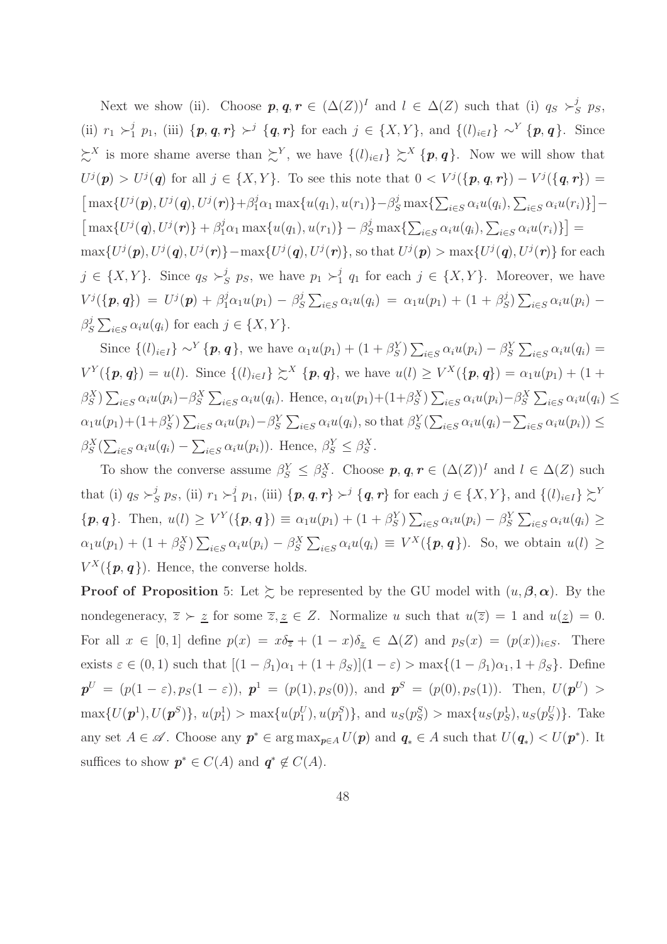Next we show (ii). Choose  $p, q, r \in (\Delta(Z))^I$  and  $l \in \Delta(Z)$  such that (i)  $q_S \succ_S^j$  $S^J$   $p_S$ , (ii)  $r_1 \succ_1^j$  $\{ \begin{array}{c} j \ p_1, \text{ (iii)} \ \{ \boldsymbol{p}, \boldsymbol{q}, \boldsymbol{r} \} \succ^j \{ \boldsymbol{q}, \boldsymbol{r} \} \end{array}$  for each  $j \in \{ X, Y \}$ , and  $\{ (l)_{i \in I} \} \sim^Y \{ \boldsymbol{p}, \boldsymbol{q} \}$ . Since  $\succsim^{X}$  is more shame averse than  $\succsim^{Y}$ , we have  $\{(l)_{i\in I}\}\succsim^{X}\{\pmb{p},\pmb{q}\}\.$  Now we will show that  $U^j(p) > U^j(q)$  for all  $j \in \{X, Y\}$ . To see this note that  $0 < V^j(\{p, q, r\}) - V^j(\{q, r\}) =$  $\left[\max\{U^j(\bm{p}), U^j(\bm{q}), U^j(\bm{r})\} + \beta_1^j \alpha_1 \max\{u(q_1), u(r_1)\} - \beta_S^j \max\{\sum_{i \in S} \alpha_i u(q_i), \sum_{i \in S} \alpha_i u(r_i)\}\right] \left[\max\{U^{j}(\mathbf{q}), U^{j}(\mathbf{r})\} + \beta_{1}^{j} \alpha_{1} \max\{u(q_{1}), u(r_{1})\} - \beta_{S}^{j} \max\{\sum_{i \in S} \alpha_{i} u(q_{i}), \sum_{i \in S} \alpha_{i} u(r_{i})\}\right] =$  $\max\{U^j(\bm{p}),U^j(\bm{q}),U^j(\bm{r})\}-\max\{U^j(\bm{q}),U^j(\bm{r})\}, \text{ so that } U^j(\bm{p})>\max\{U^j(\bm{q}),U^j(\bm{r})\} \text{ for each }$  $j \in \{X, Y\}$ . Since  $q_S \succ_S^j$  $\frac{j}{S}$   $p_S$ , we have  $p_1 \succ_1^j$  $j_1 q_1$  for each  $j \in \{X, Y\}$ . Moreover, we have  $V^{j}(\{ \bm{p}, \bm{q}\}) \ = \ U^{j}(\bm{p}) + \beta_{1}^{j}\alpha_{1}u(p_{1}) - \beta_{S}^{j}$  $S \sum_{i \in S} \alpha_i u(q_i) = \alpha_1 u(p_1) + (1 + \beta_S^j)$  $S(\sum_{i\in S}\alpha_iu(p_i))$  –  $\beta_S^j$  $S \sum_{i \in S} \alpha_i u(q_i)$  for each  $j \in \{X, Y\}.$ 

Since  $\{(l)_{i\in I}\}\sim^Y{\{\pmb{p},\pmb{q}\}}$ , we have  $\alpha_1u(p_1)+(1+\beta_S^Y)\sum_{i\in S}\alpha_iu(p_i)-\beta_S^Y\sum_{i\in S}\alpha_iu(q_i)=$  $V^Y(\{\pmb{p},\pmb{q}\}) = u(l)$ . Since  $\{(l)_{i\in I}\}\succsim^X \{\pmb{p},\pmb{q}\},\$ we have  $u(l) \geq V^X(\{\pmb{p},\pmb{q}\}) = \alpha_1 u(p_1) + (1 + \alpha_2) u(p_2)$  $\beta_S^X$ )  $\sum_{i \in S} \alpha_i u(p_i) - \beta_S^X \sum_{i \in S} \alpha_i u(q_i)$ . Hence,  $\alpha_1 u(p_1) + (1 + \beta_S^X) \sum_{i \in S} \alpha_i u(p_i) - \beta_S^X \sum_{i \in S} \alpha_i u(q_i) \leq$  $\alpha_1u(p_1)+(1+\beta_S^Y)\sum_{i\in S}\alpha_iu(p_i)-\beta_S^Y\sum_{i\in S}\alpha_iu(q_i)$ , so that  $\beta_S^Y(\sum_{i\in S}\alpha_iu(q_i)-\sum_{i\in S}\alpha_iu(p_i))\leq$  $\beta_S^X(\sum_{i\in S}\alpha_iu(q_i)-\sum_{i\in S}\alpha_iu(p_i)).$  Hence,  $\beta_S^Y\leq\beta_S^X$ .

To show the converse assume  $\beta_S^Y \leq \beta_S^X$ . Choose  $p, q, r \in (\Delta(Z))^I$  and  $l \in \Delta(Z)$  such that (i)  $q_S \succ_S^j$  $S_S^j$   $p_S$ , (ii)  $r_1 \succ_1^j p_1$ , (iii)  $\{p, q, r\} \succ_j^j \{q, r\}$  for each  $j \in \{X, Y\}$ , and  $\{(l)_{i \in I}\}\gtrsim^Y$  $\{p, q\}$ . Then,  $u(l) \geq V^Y(\{p, q\}) \equiv \alpha_1 u(p_1) + (1 + \beta_S^Y) \sum_{i \in S} \alpha_i u(p_i) - \beta_S^Y \sum_{i \in S} \alpha_i u(q_i) \geq$  $\alpha_1u(p_1)+(1+\beta_S^X)\sum_{i\in S}\alpha_iu(p_i)-\beta_S^X\sum_{i\in S}\alpha_iu(q_i)\equiv V^X(\{\pmb{p},\pmb{q}\}).$  So, we obtain  $u(l)\geq$  $V^X(\{p,q\})$ . Hence, the converse holds.

**Proof of Proposition** 5: Let  $\succsim$  be represented by the GU model with  $(u, \beta, \alpha)$ . By the nondegeneracy,  $\overline{z} \succ \underline{z}$  for some  $\overline{z}, \underline{z} \in Z$ . Normalize u such that  $u(\overline{z}) = 1$  and  $u(\underline{z}) = 0$ . For all  $x \in [0,1]$  define  $p(x) = x\delta_{\overline{z}} + (1-x)\delta_{\underline{z}} \in \Delta(Z)$  and  $p_S(x) = (p(x))_{i \in S}$ . There exists  $\varepsilon \in (0,1)$  such that  $[(1 - \beta_1)\alpha_1 + (1 + \beta_S)](1 - \varepsilon) > \max\{(1 - \beta_1)\alpha_1, 1 + \beta_S\}$ . Define  $p^U = (p(1-\varepsilon), p_S(1-\varepsilon)), p^1 = (p(1), p_S(0)), \text{ and } p^S = (p(0), p_S(1)).$  Then,  $U(p^U) >$  $\max\{U(\mathbf{p}^1), U(\mathbf{p}^S)\}, u(p_1^1) > \max\{u(p_1^U), u(p_1^S)\}, \text{ and } u_S(p_S^S) > \max\{u_S(p_S^1), u_S(p_S^U)\}.$  Take any set  $A \in \mathscr{A}$ . Choose any  $p^* \in \arg \max_{p \in A} U(p)$  and  $q_* \in A$  such that  $U(q_*) < U(p^*)$ . It suffices to show  $p^* \in C(A)$  and  $q^* \notin C(A)$ .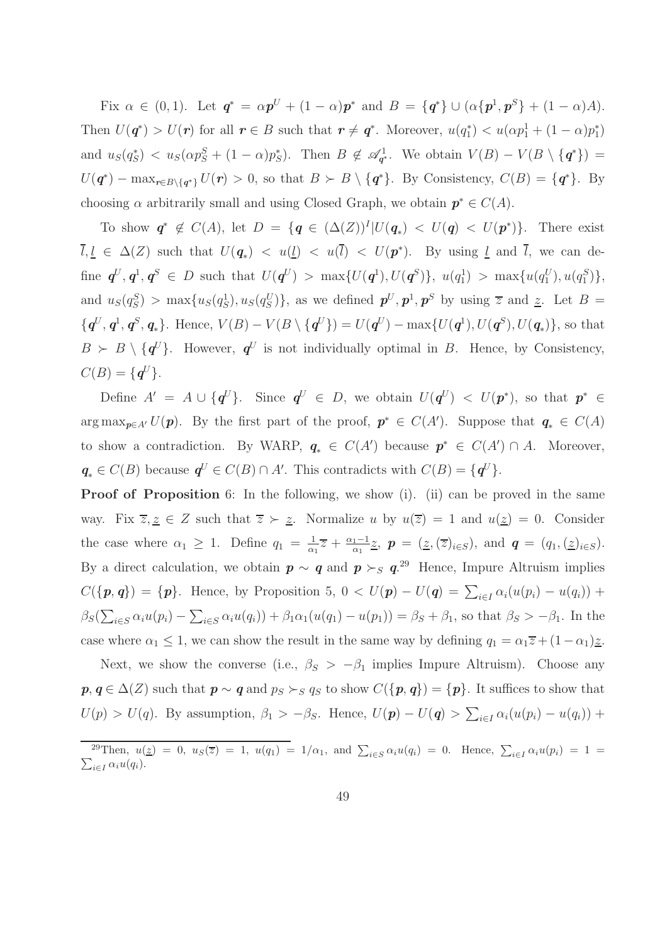Fix  $\alpha \in (0,1)$ . Let  $q^* = \alpha p^U + (1-\alpha)p^*$  and  $B = \{q^*\} \cup (\alpha \{p^1, p^S\} + (1-\alpha)A)$ . Then  $U(q^*) > U(r)$  for all  $r \in B$  such that  $r \neq q^*$ . Moreover,  $u(q_1^*) < u(\alpha p_1^1 + (1 - \alpha)p_1^*)$ and  $u_S(q_S^*)$  <  $u_S(\alpha p_S^S + (1 - \alpha)p_S^*)$ . Then  $B \notin \mathscr{A}_{q^*}^1$ . We obtain  $V(B) - V(B \setminus \{q^*\})$  =  $U(q^*) - \max_{r \in B \setminus \{q^*\}} U(r) > 0$ , so that  $B \succ B \setminus \{q^*\}$ . By Consistency,  $C(B) = \{q^*\}$ . By choosing  $\alpha$  arbitrarily small and using Closed Graph, we obtain  $p^* \in C(A)$ .

To show  $q^* \notin C(A)$ , let  $D = \{q \in (\Delta(Z))^I | U(q_*) \langle U(q) \rangle \langle U(q) \rangle \}$ . There exist  $\overline{l}, \underline{l} \in \Delta(Z)$  such that  $U(q_*) < u(\underline{l}) < u(\overline{l}) < U(p^*)$ . By using  $\underline{l}$  and  $\overline{l}$ , we can de- $\text{fine } q^U, q^1, q^S \in D \text{ such that } U(q^U) > \max\{U(q^1), U(q^S)\}, u(q^1_1) > \max\{u(q^U_1), u(q^S_1)\},$ and  $u_S(q_S^S)$  > max $\{u_S(q_S^1), u_S(q_S^U)\}\$ , as we defined  $p^U, p^1, p^S$  by using  $\overline{z}$  and  $\underline{z}$ . Let  $B =$  $\{q^{U}, q^{1}, q^{S}, q_{*}\}.$  Hence,  $V(B) - V(B \setminus \{q^{U}\}) = U(q^{U}) - \max\{U(q^{1}), U(q^{S}), U(q_{*})\},$  so that  $B \succ B \setminus \{q^U\}.$  However,  $q^U$  is not individually optimal in B. Hence, by Consistency,  $C(B) = \{q^U\}.$ 

Define  $A' = A \cup \{q^U\}$ . Since  $q^U \in D$ , we obtain  $U(q^U) < U(p^*)$ , so that  $p^* \in D$  $\arg \max_{p \in A'} U(p)$ . By the first part of the proof,  $p^* \in C(A')$ . Suppose that  $q_* \in C(A)$ to show a contradiction. By WARP,  $q_* \in C(A')$  because  $p^* \in C(A') \cap A$ . Moreover,  $q_* \in C(B)$  because  $q^U \in C(B) \cap A'$ . This contradicts with  $C(B) = \{q^U\}.$ 

Proof of Proposition 6: In the following, we show (i). (ii) can be proved in the same way. Fix  $\overline{z}, \underline{z} \in Z$  such that  $\overline{z} \succ \underline{z}$ . Normalize u by  $u(\overline{z}) = 1$  and  $u(\underline{z}) = 0$ . Consider the case where  $\alpha_1 \geq 1$ . Define  $q_1 = \frac{1}{\alpha_1}$  $\frac{1}{\alpha_1}\overline{z}+\frac{\alpha_1-1}{\alpha_1}$  $\frac{1}{\alpha_1} \underline{z}$ ,  $p = (\underline{z}, (\overline{z})_{i \in S})$ , and  $q = (q_1, (\underline{z})_{i \in S})$ . By a direct calculation, we obtain  $p \sim q$  and  $p \succ_S q$ .<sup>29</sup> Hence, Impure Altruism implies  $C(\{p,q\}) = \{p\}.$  Hence, by Proposition 5,  $0 < U(p) - U(q) = \sum_{i \in I} \alpha_i(u(p_i) - u(q_i)) +$  $\beta_S(\sum_{i\in S}\alpha_iu(p_i)-\sum_{i\in S}\alpha_iu(q_i))+\beta_1\alpha_1(u(q_1)-u(p_1))=\beta_S+\beta_1$ , so that  $\beta_S>-\beta_1$ . In the case where  $\alpha_1 \leq 1$ , we can show the result in the same way by defining  $q_1 = \alpha_1 \overline{z} + (1 - \alpha_1) \underline{z}$ .

Next, we show the converse (i.e.,  $\beta_S > -\beta_1$  implies Impure Altruism). Choose any  $p, q \in \Delta(Z)$  such that  $p \sim q$  and  $p_S \succ_S q_S$  to show  $C(\{p, q\}) = \{p\}$ . It suffices to show that  $U(p) > U(q)$ . By assumption,  $\beta_1 > -\beta_S$ . Hence,  $U(p) - U(q) > \sum_{i \in I} \alpha_i (u(p_i) - u(q_i)) +$ 

<sup>&</sup>lt;sup>29</sup>Then,  $u(\underline{z}) = 0$ ,  $u_S(\overline{z}) = 1$ ,  $u(q_1) = 1/\alpha_1$ , and  $\sum_{i \in S} \alpha_i u(q_i) = 0$ . Hence,  $\sum_{i \in I} \alpha_i u(p_i) = 1$  $\sum_{i\in I}\alpha_iu(q_i).$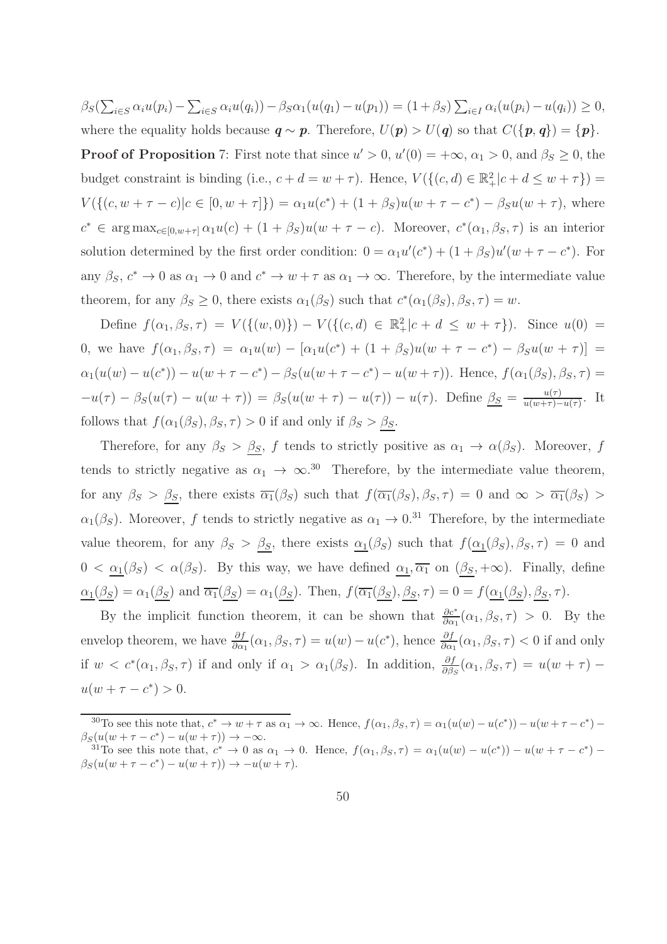$$
\beta_S(\sum_{i\in S}\alpha_i u(p_i) - \sum_{i\in S}\alpha_i u(q_i)) - \beta_S \alpha_1 (u(q_1) - u(p_1)) = (1 + \beta_S) \sum_{i\in I} \alpha_i (u(p_i) - u(q_i)) \ge 0,
$$
  
where the equality holds because  $\mathbf{q} \sim \mathbf{p}$ . Therefore,  $U(\mathbf{p}) > U(\mathbf{q})$  so that  $C(\{\mathbf{p}, \mathbf{q}\}) = \{\mathbf{p}\}.$ 

**Proof of Proposition** 7: First note that since  $u' > 0$ ,  $u'(0) = +\infty$ ,  $\alpha_1 > 0$ , and  $\beta_S \ge 0$ , the budget constraint is binding (i.e.,  $c + d = w + \tau$ ). Hence,  $V(\{(c, d) \in \mathbb{R}^2_+ | c + d \le w + \tau\}) =$  $V(\{(c, w + \tau - c) | c \in [0, w + \tau]\}) = \alpha_1 u(c^*) + (1 + \beta_S)u(w + \tau - c^*) - \beta_S u(w + \tau)$ , where  $c^* \in \arg \max_{c \in [0, w + \tau]} \alpha_1 u(c) + (1 + \beta_S) u(w + \tau - c)$ . Moreover,  $c^*(\alpha_1, \beta_S, \tau)$  is an interior solution determined by the first order condition:  $0 = \alpha_1 u'(c^*) + (1 + \beta_S) u'(w + \tau - c^*)$ . For any  $\beta_S, c^* \to 0$  as  $\alpha_1 \to 0$  and  $c^* \to w + \tau$  as  $\alpha_1 \to \infty$ . Therefore, by the intermediate value theorem, for any  $\beta_S \geq 0$ , there exists  $\alpha_1(\beta_S)$  such that  $c^*(\alpha_1(\beta_S), \beta_S, \tau) = w$ .

Define  $f(\alpha_1, \beta_S, \tau) = V(\{(w, 0)\}) - V(\{(c, d) \in \mathbb{R}^2_+ | c + d \le w + \tau\})$ . Since  $u(0) =$ 0, we have  $f(\alpha_1, \beta_S, \tau) = \alpha_1 u(w) - [\alpha_1 u(c^*) + (1 + \beta_S) u(w + \tau - c^*) - \beta_S u(w + \tau)] =$  $\alpha_1(u(w) - u(c^*)) - u(w + \tau - c^*) - \beta_S(u(w + \tau - c^*) - u(w + \tau)).$  Hence,  $f(\alpha_1(\beta_S), \beta_S, \tau) =$  $-u(\tau) - \beta_S(u(\tau) - u(w + \tau)) = \beta_S(u(w + \tau) - u(\tau)) - u(\tau)$ . Define  $\beta_S = \frac{u(\tau)}{u(w + \tau)}$  $\frac{u(\tau)}{u(w+\tau)-u(\tau)}$ . It follows that  $f(\alpha_1(\beta_S), \beta_S, \tau) > 0$  if and only if  $\beta_S > \beta_S$ .

Therefore, for any  $\beta_S > \beta_S$ , f tends to strictly positive as  $\alpha_1 \to \alpha(\beta_S)$ . Moreover, f tends to strictly negative as  $\alpha_1 \to \infty^{30}$  Therefore, by the intermediate value theorem, for any  $\beta_S > \underline{\beta_S}$ , there exists  $\overline{\alpha_1}(\beta_S)$  such that  $f(\overline{\alpha_1}(\beta_S), \beta_S, \tau) = 0$  and  $\infty > \overline{\alpha_1}(\beta_S)$  $\alpha_1(\beta_S)$ . Moreover, f tends to strictly negative as  $\alpha_1 \to 0.31$  Therefore, by the intermediate value theorem, for any  $\beta_S > \beta_S$ , there exists  $\alpha_1(\beta_S)$  such that  $f(\alpha_1(\beta_S), \beta_S, \tau) = 0$  and  $0 < \alpha_1(\beta_S) < \alpha(\beta_S)$ . By this way, we have defined  $\alpha_1, \overline{\alpha_1}$  on  $(\beta_S, +\infty)$ . Finally, define  $\alpha_1(\beta_S) = \alpha_1(\beta_S)$  and  $\overline{\alpha_1}(\beta_S) = \alpha_1(\beta_S)$ . Then,  $f(\overline{\alpha_1}(\beta_S), \beta_S, \tau) = 0 = f(\alpha_1(\beta_S), \beta_S, \tau)$ .

By the implicit function theorem, it can be shown that  $\frac{\partial c^*}{\partial \alpha_1}(\alpha_1, \beta_S, \tau) > 0$ . By the envelop theorem, we have  $\frac{\partial f}{\partial \alpha_1}(\alpha_1, \beta_S, \tau) = u(w) - u(c^*)$ , hence  $\frac{\partial f}{\partial \alpha_1}(\alpha_1, \beta_S, \tau) < 0$  if and only if  $w < c^*(\alpha_1, \beta_S, \tau)$  if and only if  $\alpha_1 > \alpha_1(\beta_S)$ . In addition,  $\frac{\partial f}{\partial \beta_S}(\alpha_1, \beta_S, \tau) = u(w + \tau)$  $u(w + \tau - c^*) > 0.$ 

<sup>&</sup>lt;sup>30</sup>To see this note that,  $c^* \to w + \tau$  as  $\alpha_1 \to \infty$ . Hence,  $f(\alpha_1, \beta_S, \tau) = \alpha_1(u(w) - u(c^*)) - u(w + \tau - c^*)$  $\beta_S(u(w + \tau - c^*) - u(w + \tau)) \to -\infty.$ 

<sup>&</sup>lt;sup>31</sup>To see this note that,  $c^* \to 0$  as  $\alpha_1 \to 0$ . Hence,  $f(\alpha_1, \beta_S, \tau) = \alpha_1(u(w) - u(c^*)) - u(w + \tau - c^*)$  $\beta_S(u(w + \tau - c^*) - u(w + \tau)) \rightarrow -u(w + \tau).$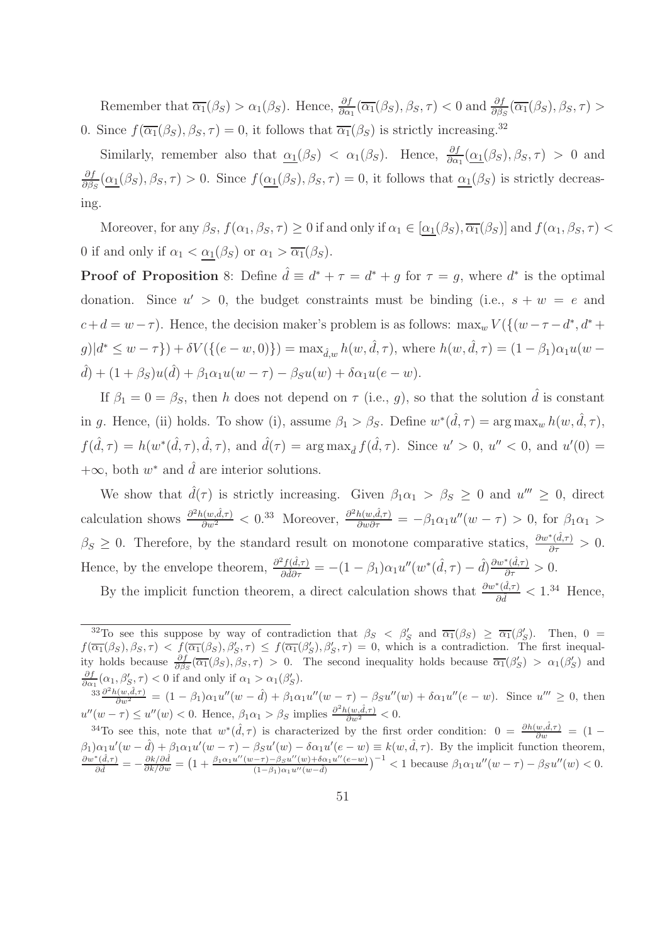Remember that  $\overline{\alpha_1}(\beta_S) > \alpha_1(\beta_S)$ . Hence,  $\frac{\partial f}{\partial \alpha_1}(\overline{\alpha_1}(\beta_S), \beta_S, \tau) < 0$  and  $\frac{\partial f}{\partial \beta_S}(\overline{\alpha_1}(\beta_S), \beta_S, \tau) >$ 0. Since  $f(\overline{\alpha_1}(\beta_S), \beta_S, \tau) = 0$ , it follows that  $\overline{\alpha_1}(\beta_S)$  is strictly increasing.<sup>32</sup>

Similarly, remember also that  $\alpha_1(\beta_S) < \alpha_1(\beta_S)$ . Hence,  $\frac{\partial f}{\partial \alpha_1}(\alpha_1(\beta_S), \beta_S, \tau) > 0$  and ∂f  $\frac{\partial f}{\partial \beta_S}(\alpha_1(\beta_S), \beta_S, \tau) > 0$ . Since  $f(\alpha_1(\beta_S), \beta_S, \tau) = 0$ , it follows that  $\alpha_1(\beta_S)$  is strictly decreasing.

Moreover, for any  $\beta_S$ ,  $f(\alpha_1, \beta_S, \tau) \geq 0$  if and only if  $\alpha_1 \in [\alpha_1(\beta_S), \overline{\alpha_1}(\beta_S)]$  and  $f(\alpha_1, \beta_S, \tau)$ 0 if and only if  $\alpha_1 < \alpha_1(\beta_S)$  or  $\alpha_1 > \overline{\alpha_1}(\beta_S)$ .

**Proof of Proposition** 8: Define  $\hat{d} \equiv d^* + \tau = d^* + g$  for  $\tau = g$ , where  $d^*$  is the optimal donation. Since  $u' > 0$ , the budget constraints must be binding (i.e.,  $s + w = e$  and  $c+d=w-\tau$ ). Hence, the decision maker's problem is as follows:  $\max_{w} V(\{(w-\tau-d^*,d^*+\tau)\})$  $g||d^* \leq w - \tau\} + \delta V(\{(e - w, 0)\}) = \max_{\hat{d},w} h(w, \hat{d}, \tau)$ , where  $h(w, \hat{d}, \tau) = (1 - \beta_1)\alpha_1u(w - \tau)$  $\hat{d}$ ) +  $(1 + \beta_S)u(\hat{d}) + \beta_1 \alpha_1 u(w - \tau) - \beta_S u(w) + \delta \alpha_1 u(e - w).$ 

If  $\beta_1 = 0 = \beta_S$ , then h does not depend on  $\tau$  (i.e., g), so that the solution d is constant in g. Hence, (ii) holds. To show (i), assume  $\beta_1 > \beta_S$ . Define  $w^*(\hat{d}, \tau) = \arg \max_w h(w, \hat{d}, \tau)$ ,  $f(\hat{d}, \tau) = h(w^*(\hat{d}, \tau), \hat{d}, \tau)$ , and  $\hat{d}(\tau) = \arg \max_{\hat{d}} f(\hat{d}, \tau)$ . Since  $u' > 0$ ,  $u'' < 0$ , and  $u'(0) =$  $+\infty$ , both  $w^*$  and  $\hat{d}$  are interior solutions.

We show that  $\hat{d}(\tau)$  is strictly increasing. Given  $\beta_1\alpha_1 > \beta_S \geq 0$  and  $u''' \geq 0$ , direct calculation shows  $\frac{\partial^2 h(w, \hat{d}, \tau)}{\partial w^2} < 0.33$  Moreover,  $\frac{\partial^2 h(w, \hat{d}, \tau)}{\partial w \partial \tau} = -\beta_1 \alpha_1 u''(w - \tau) > 0$ , for  $\beta_1 \alpha_1 >$  $\beta_S \geq 0$ . Therefore, by the standard result on monotone comparative statics,  $\frac{\partial w^*(\hat{d},\tau)}{\partial \tau} > 0$ . Hence, by the envelope theorem,  $\frac{\partial^2 f(\hat{d},\tau)}{\partial \hat{d}\partial \tau} = -(1-\beta_1)\alpha_1 u''(w^*(\hat{d},\tau) - \hat{d}) \frac{\partial w^*(\hat{d},\tau)}{\partial \tau} > 0.$ 

By the implicit function theorem, a direct calculation shows that  $\frac{\partial w^*(\hat{d},\tau)}{\partial \hat{d}} < 1.34$  Hence,

<sup>&</sup>lt;sup>32</sup>To see this suppose by way of contradiction that  $\beta_S < \beta_S'$  and  $\overline{\alpha_1}(\beta_S) \ge \overline{\alpha_1}(\beta_S')$ . Then, 0 =  $f(\overline{\alpha_1}(\beta_S), \beta_S, \tau) < f(\overline{\alpha_1}(\beta_S), \beta'_S, \tau) \leq f(\overline{\alpha_1}(\beta'_S), \beta'_S, \tau) = 0$ , which is a contradiction. The first inequality holds because  $\frac{\partial f}{\partial \beta_S}(\overline{\alpha_1}(\beta_S), \beta_S, \tau) > 0$ . The second inequality holds because  $\overline{\alpha_1}(\beta_S') > \alpha_1(\beta_S')$  and  $\frac{\partial f}{\partial \alpha_1}(\alpha_1, \beta'_S, \tau) < 0$  if and only if  $\alpha_1 > \alpha_1(\beta'_S)$ .

 $\frac{\partial^3 3 \partial^2 h(w, \hat{d}, \tau)}{\partial w^2} = (1 - \beta_1) \alpha_1 u''(w - \hat{d}) + \beta_1 \alpha_1 u''(w - \tau) - \beta_S u''(w) + \delta \alpha_1 u''(e - w)$ . Since  $u''' \ge 0$ , then  $u''(w - \tau) \leq u''(w) < 0.$  Hence,  $\beta_1 \alpha_1 > \beta_S$  implies  $\frac{\partial^2 h(w, \hat{d}, \tau)}{\partial w^2} < 0.$ 

<sup>&</sup>lt;sup>34</sup>To see this, note that  $w^*(\hat{d}, \tau)$  is characterized by the first order condition:  $0 = \frac{\partial h(w, \hat{d}, \tau)}{\partial w} = (1 \beta_1)\alpha_1u'(w-\hat{d}) + \beta_1\alpha_1u'(w-\tau) - \beta_5u'(w) - \delta\alpha_1u'(e-w) \equiv k(w,\hat{d},\tau)$ . By the implicit function theorem,  $rac{\partial w^*(\hat{d},\tau)}{\partial \hat{d}} = -\frac{\partial k}{\partial k/\partial \hat{w}} = \left(1 + \frac{\beta_1 \alpha_1 u''(w-\tau) - \beta_S u''(w) + \delta \alpha_1 u''(e-w)}{(1-\beta_1)\alpha_1 u''(w-\hat{d})}\right)$  $\frac{-\tau)-\beta_{S}u''(w)+\delta\alpha_{1}u''(e-w)}{(1-\beta_{1})\alpha_{1}u''(w-\hat{d})}$ <sup>-1</sup> < 1 because  $\beta_{1}\alpha_{1}u''(w-\tau)-\beta_{S}u''(w)$  < 0.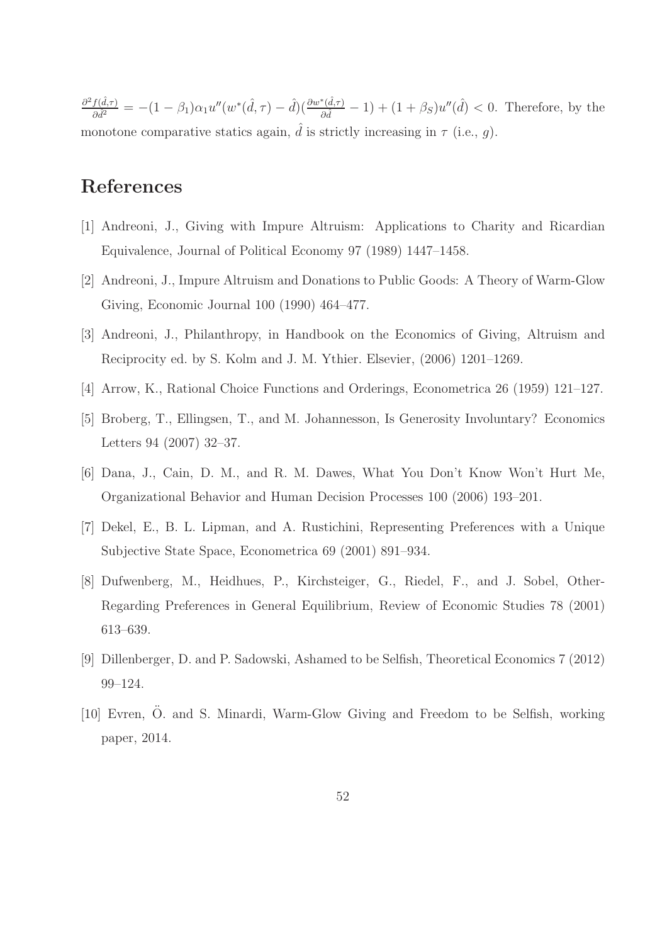$\frac{\partial^2 f(\hat{d},\tau)}{\partial \hat{d}^2} = -(1-\beta_1)\alpha_1 u''(w^*(\hat{d},\tau) - \hat{d})(\frac{\partial w^*(\hat{d},\tau)}{\partial \hat{d}} - 1) + (1+\beta_S)u''(\hat{d}) < 0.$  Therefore, by the monotone comparative statics again,  $\hat{d}$  is strictly increasing in  $\tau$  (i.e., q).

### References

- [1] Andreoni, J., Giving with Impure Altruism: Applications to Charity and Ricardian Equivalence, Journal of Political Economy 97 (1989) 1447–1458.
- [2] Andreoni, J., Impure Altruism and Donations to Public Goods: A Theory of Warm-Glow Giving, Economic Journal 100 (1990) 464–477.
- [3] Andreoni, J., Philanthropy, in Handbook on the Economics of Giving, Altruism and Reciprocity ed. by S. Kolm and J. M. Ythier. Elsevier, (2006) 1201–1269.
- [4] Arrow, K., Rational Choice Functions and Orderings, Econometrica 26 (1959) 121–127.
- [5] Broberg, T., Ellingsen, T., and M. Johannesson, Is Generosity Involuntary? Economics Letters 94 (2007) 32–37.
- [6] Dana, J., Cain, D. M., and R. M. Dawes, What You Don't Know Won't Hurt Me, Organizational Behavior and Human Decision Processes 100 (2006) 193–201.
- [7] Dekel, E., B. L. Lipman, and A. Rustichini, Representing Preferences with a Unique Subjective State Space, Econometrica 69 (2001) 891–934.
- [8] Dufwenberg, M., Heidhues, P., Kirchsteiger, G., Riedel, F., and J. Sobel, Other-Regarding Preferences in General Equilibrium, Review of Economic Studies 78 (2001) 613–639.
- [9] Dillenberger, D. and P. Sadowski, Ashamed to be Selfish, Theoretical Economics 7 (2012) 99–124.
- [10] Evren, Ö. and S. Minardi, Warm-Glow Giving and Freedom to be Selfish, working paper, 2014.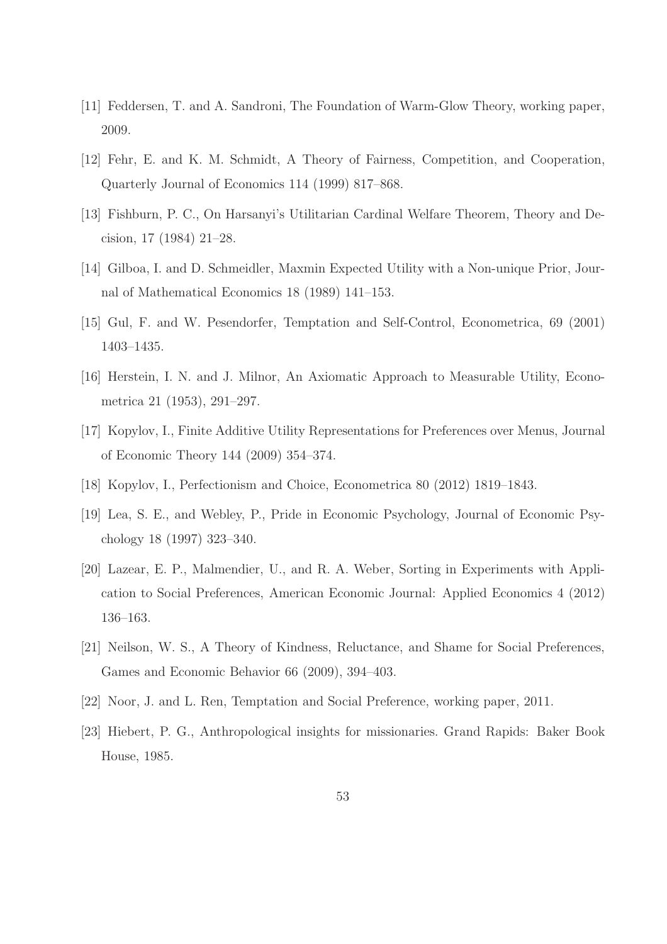- [11] Feddersen, T. and A. Sandroni, The Foundation of Warm-Glow Theory, working paper, 2009.
- [12] Fehr, E. and K. M. Schmidt, A Theory of Fairness, Competition, and Cooperation, Quarterly Journal of Economics 114 (1999) 817–868.
- [13] Fishburn, P. C., On Harsanyi's Utilitarian Cardinal Welfare Theorem, Theory and Decision, 17 (1984) 21–28.
- [14] Gilboa, I. and D. Schmeidler, Maxmin Expected Utility with a Non-unique Prior, Journal of Mathematical Economics 18 (1989) 141–153.
- [15] Gul, F. and W. Pesendorfer, Temptation and Self-Control, Econometrica, 69 (2001) 1403–1435.
- [16] Herstein, I. N. and J. Milnor, An Axiomatic Approach to Measurable Utility, Econometrica 21 (1953), 291–297.
- [17] Kopylov, I., Finite Additive Utility Representations for Preferences over Menus, Journal of Economic Theory 144 (2009) 354–374.
- [18] Kopylov, I., Perfectionism and Choice, Econometrica 80 (2012) 1819–1843.
- [19] Lea, S. E., and Webley, P., Pride in Economic Psychology, Journal of Economic Psychology 18 (1997) 323–340.
- [20] Lazear, E. P., Malmendier, U., and R. A. Weber, Sorting in Experiments with Application to Social Preferences, American Economic Journal: Applied Economics 4 (2012) 136–163.
- [21] Neilson, W. S., A Theory of Kindness, Reluctance, and Shame for Social Preferences, Games and Economic Behavior 66 (2009), 394–403.
- [22] Noor, J. and L. Ren, Temptation and Social Preference, working paper, 2011.
- [23] Hiebert, P. G., Anthropological insights for missionaries. Grand Rapids: Baker Book House, 1985.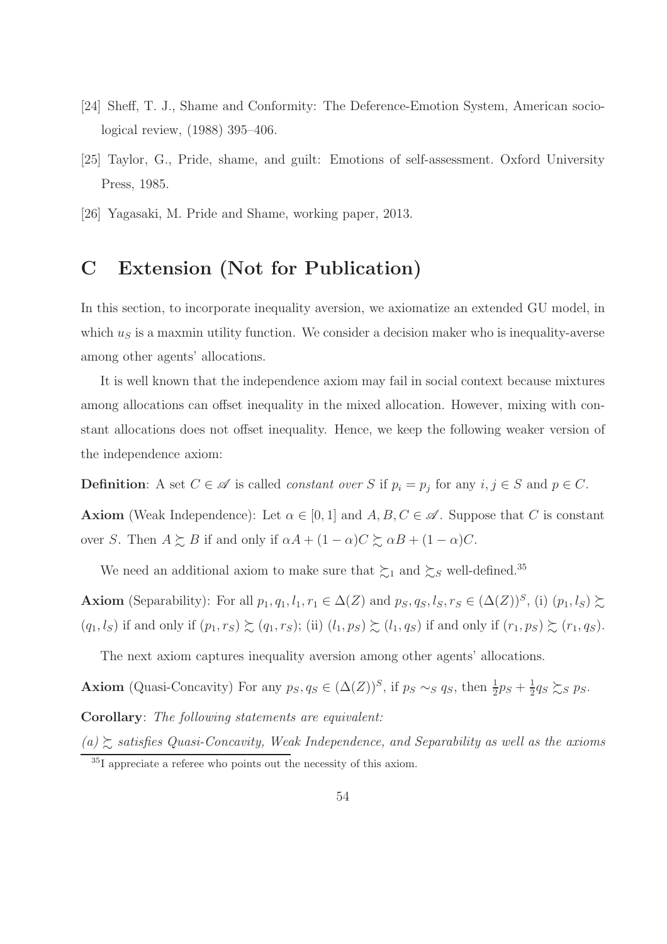- [24] Sheff, T. J., Shame and Conformity: The Deference-Emotion System, American sociological review, (1988) 395–406.
- [25] Taylor, G., Pride, shame, and guilt: Emotions of self-assessment. Oxford University Press, 1985.
- [26] Yagasaki, M. Pride and Shame, working paper, 2013.

### C Extension (Not for Publication)

In this section, to incorporate inequality aversion, we axiomatize an extended GU model, in which  $u<sub>S</sub>$  is a maxmin utility function. We consider a decision maker who is inequality-averse among other agents' allocations.

It is well known that the independence axiom may fail in social context because mixtures among allocations can offset inequality in the mixed allocation. However, mixing with constant allocations does not offset inequality. Hence, we keep the following weaker version of the independence axiom:

**Definition:** A set  $C \in \mathcal{A}$  is called *constant over* S if  $p_i = p_j$  for any  $i, j \in S$  and  $p \in C$ .

**Axiom** (Weak Independence): Let  $\alpha \in [0,1]$  and  $A, B, C \in \mathcal{A}$ . Suppose that C is constant over S. Then  $A \succeq B$  if and only if  $\alpha A + (1 - \alpha)C \succeq \alpha B + (1 - \alpha)C$ .

We need an additional axiom to make sure that  $\succsim_1$  and  $\succsim_S$  well-defined.<sup>35</sup>

Axiom (Separability): For all  $p_1, q_1, l_1, r_1 \in \Delta(Z)$  and  $p_S, q_S, l_S, r_S \in (\Delta(Z))^S$ , (i)  $(p_1, l_S) \gtrsim$  $(q_1, l_S)$  if and only if  $(p_1, r_S) \succsim (q_1, r_S)$ ; (ii)  $(l_1, p_S) \succsim (l_1, q_S)$  if and only if  $(r_1, p_S) \succsim (r_1, q_S)$ .

The next axiom captures inequality aversion among other agents' allocations.

**Axiom** (Quasi-Concavity) For any  $p_S, q_S \in (\Delta(Z))^S$ , if  $p_S \sim_S q_S$ , then  $\frac{1}{2}p_S + \frac{1}{2}$  $\frac{1}{2}q_S \gtrsim_S p_S$ .

Corollary: *The following statements are equivalent:*

 $(a) \succeq$  *satisfies Quasi-Concavity, Weak Independence, and Separability as well as the axioms* <sup>35</sup>I appreciate a referee who points out the necessity of this axiom.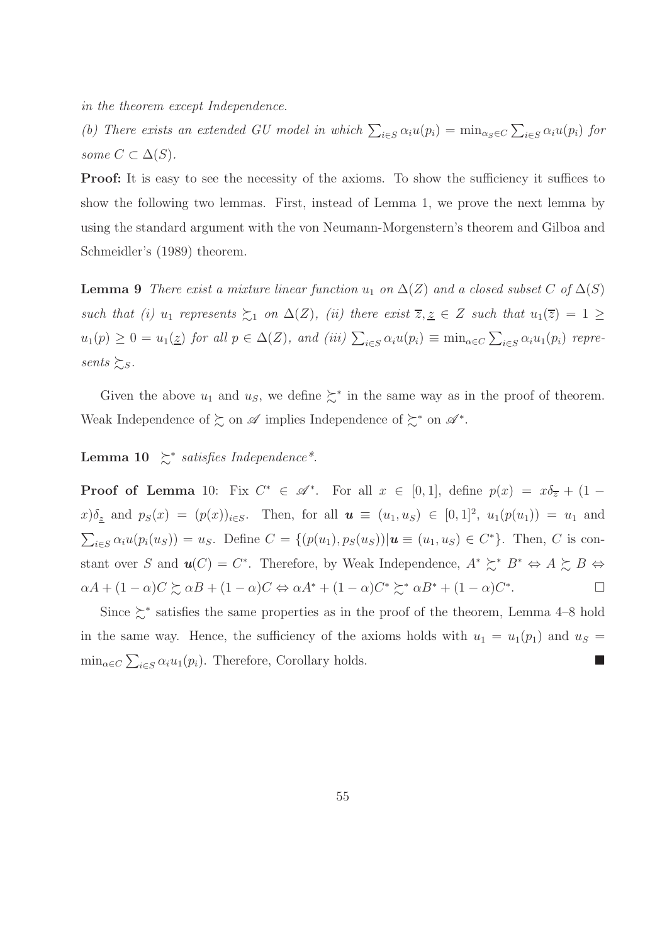*in the theorem except Independence.*

(b) There exists an extended GU model in which  $\sum_{i \in S} \alpha_i u(p_i) = \min_{\alpha_S \in C} \sum_{i \in S} \alpha_i u(p_i)$  for *some*  $C \subset \Delta(S)$ *.* 

**Proof:** It is easy to see the necessity of the axioms. To show the sufficiency it suffices to show the following two lemmas. First, instead of Lemma 1, we prove the next lemma by using the standard argument with the von Neumann-Morgenstern's theorem and Gilboa and Schmeidler's (1989) theorem.

**Lemma 9** *There exist a mixture linear function*  $u_1$  *on*  $\Delta(Z)$  *and a closed subset* C *of*  $\Delta(S)$ *such that (i)*  $u_1$  *represents*  $\succsim_1$  *on*  $\Delta(Z)$ *, (ii) there exist*  $\overline{z}, \underline{z} \in Z$  *such that*  $u_1(\overline{z}) = 1 \ge$  $u_1(p) \geq 0 = u_1(\underline{z})$  for all  $p \in \Delta(Z)$ , and (iii)  $\sum_{i \in S} \alpha_i u(p_i) \equiv \min_{\alpha \in C} \sum_{i \in S} \alpha_i u_1(p_i)$  repre $sents \succeq_{S}$ .

Given the above  $u_1$  and  $u_s$ , we define  $\succcurlyeq^*$  in the same way as in the proof of theorem. Weak Independence of  $\succsim$  on  $\mathscr A$  implies Independence of  $\succsim^*$  on  $\mathscr A^*$ .

**Lemma 10**  $\geq^*$  *satisfies Independence\*.* 

**Proof of Lemma** 10: Fix  $C^* \in \mathcal{A}^*$ . For all  $x \in [0,1]$ , define  $p(x) = x\delta_{\overline{z}} + (1$  $x)\delta_{\underline{z}}$  and  $p_S(x) = (p(x))_{i \in S}$ . Then, for all  $u \equiv (u_1, u_S) \in [0, 1]^2$ ,  $u_1(p(u_1)) = u_1$  and  $\sum_{i \in S} \alpha_i u(p_i(u_S)) = u_S$ . Define  $C = \{(p(u_1), p_S(u_S)) | \mathbf{u} \equiv (u_1, u_S) \in C^*\}$ . Then, C is constant over S and  $u(C) = C^*$ . Therefore, by Weak Independence,  $A^* \succeq^* B^* \Leftrightarrow A \succeq B \Leftrightarrow$  $\alpha A + (1 - \alpha)C \gtrsim \alpha B + (1 - \alpha)C \Leftrightarrow \alpha A^* + (1 - \alpha)C^* \gtrsim^* \alpha B^* + (1 - \alpha)C^*$ .

Since  $\geq^*$  satisfies the same properties as in the proof of the theorem, Lemma 4–8 hold in the same way. Hence, the sufficiency of the axioms holds with  $u_1 = u_1(p_1)$  and  $u_S =$  $\min_{\alpha \in C} \sum_{i \in S} \alpha_i u_1(p_i)$ . Therefore, Corollary holds.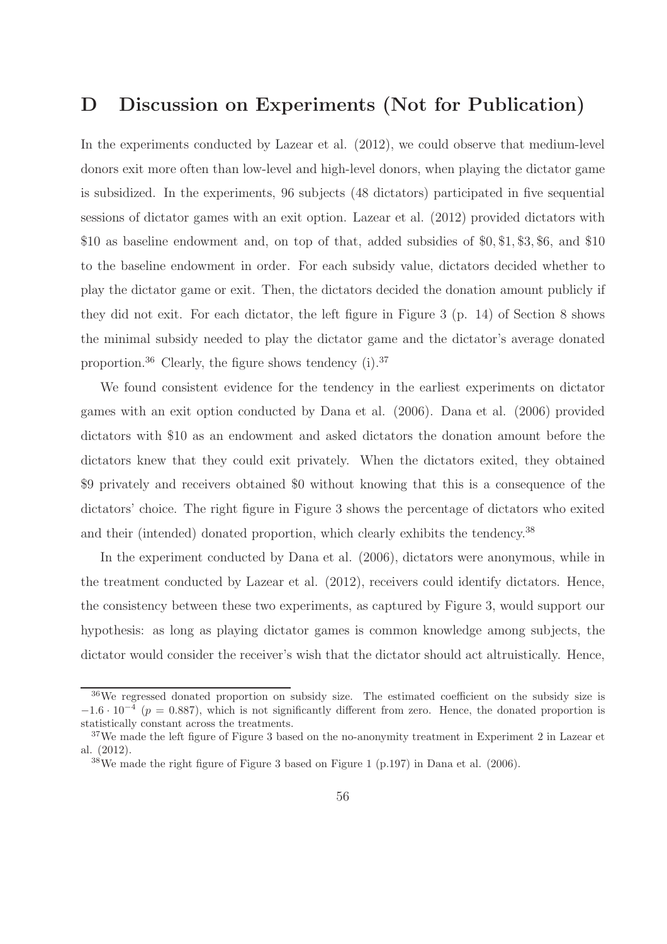### D Discussion on Experiments (Not for Publication)

In the experiments conducted by Lazear et al. (2012), we could observe that medium-level donors exit more often than low-level and high-level donors, when playing the dictator game is subsidized. In the experiments, 96 subjects (48 dictators) participated in five sequential sessions of dictator games with an exit option. Lazear et al. (2012) provided dictators with \$10 as baseline endowment and, on top of that, added subsidies of \$0, \$1, \$3, \$6, and \$10 to the baseline endowment in order. For each subsidy value, dictators decided whether to play the dictator game or exit. Then, the dictators decided the donation amount publicly if they did not exit. For each dictator, the left figure in Figure 3 (p. 14) of Section 8 shows the minimal subsidy needed to play the dictator game and the dictator's average donated proportion.<sup>36</sup> Clearly, the figure shows tendency  $(i)$ .<sup>37</sup>

We found consistent evidence for the tendency in the earliest experiments on dictator games with an exit option conducted by Dana et al. (2006). Dana et al. (2006) provided dictators with \$10 as an endowment and asked dictators the donation amount before the dictators knew that they could exit privately. When the dictators exited, they obtained \$9 privately and receivers obtained \$0 without knowing that this is a consequence of the dictators' choice. The right figure in Figure 3 shows the percentage of dictators who exited and their (intended) donated proportion, which clearly exhibits the tendency.<sup>38</sup>

In the experiment conducted by Dana et al. (2006), dictators were anonymous, while in the treatment conducted by Lazear et al. (2012), receivers could identify dictators. Hence, the consistency between these two experiments, as captured by Figure 3, would support our hypothesis: as long as playing dictator games is common knowledge among subjects, the dictator would consider the receiver's wish that the dictator should act altruistically. Hence,

<sup>36</sup>We regressed donated proportion on subsidy size. The estimated coefficient on the subsidy size is  $-1.6 \cdot 10^{-4}$  (p = 0.887), which is not significantly different from zero. Hence, the donated proportion is statistically constant across the treatments.

<sup>&</sup>lt;sup>37</sup>We made the left figure of Figure 3 based on the no-anonymity treatment in Experiment 2 in Lazear et al. (2012).

<sup>38</sup>We made the right figure of Figure 3 based on Figure 1 (p.197) in Dana et al. (2006).